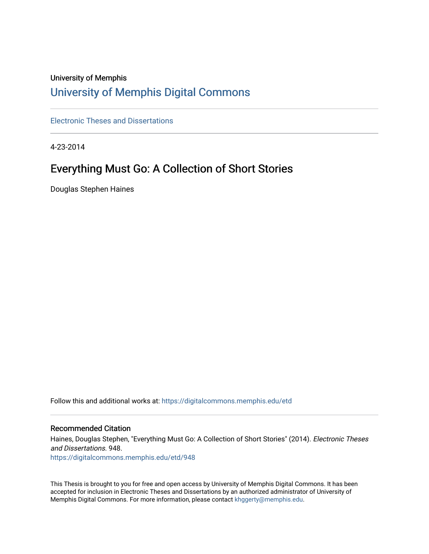### University of Memphis

## [University of Memphis Digital Commons](https://digitalcommons.memphis.edu/)

[Electronic Theses and Dissertations](https://digitalcommons.memphis.edu/etd)

4-23-2014

# Everything Must Go: A Collection of Short Stories

Douglas Stephen Haines

Follow this and additional works at: [https://digitalcommons.memphis.edu/etd](https://digitalcommons.memphis.edu/etd?utm_source=digitalcommons.memphis.edu%2Fetd%2F948&utm_medium=PDF&utm_campaign=PDFCoverPages) 

#### Recommended Citation

Haines, Douglas Stephen, "Everything Must Go: A Collection of Short Stories" (2014). Electronic Theses and Dissertations. 948. [https://digitalcommons.memphis.edu/etd/948](https://digitalcommons.memphis.edu/etd/948?utm_source=digitalcommons.memphis.edu%2Fetd%2F948&utm_medium=PDF&utm_campaign=PDFCoverPages) 

This Thesis is brought to you for free and open access by University of Memphis Digital Commons. It has been accepted for inclusion in Electronic Theses and Dissertations by an authorized administrator of University of Memphis Digital Commons. For more information, please contact [khggerty@memphis.edu.](mailto:khggerty@memphis.edu)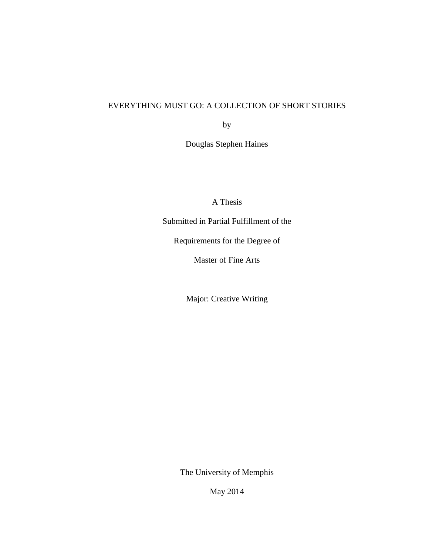## EVERYTHING MUST GO: A COLLECTION OF SHORT STORIES

by

Douglas Stephen Haines

A Thesis

Submitted in Partial Fulfillment of the

Requirements for the Degree of

Master of Fine Arts

Major: Creative Writing

The University of Memphis

May 2014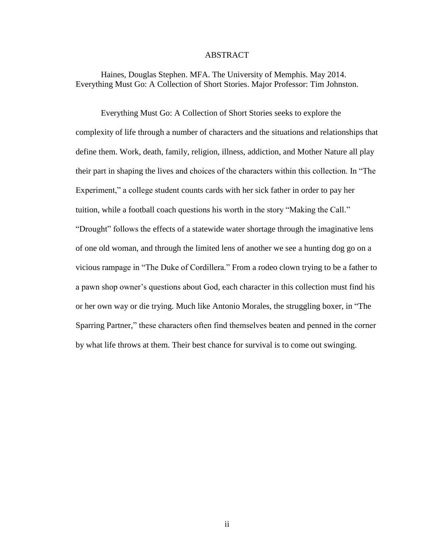### ABSTRACT

Haines, Douglas Stephen. MFA. The University of Memphis. May 2014. Everything Must Go: A Collection of Short Stories. Major Professor: Tim Johnston.

Everything Must Go: A Collection of Short Stories seeks to explore the complexity of life through a number of characters and the situations and relationships that define them. Work, death, family, religion, illness, addiction, and Mother Nature all play their part in shaping the lives and choices of the characters within this collection. In "The Experiment," a college student counts cards with her sick father in order to pay her tuition, while a football coach questions his worth in the story "Making the Call." "Drought" follows the effects of a statewide water shortage through the imaginative lens of one old woman, and through the limited lens of another we see a hunting dog go on a vicious rampage in "The Duke of Cordillera." From a rodeo clown trying to be a father to a pawn shop owner's questions about God, each character in this collection must find his or her own way or die trying. Much like Antonio Morales, the struggling boxer, in "The Sparring Partner," these characters often find themselves beaten and penned in the corner by what life throws at them. Their best chance for survival is to come out swinging.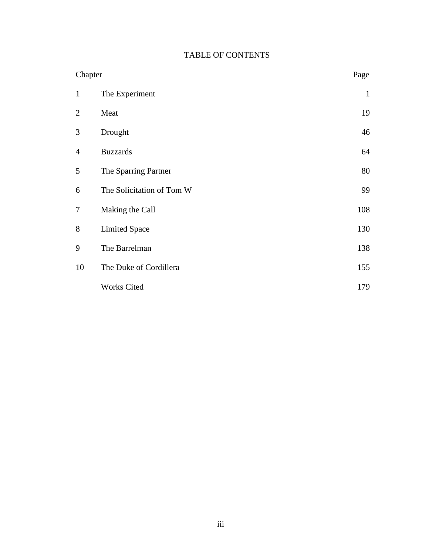### TABLE OF CONTENTS

| Chapter        |                           | Page         |
|----------------|---------------------------|--------------|
| $\mathbf{1}$   | The Experiment            | $\mathbf{1}$ |
| $\overline{2}$ | Meat                      | 19           |
| 3              | Drought                   | 46           |
| $\overline{4}$ | <b>Buzzards</b>           | 64           |
| 5              | The Sparring Partner      | 80           |
| 6              | The Solicitation of Tom W | 99           |
| 7              | Making the Call           | 108          |
| 8              | <b>Limited Space</b>      | 130          |
| 9              | The Barrelman             | 138          |
| 10             | The Duke of Cordillera    | 155          |
|                | <b>Works Cited</b>        | 179          |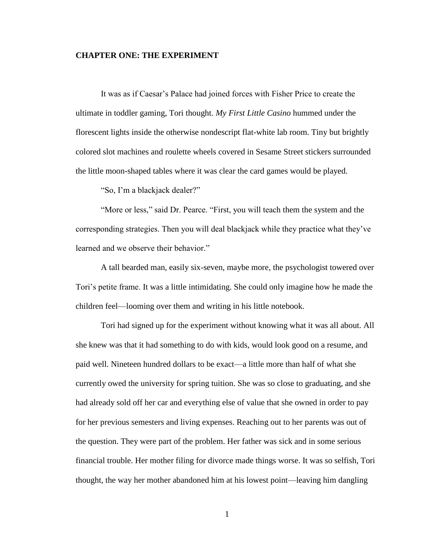#### **CHAPTER ONE: THE EXPERIMENT**

It was as if Caesar's Palace had joined forces with Fisher Price to create the ultimate in toddler gaming, Tori thought. *My First Little Casino* hummed under the florescent lights inside the otherwise nondescript flat-white lab room. Tiny but brightly colored slot machines and roulette wheels covered in Sesame Street stickers surrounded the little moon-shaped tables where it was clear the card games would be played.

"So, I'm a blackjack dealer?"

"More or less," said Dr. Pearce. "First, you will teach them the system and the corresponding strategies. Then you will deal blackjack while they practice what they've learned and we observe their behavior."

A tall bearded man, easily six-seven, maybe more, the psychologist towered over Tori's petite frame. It was a little intimidating. She could only imagine how he made the children feel—looming over them and writing in his little notebook.

Tori had signed up for the experiment without knowing what it was all about. All she knew was that it had something to do with kids, would look good on a resume, and paid well. Nineteen hundred dollars to be exact—a little more than half of what she currently owed the university for spring tuition. She was so close to graduating, and she had already sold off her car and everything else of value that she owned in order to pay for her previous semesters and living expenses. Reaching out to her parents was out of the question. They were part of the problem. Her father was sick and in some serious financial trouble. Her mother filing for divorce made things worse. It was so selfish, Tori thought, the way her mother abandoned him at his lowest point—leaving him dangling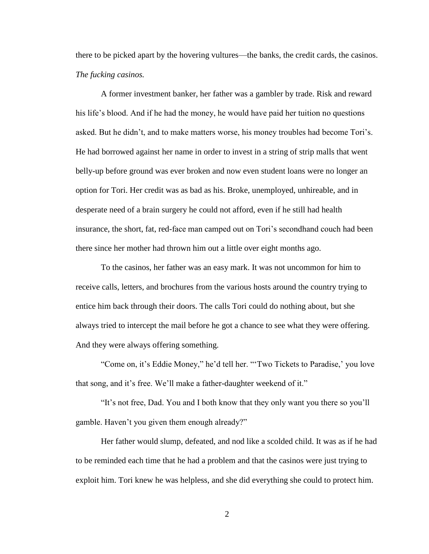there to be picked apart by the hovering vultures—the banks, the credit cards, the casinos. *The fucking casinos.*

A former investment banker, her father was a gambler by trade. Risk and reward his life's blood. And if he had the money, he would have paid her tuition no questions asked. But he didn't, and to make matters worse, his money troubles had become Tori's. He had borrowed against her name in order to invest in a string of strip malls that went belly-up before ground was ever broken and now even student loans were no longer an option for Tori. Her credit was as bad as his. Broke, unemployed, unhireable, and in desperate need of a brain surgery he could not afford, even if he still had health insurance, the short, fat, red-face man camped out on Tori's secondhand couch had been there since her mother had thrown him out a little over eight months ago.

To the casinos, her father was an easy mark. It was not uncommon for him to receive calls, letters, and brochures from the various hosts around the country trying to entice him back through their doors. The calls Tori could do nothing about, but she always tried to intercept the mail before he got a chance to see what they were offering. And they were always offering something.

"Come on, it's Eddie Money," he'd tell her. "'Two Tickets to Paradise,' you love that song, and it's free. We'll make a father-daughter weekend of it."

"It's not free, Dad. You and I both know that they only want you there so you'll gamble. Haven't you given them enough already?"

Her father would slump, defeated, and nod like a scolded child. It was as if he had to be reminded each time that he had a problem and that the casinos were just trying to exploit him. Tori knew he was helpless, and she did everything she could to protect him.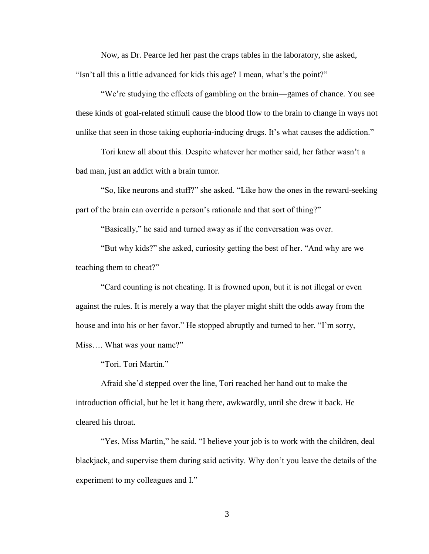Now, as Dr. Pearce led her past the craps tables in the laboratory, she asked, "Isn't all this a little advanced for kids this age? I mean, what's the point?"

"We're studying the effects of gambling on the brain—games of chance. You see these kinds of goal-related stimuli cause the blood flow to the brain to change in ways not unlike that seen in those taking euphoria-inducing drugs. It's what causes the addiction."

Tori knew all about this. Despite whatever her mother said, her father wasn't a bad man, just an addict with a brain tumor.

"So, like neurons and stuff?" she asked. "Like how the ones in the reward-seeking part of the brain can override a person's rationale and that sort of thing?"

"Basically," he said and turned away as if the conversation was over.

"But why kids?" she asked, curiosity getting the best of her. "And why are we teaching them to cheat?"

"Card counting is not cheating. It is frowned upon, but it is not illegal or even against the rules. It is merely a way that the player might shift the odds away from the house and into his or her favor." He stopped abruptly and turned to her. "I'm sorry, Miss…. What was your name?"

"Tori. Tori Martin."

Afraid she'd stepped over the line, Tori reached her hand out to make the introduction official, but he let it hang there, awkwardly, until she drew it back. He cleared his throat.

"Yes, Miss Martin," he said. "I believe your job is to work with the children, deal blackjack, and supervise them during said activity. Why don't you leave the details of the experiment to my colleagues and I."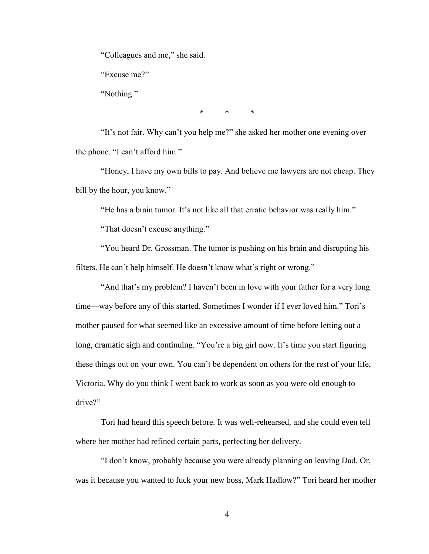"Colleagues and me," she said.

"Excuse me?"

"Nothing."

\* \* \*

"It's not fair. Why can't you help me?" she asked her mother one evening over the phone. "I can't afford him."

"Honey, I have my own bills to pay. And believe me lawyers are not cheap. They bill by the hour, you know."

"He has a brain tumor. It's not like all that erratic behavior was really him."

"That doesn't excuse anything."

"You heard Dr. Grossman. The tumor is pushing on his brain and disrupting his filters. He can't help himself. He doesn't know what's right or wrong."

"And that's my problem? I haven't been in love with your father for a very long time—way before any of this started. Sometimes I wonder if I ever loved him." Tori's mother paused for what seemed like an excessive amount of time before letting out a long, dramatic sigh and continuing. "You're a big girl now. It's time you start figuring these things out on your own. You can't be dependent on others for the rest of your life, Victoria. Why do you think I went back to work as soon as you were old enough to drive?"

Tori had heard this speech before. It was well-rehearsed, and she could even tell where her mother had refined certain parts, perfecting her delivery.

"I don't know, probably because you were already planning on leaving Dad. Or, was it because you wanted to fuck your new boss, Mark Hadlow?" Tori heard her mother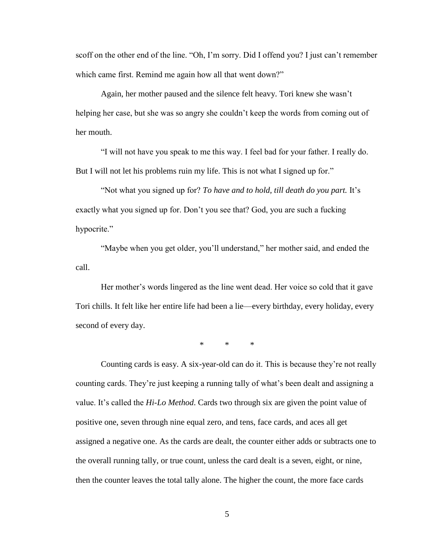scoff on the other end of the line. "Oh, I'm sorry. Did I offend you? I just can't remember which came first. Remind me again how all that went down?"

Again, her mother paused and the silence felt heavy. Tori knew she wasn't helping her case, but she was so angry she couldn't keep the words from coming out of her mouth.

"I will not have you speak to me this way. I feel bad for your father. I really do. But I will not let his problems ruin my life. This is not what I signed up for."

"Not what you signed up for? *To have and to hold, till death do you part.* It's exactly what you signed up for. Don't you see that? God, you are such a fucking hypocrite."

"Maybe when you get older, you'll understand," her mother said, and ended the call.

Her mother's words lingered as the line went dead. Her voice so cold that it gave Tori chills. It felt like her entire life had been a lie—every birthday, every holiday, every second of every day.

\* \* \*

Counting cards is easy. A six-year-old can do it. This is because they're not really counting cards. They're just keeping a running tally of what's been dealt and assigning a value. It's called the *Hi-Lo Method*. Cards two through six are given the point value of positive one, seven through nine equal zero, and tens, face cards, and aces all get assigned a negative one. As the cards are dealt, the counter either adds or subtracts one to the overall running tally, or true count, unless the card dealt is a seven, eight, or nine, then the counter leaves the total tally alone. The higher the count, the more face cards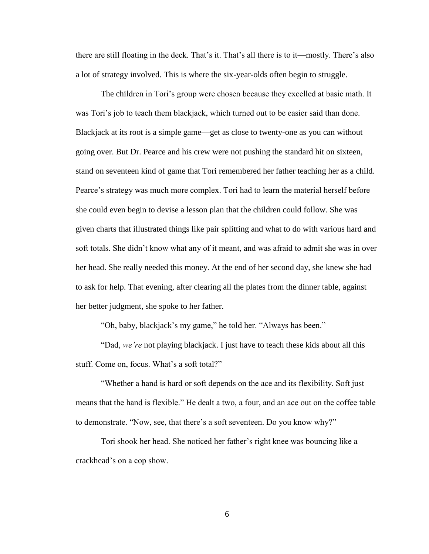there are still floating in the deck. That's it. That's all there is to it—mostly. There's also a lot of strategy involved. This is where the six-year-olds often begin to struggle.

The children in Tori's group were chosen because they excelled at basic math. It was Tori's job to teach them blackjack, which turned out to be easier said than done. Blackjack at its root is a simple game—get as close to twenty-one as you can without going over. But Dr. Pearce and his crew were not pushing the standard hit on sixteen, stand on seventeen kind of game that Tori remembered her father teaching her as a child. Pearce's strategy was much more complex. Tori had to learn the material herself before she could even begin to devise a lesson plan that the children could follow. She was given charts that illustrated things like pair splitting and what to do with various hard and soft totals. She didn't know what any of it meant, and was afraid to admit she was in over her head. She really needed this money. At the end of her second day, she knew she had to ask for help. That evening, after clearing all the plates from the dinner table, against her better judgment, she spoke to her father.

"Oh, baby, blackjack's my game," he told her. "Always has been."

"Dad, *we're* not playing blackjack. I just have to teach these kids about all this stuff. Come on, focus. What's a soft total?"

"Whether a hand is hard or soft depends on the ace and its flexibility. Soft just means that the hand is flexible." He dealt a two, a four, and an ace out on the coffee table to demonstrate. "Now, see, that there's a soft seventeen. Do you know why?"

Tori shook her head. She noticed her father's right knee was bouncing like a crackhead's on a cop show.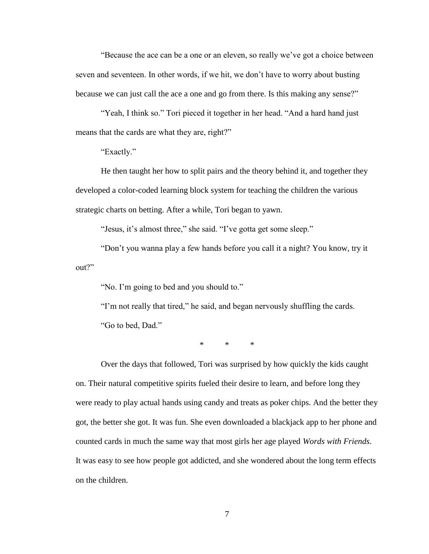"Because the ace can be a one or an eleven, so really we've got a choice between seven and seventeen. In other words, if we hit, we don't have to worry about busting because we can just call the ace a one and go from there. Is this making any sense?"

"Yeah, I think so." Tori pieced it together in her head. "And a hard hand just means that the cards are what they are, right?"

"Exactly."

He then taught her how to split pairs and the theory behind it, and together they developed a color-coded learning block system for teaching the children the various strategic charts on betting. After a while, Tori began to yawn.

"Jesus, it's almost three," she said. "I've gotta get some sleep."

"Don't you wanna play a few hands before you call it a night? You know, try it out?"

"No. I'm going to bed and you should to."

"I'm not really that tired," he said, and began nervously shuffling the cards. "Go to bed, Dad."

\* \* \*

Over the days that followed, Tori was surprised by how quickly the kids caught on. Their natural competitive spirits fueled their desire to learn, and before long they were ready to play actual hands using candy and treats as poker chips. And the better they got, the better she got. It was fun. She even downloaded a blackjack app to her phone and counted cards in much the same way that most girls her age played *Words with Friends*. It was easy to see how people got addicted, and she wondered about the long term effects on the children.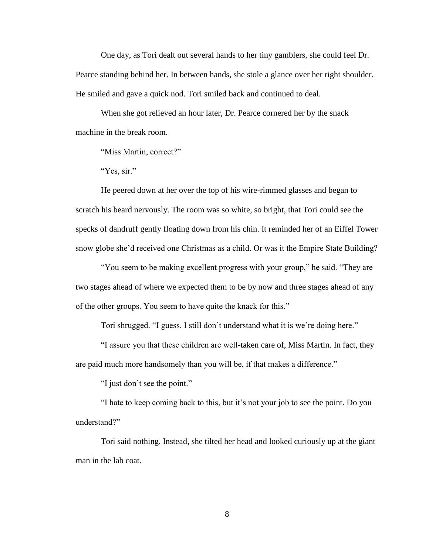One day, as Tori dealt out several hands to her tiny gamblers, she could feel Dr. Pearce standing behind her. In between hands, she stole a glance over her right shoulder. He smiled and gave a quick nod. Tori smiled back and continued to deal.

When she got relieved an hour later, Dr. Pearce cornered her by the snack machine in the break room.

"Miss Martin, correct?"

"Yes, sir."

He peered down at her over the top of his wire-rimmed glasses and began to scratch his beard nervously. The room was so white, so bright, that Tori could see the specks of dandruff gently floating down from his chin. It reminded her of an Eiffel Tower snow globe she'd received one Christmas as a child. Or was it the Empire State Building?

"You seem to be making excellent progress with your group," he said. "They are two stages ahead of where we expected them to be by now and three stages ahead of any of the other groups. You seem to have quite the knack for this."

Tori shrugged. "I guess. I still don't understand what it is we're doing here."

"I assure you that these children are well-taken care of, Miss Martin. In fact, they are paid much more handsomely than you will be, if that makes a difference."

"I just don't see the point."

"I hate to keep coming back to this, but it's not your job to see the point. Do you understand?"

Tori said nothing. Instead, she tilted her head and looked curiously up at the giant man in the lab coat.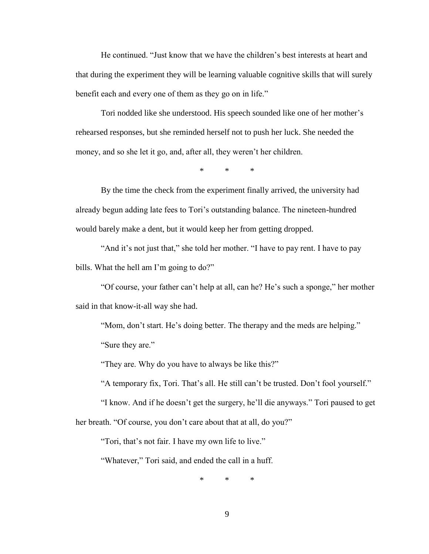He continued. "Just know that we have the children's best interests at heart and that during the experiment they will be learning valuable cognitive skills that will surely benefit each and every one of them as they go on in life."

Tori nodded like she understood. His speech sounded like one of her mother's rehearsed responses, but she reminded herself not to push her luck. She needed the money, and so she let it go, and, after all, they weren't her children.

\* \* \*

By the time the check from the experiment finally arrived, the university had already begun adding late fees to Tori's outstanding balance. The nineteen-hundred would barely make a dent, but it would keep her from getting dropped.

"And it's not just that," she told her mother. "I have to pay rent. I have to pay bills. What the hell am I'm going to do?"

"Of course, your father can't help at all, can he? He's such a sponge," her mother said in that know-it-all way she had.

"Mom, don't start. He's doing better. The therapy and the meds are helping." "Sure they are."

"They are. Why do you have to always be like this?"

"A temporary fix, Tori. That's all. He still can't be trusted. Don't fool yourself."

"I know. And if he doesn't get the surgery, he'll die anyways." Tori paused to get her breath. "Of course, you don't care about that at all, do you?"

"Tori, that's not fair. I have my own life to live."

"Whatever," Tori said, and ended the call in a huff.

\* \* \*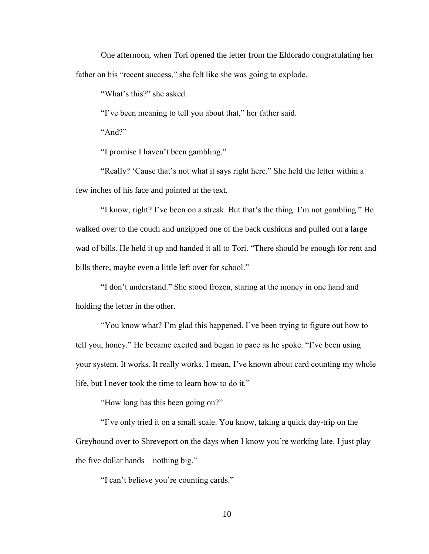One afternoon, when Tori opened the letter from the Eldorado congratulating her father on his "recent success," she felt like she was going to explode.

"What's this?" she asked.

"I've been meaning to tell you about that," her father said.

"And?"

"I promise I haven't been gambling."

"Really? 'Cause that's not what it says right here." She held the letter within a few inches of his face and pointed at the text.

"I know, right? I've been on a streak. But that's the thing. I'm not gambling." He walked over to the couch and unzipped one of the back cushions and pulled out a large wad of bills. He held it up and handed it all to Tori. "There should be enough for rent and bills there, maybe even a little left over for school."

"I don't understand." She stood frozen, staring at the money in one hand and holding the letter in the other.

"You know what? I'm glad this happened. I've been trying to figure out how to tell you, honey." He became excited and began to pace as he spoke. "I've been using your system. It works. It really works. I mean, I've known about card counting my whole life, but I never took the time to learn how to do it."

"How long has this been going on?"

"I've only tried it on a small scale. You know, taking a quick day-trip on the Greyhound over to Shreveport on the days when I know you're working late. I just play the five dollar hands—nothing big."

"I can't believe you're counting cards."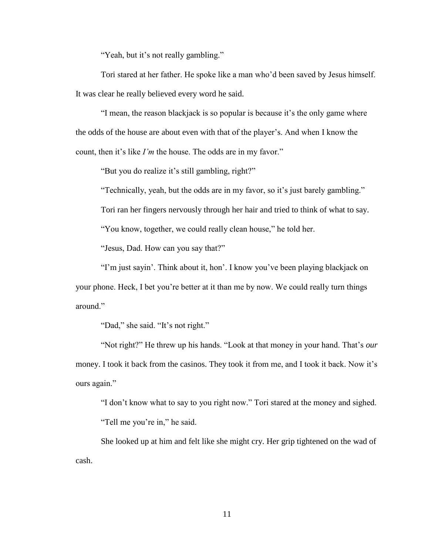"Yeah, but it's not really gambling."

Tori stared at her father. He spoke like a man who'd been saved by Jesus himself. It was clear he really believed every word he said.

"I mean, the reason blackjack is so popular is because it's the only game where the odds of the house are about even with that of the player's. And when I know the count, then it's like *I'm* the house. The odds are in my favor."

"But you do realize it's still gambling, right?"

"Technically, yeah, but the odds are in my favor, so it's just barely gambling."

Tori ran her fingers nervously through her hair and tried to think of what to say.

"You know, together, we could really clean house," he told her.

"Jesus, Dad. How can you say that?"

"I'm just sayin'. Think about it, hon'. I know you've been playing blackjack on your phone. Heck, I bet you're better at it than me by now. We could really turn things around."

"Dad," she said. "It's not right."

"Not right?" He threw up his hands. "Look at that money in your hand. That's *our* money. I took it back from the casinos. They took it from me, and I took it back. Now it's ours again."

"I don't know what to say to you right now." Tori stared at the money and sighed.

"Tell me you're in," he said.

She looked up at him and felt like she might cry. Her grip tightened on the wad of cash.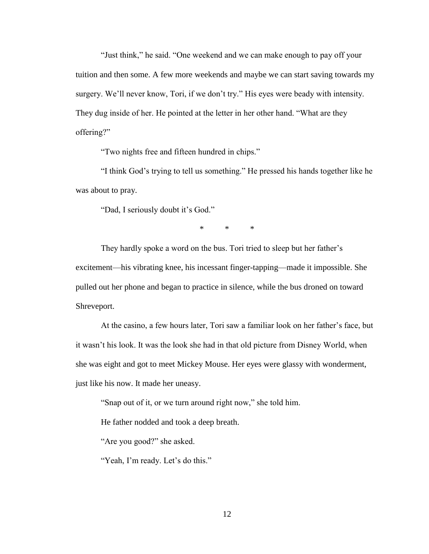"Just think," he said. "One weekend and we can make enough to pay off your tuition and then some. A few more weekends and maybe we can start saving towards my surgery. We'll never know, Tori, if we don't try." His eyes were beady with intensity. They dug inside of her. He pointed at the letter in her other hand. "What are they offering?"

"Two nights free and fifteen hundred in chips."

"I think God's trying to tell us something." He pressed his hands together like he was about to pray.

"Dad, I seriously doubt it's God."

\* \* \*

They hardly spoke a word on the bus. Tori tried to sleep but her father's excitement—his vibrating knee, his incessant finger-tapping—made it impossible. She pulled out her phone and began to practice in silence, while the bus droned on toward Shreveport.

At the casino, a few hours later, Tori saw a familiar look on her father's face, but it wasn't his look. It was the look she had in that old picture from Disney World, when she was eight and got to meet Mickey Mouse. Her eyes were glassy with wonderment, just like his now. It made her uneasy.

"Snap out of it, or we turn around right now," she told him.

He father nodded and took a deep breath.

"Are you good?" she asked.

"Yeah, I'm ready. Let's do this."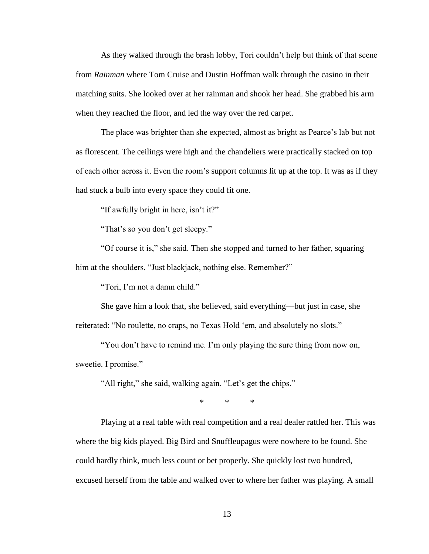As they walked through the brash lobby, Tori couldn't help but think of that scene from *Rainman* where Tom Cruise and Dustin Hoffman walk through the casino in their matching suits. She looked over at her rainman and shook her head. She grabbed his arm when they reached the floor, and led the way over the red carpet.

The place was brighter than she expected, almost as bright as Pearce's lab but not as florescent. The ceilings were high and the chandeliers were practically stacked on top of each other across it. Even the room's support columns lit up at the top. It was as if they had stuck a bulb into every space they could fit one.

"If awfully bright in here, isn't it?"

"That's so you don't get sleepy."

"Of course it is," she said. Then she stopped and turned to her father, squaring him at the shoulders. "Just blackjack, nothing else. Remember?"

"Tori, I'm not a damn child."

She gave him a look that, she believed, said everything—but just in case, she reiterated: "No roulette, no craps, no Texas Hold 'em, and absolutely no slots."

"You don't have to remind me. I'm only playing the sure thing from now on, sweetie. I promise."

"All right," she said, walking again. "Let's get the chips."

\* \* \*

Playing at a real table with real competition and a real dealer rattled her. This was where the big kids played. Big Bird and Snuffleupagus were nowhere to be found. She could hardly think, much less count or bet properly. She quickly lost two hundred, excused herself from the table and walked over to where her father was playing. A small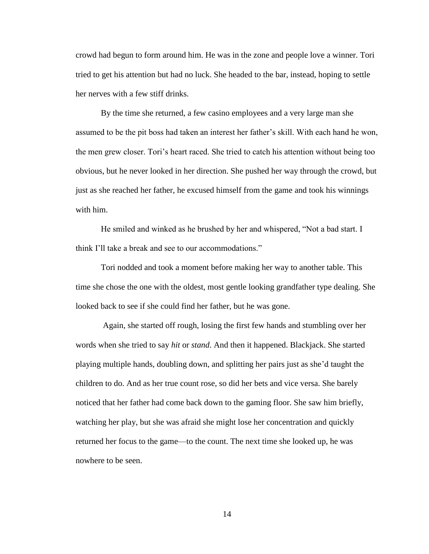crowd had begun to form around him. He was in the zone and people love a winner. Tori tried to get his attention but had no luck. She headed to the bar, instead, hoping to settle her nerves with a few stiff drinks.

By the time she returned, a few casino employees and a very large man she assumed to be the pit boss had taken an interest her father's skill. With each hand he won, the men grew closer. Tori's heart raced. She tried to catch his attention without being too obvious, but he never looked in her direction. She pushed her way through the crowd, but just as she reached her father, he excused himself from the game and took his winnings with him.

He smiled and winked as he brushed by her and whispered, "Not a bad start. I think I'll take a break and see to our accommodations."

Tori nodded and took a moment before making her way to another table. This time she chose the one with the oldest, most gentle looking grandfather type dealing. She looked back to see if she could find her father, but he was gone.

Again, she started off rough, losing the first few hands and stumbling over her words when she tried to say *hit* or *stand*. And then it happened. Blackjack. She started playing multiple hands, doubling down, and splitting her pairs just as she'd taught the children to do. And as her true count rose, so did her bets and vice versa. She barely noticed that her father had come back down to the gaming floor. She saw him briefly, watching her play, but she was afraid she might lose her concentration and quickly returned her focus to the game—to the count. The next time she looked up, he was nowhere to be seen.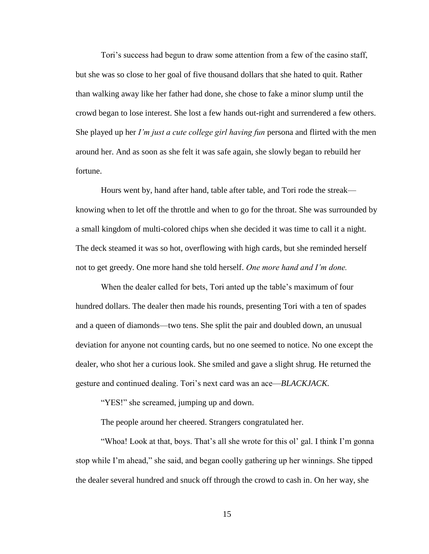Tori's success had begun to draw some attention from a few of the casino staff, but she was so close to her goal of five thousand dollars that she hated to quit. Rather than walking away like her father had done, she chose to fake a minor slump until the crowd began to lose interest. She lost a few hands out-right and surrendered a few others. She played up her *I'm just a cute college girl having fun* persona and flirted with the men around her. And as soon as she felt it was safe again, she slowly began to rebuild her fortune.

Hours went by, hand after hand, table after table, and Tori rode the streak knowing when to let off the throttle and when to go for the throat. She was surrounded by a small kingdom of multi-colored chips when she decided it was time to call it a night. The deck steamed it was so hot, overflowing with high cards, but she reminded herself not to get greedy. One more hand she told herself. *One more hand and I'm done.*

When the dealer called for bets, Tori anted up the table's maximum of four hundred dollars. The dealer then made his rounds, presenting Tori with a ten of spades and a queen of diamonds—two tens. She split the pair and doubled down, an unusual deviation for anyone not counting cards, but no one seemed to notice. No one except the dealer, who shot her a curious look. She smiled and gave a slight shrug. He returned the gesture and continued dealing. Tori's next card was an ace—*BLACKJACK.*

"YES!" she screamed, jumping up and down.

The people around her cheered. Strangers congratulated her.

"Whoa! Look at that, boys. That's all she wrote for this ol' gal. I think I'm gonna stop while I'm ahead," she said, and began coolly gathering up her winnings. She tipped the dealer several hundred and snuck off through the crowd to cash in. On her way, she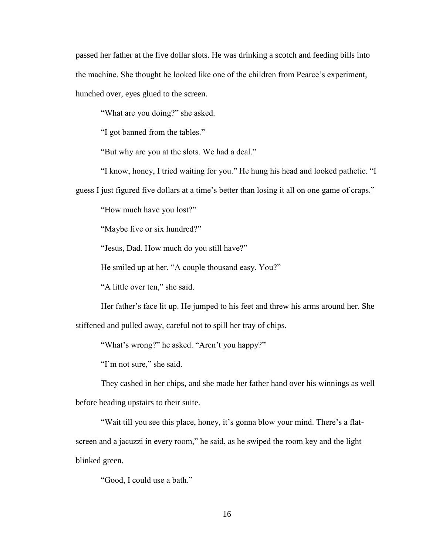passed her father at the five dollar slots. He was drinking a scotch and feeding bills into the machine. She thought he looked like one of the children from Pearce's experiment, hunched over, eyes glued to the screen.

"What are you doing?" she asked.

"I got banned from the tables."

"But why are you at the slots. We had a deal."

"I know, honey, I tried waiting for you." He hung his head and looked pathetic. "I

guess I just figured five dollars at a time's better than losing it all on one game of craps."

"How much have you lost?"

"Maybe five or six hundred?"

"Jesus, Dad. How much do you still have?"

He smiled up at her. "A couple thousand easy. You?"

"A little over ten," she said.

Her father's face lit up. He jumped to his feet and threw his arms around her. She stiffened and pulled away, careful not to spill her tray of chips.

"What's wrong?" he asked. "Aren't you happy?"

"I'm not sure," she said.

They cashed in her chips, and she made her father hand over his winnings as well before heading upstairs to their suite.

"Wait till you see this place, honey, it's gonna blow your mind. There's a flatscreen and a jacuzzi in every room," he said, as he swiped the room key and the light blinked green.

"Good, I could use a bath."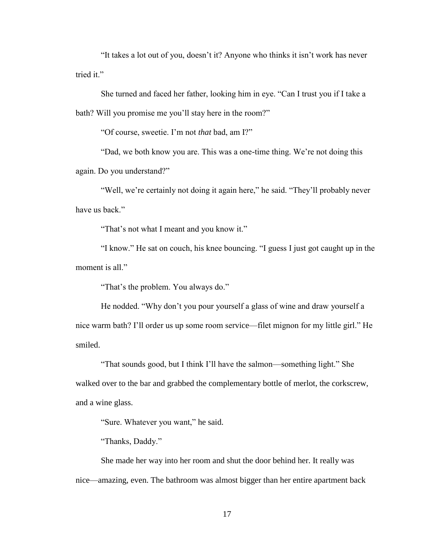"It takes a lot out of you, doesn't it? Anyone who thinks it isn't work has never tried it."

She turned and faced her father, looking him in eye. "Can I trust you if I take a bath? Will you promise me you'll stay here in the room?"

"Of course, sweetie. I'm not *that* bad, am I?"

"Dad, we both know you are. This was a one-time thing. We're not doing this again. Do you understand?"

"Well, we're certainly not doing it again here," he said. "They'll probably never have us back."

"That's not what I meant and you know it."

"I know." He sat on couch, his knee bouncing. "I guess I just got caught up in the moment is all."

"That's the problem. You always do."

He nodded. "Why don't you pour yourself a glass of wine and draw yourself a nice warm bath? I'll order us up some room service—filet mignon for my little girl." He smiled.

"That sounds good, but I think I'll have the salmon—something light." She walked over to the bar and grabbed the complementary bottle of merlot, the corkscrew, and a wine glass.

"Sure. Whatever you want," he said.

"Thanks, Daddy."

She made her way into her room and shut the door behind her. It really was nice—amazing, even. The bathroom was almost bigger than her entire apartment back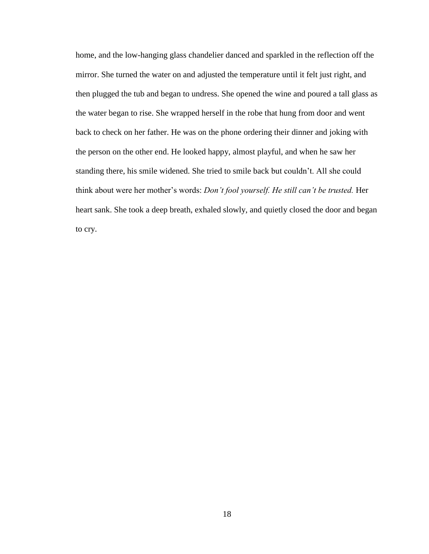home, and the low-hanging glass chandelier danced and sparkled in the reflection off the mirror. She turned the water on and adjusted the temperature until it felt just right, and then plugged the tub and began to undress. She opened the wine and poured a tall glass as the water began to rise. She wrapped herself in the robe that hung from door and went back to check on her father. He was on the phone ordering their dinner and joking with the person on the other end. He looked happy, almost playful, and when he saw her standing there, his smile widened. She tried to smile back but couldn't. All she could think about were her mother's words: *Don't fool yourself. He still can't be trusted.* Her heart sank. She took a deep breath, exhaled slowly, and quietly closed the door and began to cry.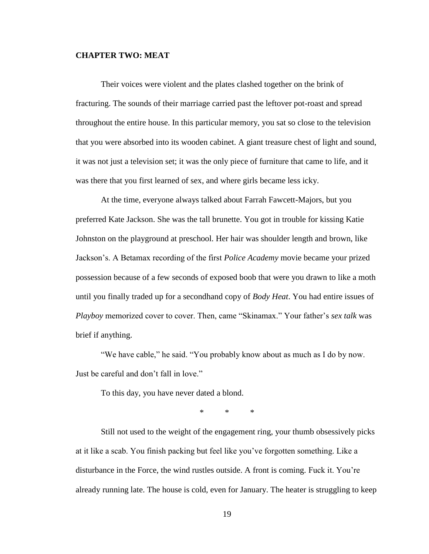### **CHAPTER TWO: MEAT**

Their voices were violent and the plates clashed together on the brink of fracturing. The sounds of their marriage carried past the leftover pot-roast and spread throughout the entire house. In this particular memory, you sat so close to the television that you were absorbed into its wooden cabinet. A giant treasure chest of light and sound, it was not just a television set; it was the only piece of furniture that came to life, and it was there that you first learned of sex, and where girls became less icky.

At the time, everyone always talked about Farrah Fawcett-Majors, but you preferred Kate Jackson. She was the tall brunette. You got in trouble for kissing Katie Johnston on the playground at preschool. Her hair was shoulder length and brown, like Jackson's. A Betamax recording of the first *Police Academy* movie became your prized possession because of a few seconds of exposed boob that were you drawn to like a moth until you finally traded up for a secondhand copy of *Body Heat*. You had entire issues of *Playboy* memorized cover to cover. Then, came "Skinamax." Your father's *sex talk* was brief if anything.

"We have cable," he said. "You probably know about as much as I do by now. Just be careful and don't fall in love."

To this day, you have never dated a blond.

\* \* \*

Still not used to the weight of the engagement ring, your thumb obsessively picks at it like a scab. You finish packing but feel like you've forgotten something. Like a disturbance in the Force, the wind rustles outside. A front is coming. Fuck it. You're already running late. The house is cold, even for January. The heater is struggling to keep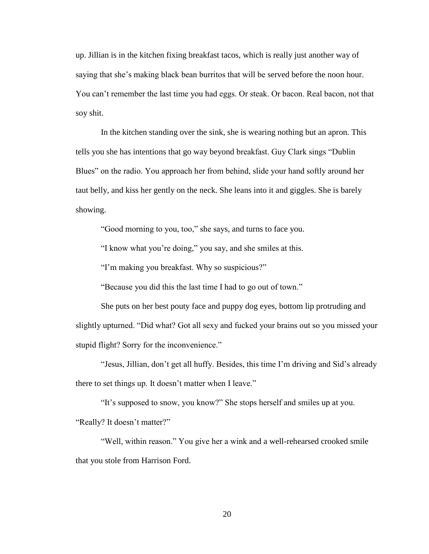up. Jillian is in the kitchen fixing breakfast tacos, which is really just another way of saying that she's making black bean burritos that will be served before the noon hour. You can't remember the last time you had eggs. Or steak. Or bacon. Real bacon, not that soy shit.

In the kitchen standing over the sink, she is wearing nothing but an apron. This tells you she has intentions that go way beyond breakfast. Guy Clark sings "Dublin Blues" on the radio. You approach her from behind, slide your hand softly around her taut belly, and kiss her gently on the neck. She leans into it and giggles. She is barely showing.

"Good morning to you, too," she says, and turns to face you.

"I know what you're doing," you say, and she smiles at this.

"I'm making you breakfast. Why so suspicious?"

"Because you did this the last time I had to go out of town."

She puts on her best pouty face and puppy dog eyes, bottom lip protruding and slightly upturned. "Did what? Got all sexy and fucked your brains out so you missed your stupid flight? Sorry for the inconvenience."

"Jesus, Jillian, don't get all huffy. Besides, this time I'm driving and Sid's already there to set things up. It doesn't matter when I leave."

"It's supposed to snow, you know?" She stops herself and smiles up at you.

"Really? It doesn't matter?"

"Well, within reason." You give her a wink and a well-rehearsed crooked smile that you stole from Harrison Ford.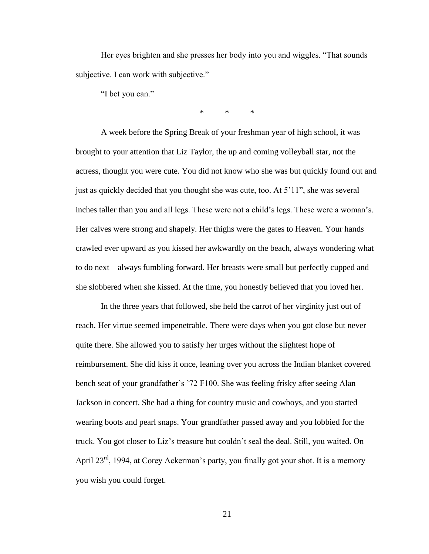Her eyes brighten and she presses her body into you and wiggles. "That sounds subjective. I can work with subjective."

"I bet you can."

\* \* \*

A week before the Spring Break of your freshman year of high school, it was brought to your attention that Liz Taylor, the up and coming volleyball star, not the actress, thought you were cute. You did not know who she was but quickly found out and just as quickly decided that you thought she was cute, too. At 5'11", she was several inches taller than you and all legs. These were not a child's legs. These were a woman's. Her calves were strong and shapely. Her thighs were the gates to Heaven. Your hands crawled ever upward as you kissed her awkwardly on the beach, always wondering what to do next—always fumbling forward. Her breasts were small but perfectly cupped and she slobbered when she kissed. At the time, you honestly believed that you loved her.

In the three years that followed, she held the carrot of her virginity just out of reach. Her virtue seemed impenetrable. There were days when you got close but never quite there. She allowed you to satisfy her urges without the slightest hope of reimbursement. She did kiss it once, leaning over you across the Indian blanket covered bench seat of your grandfather's '72 F100. She was feeling frisky after seeing Alan Jackson in concert. She had a thing for country music and cowboys, and you started wearing boots and pearl snaps. Your grandfather passed away and you lobbied for the truck. You got closer to Liz's treasure but couldn't seal the deal. Still, you waited. On April  $23<sup>rd</sup>$ , 1994, at Corey Ackerman's party, you finally got your shot. It is a memory you wish you could forget.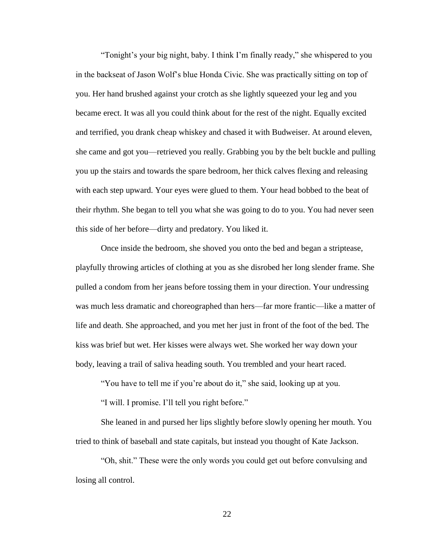"Tonight's your big night, baby. I think I'm finally ready," she whispered to you in the backseat of Jason Wolf's blue Honda Civic. She was practically sitting on top of you. Her hand brushed against your crotch as she lightly squeezed your leg and you became erect. It was all you could think about for the rest of the night. Equally excited and terrified, you drank cheap whiskey and chased it with Budweiser. At around eleven, she came and got you—retrieved you really. Grabbing you by the belt buckle and pulling you up the stairs and towards the spare bedroom, her thick calves flexing and releasing with each step upward. Your eyes were glued to them. Your head bobbed to the beat of their rhythm. She began to tell you what she was going to do to you. You had never seen this side of her before—dirty and predatory. You liked it.

Once inside the bedroom, she shoved you onto the bed and began a striptease, playfully throwing articles of clothing at you as she disrobed her long slender frame. She pulled a condom from her jeans before tossing them in your direction. Your undressing was much less dramatic and choreographed than hers—far more frantic—like a matter of life and death. She approached, and you met her just in front of the foot of the bed. The kiss was brief but wet. Her kisses were always wet. She worked her way down your body, leaving a trail of saliva heading south. You trembled and your heart raced.

"You have to tell me if you're about do it," she said, looking up at you.

"I will. I promise. I'll tell you right before."

She leaned in and pursed her lips slightly before slowly opening her mouth. You tried to think of baseball and state capitals, but instead you thought of Kate Jackson.

"Oh, shit." These were the only words you could get out before convulsing and losing all control.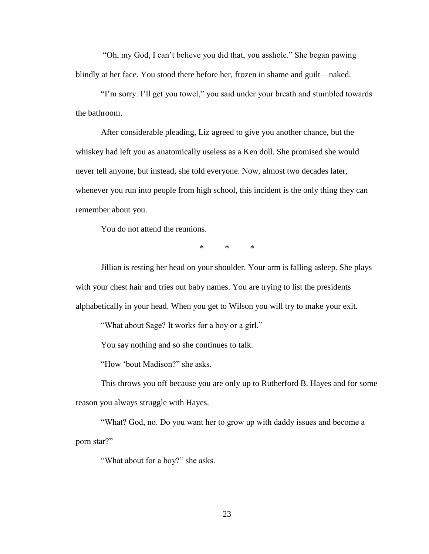"Oh, my God, I can't believe you did that, you asshole." She began pawing blindly at her face. You stood there before her, frozen in shame and guilt—naked.

"I'm sorry. I'll get you towel," you said under your breath and stumbled towards the bathroom.

After considerable pleading, Liz agreed to give you another chance, but the whiskey had left you as anatomically useless as a Ken doll. She promised she would never tell anyone, but instead, she told everyone. Now, almost two decades later, whenever you run into people from high school, this incident is the only thing they can remember about you.

You do not attend the reunions.

\* \* \*

Jillian is resting her head on your shoulder. Your arm is falling asleep. She plays with your chest hair and tries out baby names. You are trying to list the presidents alphabetically in your head. When you get to Wilson you will try to make your exit.

"What about Sage? It works for a boy or a girl."

You say nothing and so she continues to talk.

"How 'bout Madison?" she asks.

This throws you off because you are only up to Rutherford B. Hayes and for some reason you always struggle with Hayes.

"What? God, no. Do you want her to grow up with daddy issues and become a porn star?"

"What about for a boy?" she asks.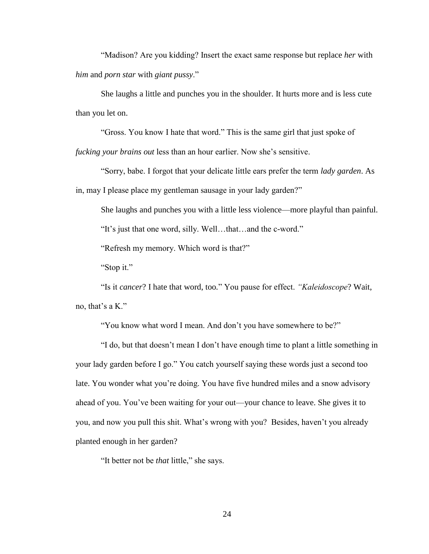"Madison? Are you kidding? Insert the exact same response but replace *her* with *him* and *porn star* with *giant pussy*."

She laughs a little and punches you in the shoulder. It hurts more and is less cute than you let on.

"Gross. You know I hate that word." This is the same girl that just spoke of *fucking your brains out* less than an hour earlier. Now she's sensitive.

"Sorry, babe. I forgot that your delicate little ears prefer the term *lady garden*. As in, may I please place my gentleman sausage in your lady garden?"

She laughs and punches you with a little less violence—more playful than painful.

"It's just that one word, silly. Well…that…and the c-word."

"Refresh my memory. Which word is that?"

"Stop it."

"Is it *cancer*? I hate that word, too*.*" You pause for effect. *"Kaleidoscope*? Wait, no, that's a K."

"You know what word I mean. And don't you have somewhere to be?"

"I do, but that doesn't mean I don't have enough time to plant a little something in your lady garden before I go." You catch yourself saying these words just a second too late. You wonder what you're doing. You have five hundred miles and a snow advisory ahead of you. You've been waiting for your out—your chance to leave. She gives it to you, and now you pull this shit. What's wrong with you? Besides, haven't you already planted enough in her garden?

"It better not be *that* little," she says.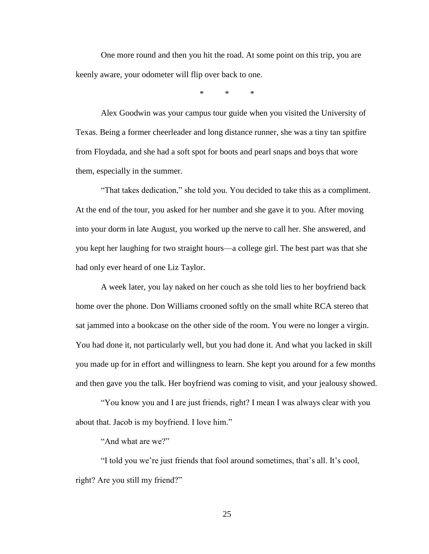One more round and then you hit the road. At some point on this trip, you are keenly aware, your odometer will flip over back to one.

\* \* \*

Alex Goodwin was your campus tour guide when you visited the University of Texas. Being a former cheerleader and long distance runner, she was a tiny tan spitfire from Floydada, and she had a soft spot for boots and pearl snaps and boys that wore them, especially in the summer.

"That takes dedication," she told you. You decided to take this as a compliment. At the end of the tour, you asked for her number and she gave it to you. After moving into your dorm in late August, you worked up the nerve to call her. She answered, and you kept her laughing for two straight hours—a college girl. The best part was that she had only ever heard of one Liz Taylor.

A week later, you lay naked on her couch as she told lies to her boyfriend back home over the phone. Don Williams crooned softly on the small white RCA stereo that sat jammed into a bookcase on the other side of the room. You were no longer a virgin. You had done it, not particularly well, but you had done it. And what you lacked in skill you made up for in effort and willingness to learn. She kept you around for a few months and then gave you the talk. Her boyfriend was coming to visit, and your jealousy showed.

"You know you and I are just friends, right? I mean I was always clear with you about that. Jacob is my boyfriend. I love him."

"And what are we?"

"I told you we're just friends that fool around sometimes, that's all. It's cool, right? Are you still my friend?"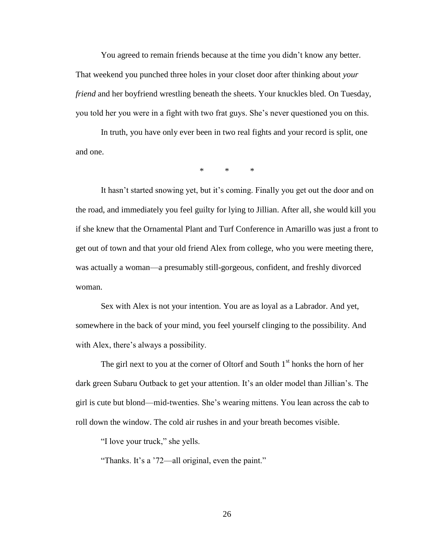You agreed to remain friends because at the time you didn't know any better. That weekend you punched three holes in your closet door after thinking about *your friend* and her boyfriend wrestling beneath the sheets. Your knuckles bled. On Tuesday, you told her you were in a fight with two frat guys. She's never questioned you on this.

In truth, you have only ever been in two real fights and your record is split, one and one.

\* \* \*

It hasn't started snowing yet, but it's coming. Finally you get out the door and on the road, and immediately you feel guilty for lying to Jillian. After all, she would kill you if she knew that the Ornamental Plant and Turf Conference in Amarillo was just a front to get out of town and that your old friend Alex from college, who you were meeting there, was actually a woman—a presumably still-gorgeous, confident, and freshly divorced woman.

Sex with Alex is not your intention. You are as loyal as a Labrador. And yet, somewhere in the back of your mind, you feel yourself clinging to the possibility. And with Alex, there's always a possibility.

The girl next to you at the corner of Oltorf and South  $1<sup>st</sup>$  honks the horn of her dark green Subaru Outback to get your attention. It's an older model than Jillian's. The girl is cute but blond—mid-twenties. She's wearing mittens. You lean across the cab to roll down the window. The cold air rushes in and your breath becomes visible.

"I love your truck," she yells.

"Thanks. It's a '72—all original, even the paint."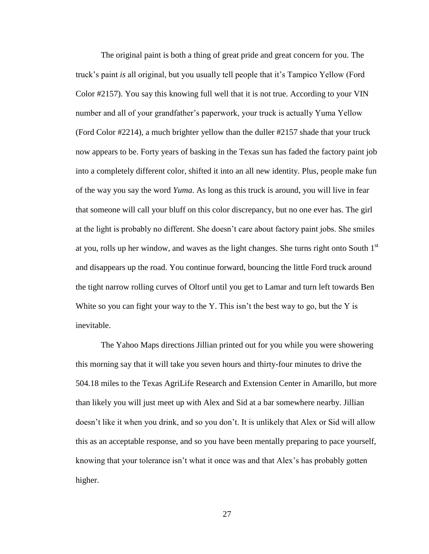The original paint is both a thing of great pride and great concern for you. The truck's paint *is* all original, but you usually tell people that it's Tampico Yellow (Ford Color #2157). You say this knowing full well that it is not true. According to your VIN number and all of your grandfather's paperwork, your truck is actually Yuma Yellow (Ford Color #2214), a much brighter yellow than the duller #2157 shade that your truck now appears to be. Forty years of basking in the Texas sun has faded the factory paint job into a completely different color, shifted it into an all new identity. Plus, people make fun of the way you say the word *Yuma*. As long as this truck is around, you will live in fear that someone will call your bluff on this color discrepancy, but no one ever has. The girl at the light is probably no different. She doesn't care about factory paint jobs. She smiles at you, rolls up her window, and waves as the light changes. She turns right onto South  $1<sup>st</sup>$ and disappears up the road. You continue forward, bouncing the little Ford truck around the tight narrow rolling curves of Oltorf until you get to Lamar and turn left towards Ben White so you can fight your way to the Y. This isn't the best way to go, but the Y is inevitable.

The Yahoo Maps directions Jillian printed out for you while you were showering this morning say that it will take you seven hours and thirty-four minutes to drive the 504.18 miles to the Texas AgriLife Research and Extension Center in Amarillo, but more than likely you will just meet up with Alex and Sid at a bar somewhere nearby. Jillian doesn't like it when you drink, and so you don't. It is unlikely that Alex or Sid will allow this as an acceptable response, and so you have been mentally preparing to pace yourself, knowing that your tolerance isn't what it once was and that Alex's has probably gotten higher.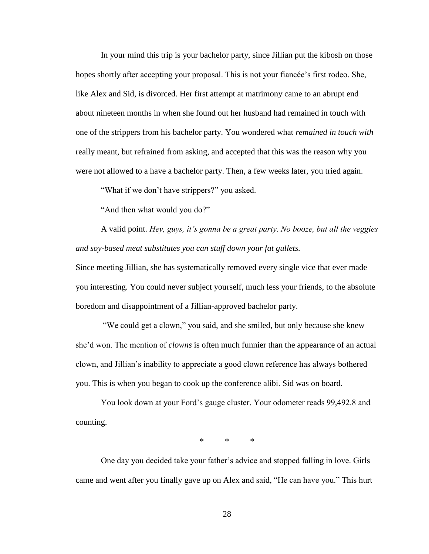In your mind this trip is your bachelor party, since Jillian put the kibosh on those hopes shortly after accepting your proposal. This is not your fiancée's first rodeo. She, like Alex and Sid, is divorced. Her first attempt at matrimony came to an abrupt end about nineteen months in when she found out her husband had remained in touch with one of the strippers from his bachelor party. You wondered what *remained in touch with* really meant, but refrained from asking, and accepted that this was the reason why you were not allowed to a have a bachelor party. Then, a few weeks later, you tried again.

"What if we don't have strippers?" you asked.

"And then what would you do?"

A valid point. *Hey, guys, it's gonna be a great party. No booze, but all the veggies and soy-based meat substitutes you can stuff down your fat gullets.*

Since meeting Jillian, she has systematically removed every single vice that ever made you interesting. You could never subject yourself, much less your friends, to the absolute boredom and disappointment of a Jillian-approved bachelor party.

"We could get a clown," you said, and she smiled, but only because she knew she'd won. The mention of *clowns* is often much funnier than the appearance of an actual clown, and Jillian's inability to appreciate a good clown reference has always bothered you. This is when you began to cook up the conference alibi. Sid was on board.

You look down at your Ford's gauge cluster. Your odometer reads 99,492.8 and counting.

\* \* \*

One day you decided take your father's advice and stopped falling in love. Girls came and went after you finally gave up on Alex and said, "He can have you." This hurt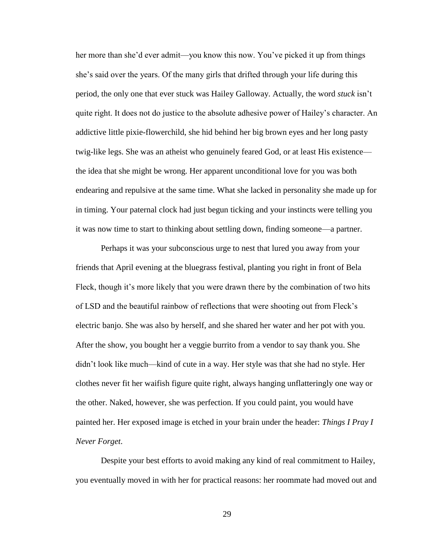her more than she'd ever admit—you know this now. You've picked it up from things she's said over the years. Of the many girls that drifted through your life during this period, the only one that ever stuck was Hailey Galloway. Actually, the word *stuck* isn't quite right. It does not do justice to the absolute adhesive power of Hailey's character. An addictive little pixie-flowerchild, she hid behind her big brown eyes and her long pasty twig-like legs. She was an atheist who genuinely feared God, or at least His existence the idea that she might be wrong. Her apparent unconditional love for you was both endearing and repulsive at the same time. What she lacked in personality she made up for in timing. Your paternal clock had just begun ticking and your instincts were telling you it was now time to start to thinking about settling down, finding someone—a partner.

Perhaps it was your subconscious urge to nest that lured you away from your friends that April evening at the bluegrass festival, planting you right in front of Bela Fleck, though it's more likely that you were drawn there by the combination of two hits of LSD and the beautiful rainbow of reflections that were shooting out from Fleck's electric banjo. She was also by herself, and she shared her water and her pot with you. After the show, you bought her a veggie burrito from a vendor to say thank you. She didn't look like much—kind of cute in a way. Her style was that she had no style. Her clothes never fit her waifish figure quite right, always hanging unflatteringly one way or the other. Naked, however, she was perfection. If you could paint, you would have painted her. Her exposed image is etched in your brain under the header: *Things I Pray I Never Forget*.

Despite your best efforts to avoid making any kind of real commitment to Hailey, you eventually moved in with her for practical reasons: her roommate had moved out and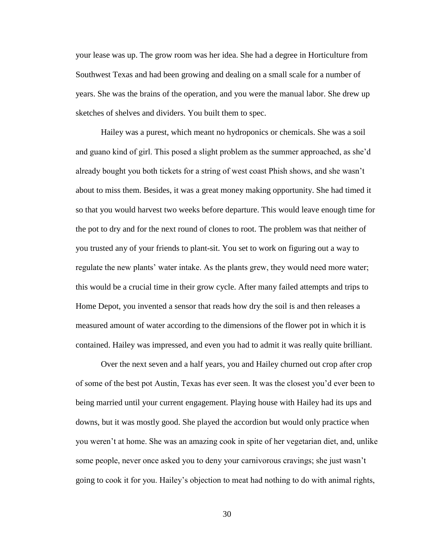your lease was up. The grow room was her idea. She had a degree in Horticulture from Southwest Texas and had been growing and dealing on a small scale for a number of years. She was the brains of the operation, and you were the manual labor. She drew up sketches of shelves and dividers. You built them to spec.

Hailey was a purest, which meant no hydroponics or chemicals. She was a soil and guano kind of girl. This posed a slight problem as the summer approached, as she'd already bought you both tickets for a string of west coast Phish shows, and she wasn't about to miss them. Besides, it was a great money making opportunity. She had timed it so that you would harvest two weeks before departure. This would leave enough time for the pot to dry and for the next round of clones to root. The problem was that neither of you trusted any of your friends to plant-sit. You set to work on figuring out a way to regulate the new plants' water intake. As the plants grew, they would need more water; this would be a crucial time in their grow cycle. After many failed attempts and trips to Home Depot, you invented a sensor that reads how dry the soil is and then releases a measured amount of water according to the dimensions of the flower pot in which it is contained. Hailey was impressed, and even you had to admit it was really quite brilliant.

Over the next seven and a half years, you and Hailey churned out crop after crop of some of the best pot Austin, Texas has ever seen. It was the closest you'd ever been to being married until your current engagement. Playing house with Hailey had its ups and downs, but it was mostly good. She played the accordion but would only practice when you weren't at home. She was an amazing cook in spite of her vegetarian diet, and, unlike some people, never once asked you to deny your carnivorous cravings; she just wasn't going to cook it for you. Hailey's objection to meat had nothing to do with animal rights,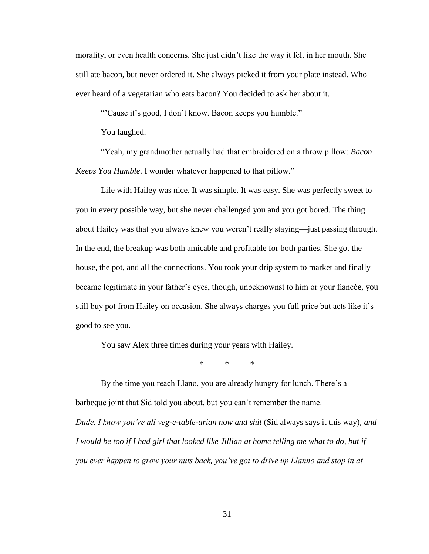morality, or even health concerns. She just didn't like the way it felt in her mouth. She still ate bacon, but never ordered it. She always picked it from your plate instead. Who ever heard of a vegetarian who eats bacon? You decided to ask her about it.

"'Cause it's good, I don't know. Bacon keeps you humble."

You laughed.

"Yeah, my grandmother actually had that embroidered on a throw pillow: *Bacon Keeps You Humble*. I wonder whatever happened to that pillow."

Life with Hailey was nice. It was simple. It was easy. She was perfectly sweet to you in every possible way, but she never challenged you and you got bored. The thing about Hailey was that you always knew you weren't really staying—just passing through. In the end, the breakup was both amicable and profitable for both parties. She got the house, the pot, and all the connections. You took your drip system to market and finally became legitimate in your father's eyes, though, unbeknownst to him or your fiancée, you still buy pot from Hailey on occasion. She always charges you full price but acts like it's good to see you.

You saw Alex three times during your years with Hailey.

\* \* \*

By the time you reach Llano, you are already hungry for lunch. There's a barbeque joint that Sid told you about, but you can't remember the name. *Dude, I know you're all veg-e-table-arian now and shit* (Sid always says it this way)*, and I would be too if I had girl that looked like Jillian at home telling me what to do, but if you ever happen to grow your nuts back, you've got to drive up Llanno and stop in at*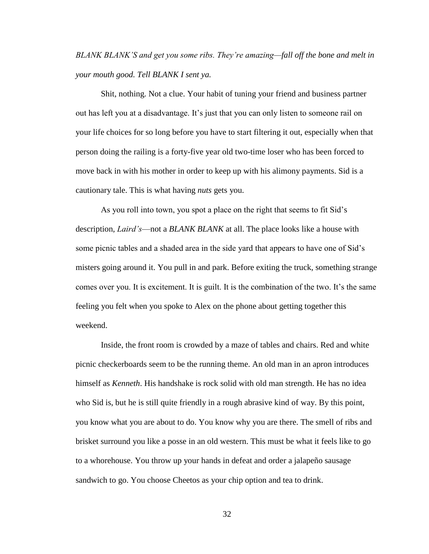*BLANK BLANK'S and get you some ribs. They're amazing—fall off the bone and melt in your mouth good. Tell BLANK I sent ya.* 

Shit, nothing. Not a clue. Your habit of tuning your friend and business partner out has left you at a disadvantage. It's just that you can only listen to someone rail on your life choices for so long before you have to start filtering it out, especially when that person doing the railing is a forty-five year old two-time loser who has been forced to move back in with his mother in order to keep up with his alimony payments. Sid is a cautionary tale. This is what having *nuts* gets you.

As you roll into town, you spot a place on the right that seems to fit Sid's description, *Laird's*—not a *BLANK BLANK* at all. The place looks like a house with some picnic tables and a shaded area in the side yard that appears to have one of Sid's misters going around it. You pull in and park. Before exiting the truck, something strange comes over you. It is excitement. It is guilt. It is the combination of the two. It's the same feeling you felt when you spoke to Alex on the phone about getting together this weekend.

Inside, the front room is crowded by a maze of tables and chairs. Red and white picnic checkerboards seem to be the running theme. An old man in an apron introduces himself as *Kenneth*. His handshake is rock solid with old man strength. He has no idea who Sid is, but he is still quite friendly in a rough abrasive kind of way. By this point, you know what you are about to do. You know why you are there. The smell of ribs and brisket surround you like a posse in an old western. This must be what it feels like to go to a whorehouse. You throw up your hands in defeat and order a jalapeño sausage sandwich to go. You choose Cheetos as your chip option and tea to drink.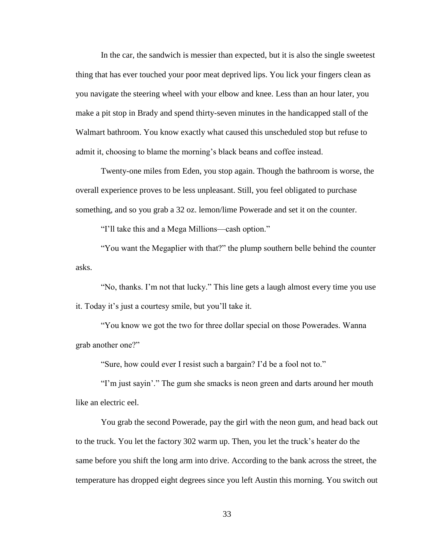In the car, the sandwich is messier than expected, but it is also the single sweetest thing that has ever touched your poor meat deprived lips. You lick your fingers clean as you navigate the steering wheel with your elbow and knee. Less than an hour later, you make a pit stop in Brady and spend thirty-seven minutes in the handicapped stall of the Walmart bathroom. You know exactly what caused this unscheduled stop but refuse to admit it, choosing to blame the morning's black beans and coffee instead.

Twenty-one miles from Eden, you stop again. Though the bathroom is worse, the overall experience proves to be less unpleasant. Still, you feel obligated to purchase something, and so you grab a 32 oz. lemon/lime Powerade and set it on the counter.

"I'll take this and a Mega Millions—cash option."

"You want the Megaplier with that?" the plump southern belle behind the counter asks.

"No, thanks. I'm not that lucky." This line gets a laugh almost every time you use it. Today it's just a courtesy smile, but you'll take it.

"You know we got the two for three dollar special on those Powerades. Wanna grab another one?"

"Sure, how could ever I resist such a bargain? I'd be a fool not to."

"I'm just sayin'." The gum she smacks is neon green and darts around her mouth like an electric eel.

You grab the second Powerade, pay the girl with the neon gum, and head back out to the truck. You let the factory 302 warm up. Then, you let the truck's heater do the same before you shift the long arm into drive. According to the bank across the street, the temperature has dropped eight degrees since you left Austin this morning. You switch out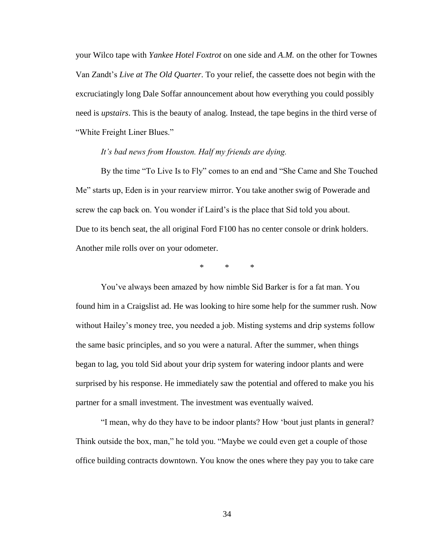your Wilco tape with *Yankee Hotel Foxtrot* on one side and *A.M.* on the other for Townes Van Zandt's *Live at The Old Quarter*. To your relief, the cassette does not begin with the excruciatingly long Dale Soffar announcement about how everything you could possibly need is *upstairs*. This is the beauty of analog. Instead, the tape begins in the third verse of "White Freight Liner Blues."

# *It's bad news from Houston. Half my friends are dying.*

By the time "To Live Is to Fly" comes to an end and "She Came and She Touched Me" starts up, Eden is in your rearview mirror. You take another swig of Powerade and screw the cap back on. You wonder if Laird's is the place that Sid told you about. Due to its bench seat, the all original Ford F100 has no center console or drink holders. Another mile rolls over on your odometer.

\* \* \*

You've always been amazed by how nimble Sid Barker is for a fat man. You found him in a Craigslist ad. He was looking to hire some help for the summer rush. Now without Hailey's money tree, you needed a job. Misting systems and drip systems follow the same basic principles, and so you were a natural. After the summer, when things began to lag, you told Sid about your drip system for watering indoor plants and were surprised by his response. He immediately saw the potential and offered to make you his partner for a small investment. The investment was eventually waived.

"I mean, why do they have to be indoor plants? How 'bout just plants in general? Think outside the box, man," he told you. "Maybe we could even get a couple of those office building contracts downtown. You know the ones where they pay you to take care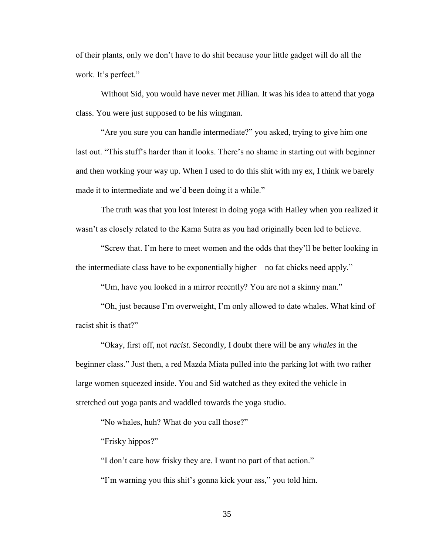of their plants, only we don't have to do shit because your little gadget will do all the work. It's perfect."

Without Sid, you would have never met Jillian. It was his idea to attend that yoga class. You were just supposed to be his wingman.

"Are you sure you can handle intermediate?" you asked, trying to give him one last out. "This stuff's harder than it looks. There's no shame in starting out with beginner and then working your way up. When I used to do this shit with my ex, I think we barely made it to intermediate and we'd been doing it a while."

The truth was that you lost interest in doing yoga with Hailey when you realized it wasn't as closely related to the Kama Sutra as you had originally been led to believe.

"Screw that. I'm here to meet women and the odds that they'll be better looking in the intermediate class have to be exponentially higher—no fat chicks need apply."

"Um, have you looked in a mirror recently? You are not a skinny man."

"Oh, just because I'm overweight, I'm only allowed to date whales. What kind of racist shit is that?"

"Okay, first off, not *racist*. Secondly, I doubt there will be any *whales* in the beginner class." Just then, a red Mazda Miata pulled into the parking lot with two rather large women squeezed inside. You and Sid watched as they exited the vehicle in stretched out yoga pants and waddled towards the yoga studio.

"No whales, huh? What do you call those?"

"Frisky hippos?"

"I don't care how frisky they are. I want no part of that action."

"I'm warning you this shit's gonna kick your ass," you told him.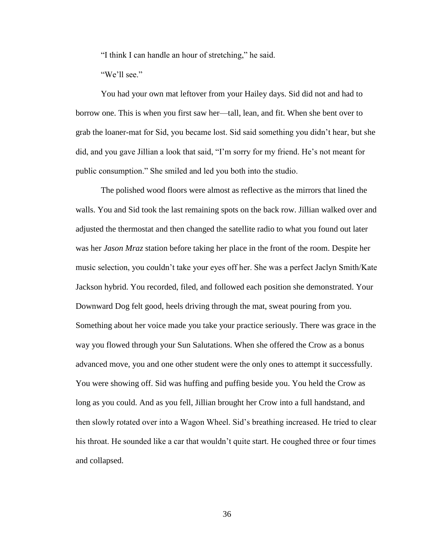"I think I can handle an hour of stretching," he said.

"We'll see"

You had your own mat leftover from your Hailey days. Sid did not and had to borrow one. This is when you first saw her—tall, lean, and fit. When she bent over to grab the loaner-mat for Sid, you became lost. Sid said something you didn't hear, but she did, and you gave Jillian a look that said, "I'm sorry for my friend. He's not meant for public consumption." She smiled and led you both into the studio.

The polished wood floors were almost as reflective as the mirrors that lined the walls. You and Sid took the last remaining spots on the back row. Jillian walked over and adjusted the thermostat and then changed the satellite radio to what you found out later was her *Jason Mraz* station before taking her place in the front of the room. Despite her music selection, you couldn't take your eyes off her. She was a perfect Jaclyn Smith/Kate Jackson hybrid. You recorded, filed, and followed each position she demonstrated. Your Downward Dog felt good, heels driving through the mat, sweat pouring from you. Something about her voice made you take your practice seriously. There was grace in the way you flowed through your Sun Salutations. When she offered the Crow as a bonus advanced move, you and one other student were the only ones to attempt it successfully. You were showing off. Sid was huffing and puffing beside you. You held the Crow as long as you could. And as you fell, Jillian brought her Crow into a full handstand, and then slowly rotated over into a Wagon Wheel. Sid's breathing increased. He tried to clear his throat. He sounded like a car that wouldn't quite start. He coughed three or four times and collapsed.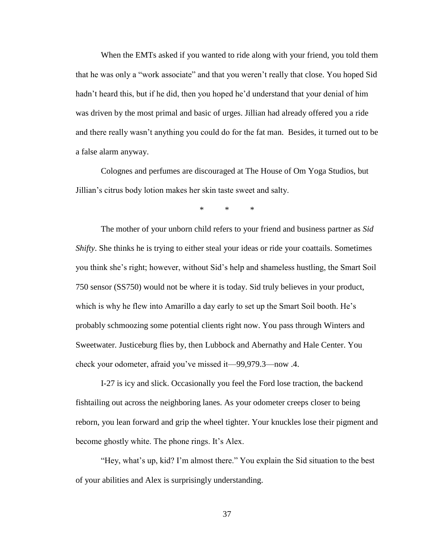When the EMTs asked if you wanted to ride along with your friend, you told them that he was only a "work associate" and that you weren't really that close. You hoped Sid hadn't heard this, but if he did, then you hoped he'd understand that your denial of him was driven by the most primal and basic of urges. Jillian had already offered you a ride and there really wasn't anything you could do for the fat man. Besides, it turned out to be a false alarm anyway.

Colognes and perfumes are discouraged at The House of Om Yoga Studios, but Jillian's citrus body lotion makes her skin taste sweet and salty.

\* \* \*

The mother of your unborn child refers to your friend and business partner as *Sid Shifty*. She thinks he is trying to either steal your ideas or ride your coattails. Sometimes you think she's right; however, without Sid's help and shameless hustling, the Smart Soil 750 sensor (SS750) would not be where it is today. Sid truly believes in your product, which is why he flew into Amarillo a day early to set up the Smart Soil booth. He's probably schmoozing some potential clients right now. You pass through Winters and Sweetwater. Justiceburg flies by, then Lubbock and Abernathy and Hale Center. You check your odometer, afraid you've missed it—99,979.3—now .4.

I-27 is icy and slick. Occasionally you feel the Ford lose traction, the backend fishtailing out across the neighboring lanes. As your odometer creeps closer to being reborn, you lean forward and grip the wheel tighter. Your knuckles lose their pigment and become ghostly white. The phone rings. It's Alex.

"Hey, what's up, kid? I'm almost there." You explain the Sid situation to the best of your abilities and Alex is surprisingly understanding.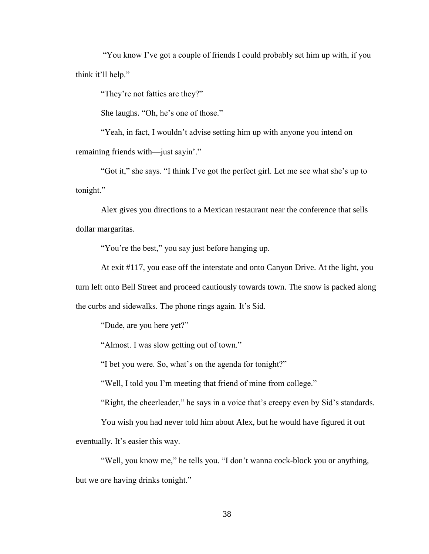"You know I've got a couple of friends I could probably set him up with, if you think it'll help."

"They're not fatties are they?"

She laughs. "Oh, he's one of those."

"Yeah, in fact, I wouldn't advise setting him up with anyone you intend on remaining friends with—just sayin'."

"Got it," she says. "I think I've got the perfect girl. Let me see what she's up to tonight."

Alex gives you directions to a Mexican restaurant near the conference that sells dollar margaritas.

"You're the best," you say just before hanging up.

At exit #117, you ease off the interstate and onto Canyon Drive. At the light, you turn left onto Bell Street and proceed cautiously towards town. The snow is packed along the curbs and sidewalks. The phone rings again. It's Sid.

"Dude, are you here yet?"

"Almost. I was slow getting out of town."

"I bet you were. So, what's on the agenda for tonight?"

"Well, I told you I'm meeting that friend of mine from college."

"Right, the cheerleader," he says in a voice that's creepy even by Sid's standards.

You wish you had never told him about Alex, but he would have figured it out

eventually. It's easier this way.

"Well, you know me," he tells you. "I don't wanna cock-block you or anything, but we *are* having drinks tonight."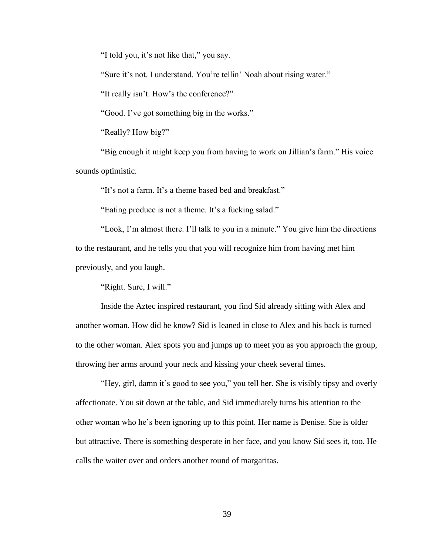"I told you, it's not like that," you say.

"Sure it's not. I understand. You're tellin' Noah about rising water."

"It really isn't. How's the conference?"

"Good. I've got something big in the works."

"Really? How big?"

"Big enough it might keep you from having to work on Jillian's farm." His voice sounds optimistic.

"It's not a farm. It's a theme based bed and breakfast."

"Eating produce is not a theme. It's a fucking salad."

"Look, I'm almost there. I'll talk to you in a minute." You give him the directions to the restaurant, and he tells you that you will recognize him from having met him previously, and you laugh.

"Right. Sure, I will."

Inside the Aztec inspired restaurant, you find Sid already sitting with Alex and another woman. How did he know? Sid is leaned in close to Alex and his back is turned to the other woman. Alex spots you and jumps up to meet you as you approach the group, throwing her arms around your neck and kissing your cheek several times.

"Hey, girl, damn it's good to see you," you tell her. She is visibly tipsy and overly affectionate. You sit down at the table, and Sid immediately turns his attention to the other woman who he's been ignoring up to this point. Her name is Denise. She is older but attractive. There is something desperate in her face, and you know Sid sees it, too. He calls the waiter over and orders another round of margaritas.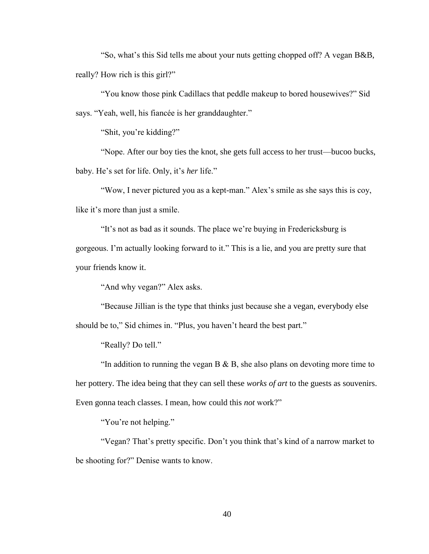"So, what's this Sid tells me about your nuts getting chopped off? A vegan B&B, really? How rich is this girl?"

 "You know those pink Cadillacs that peddle makeup to bored housewives?" Sid says. "Yeah, well, his fiancée is her granddaughter."

"Shit, you're kidding?"

"Nope. After our boy ties the knot, she gets full access to her trust—bucoo bucks, baby. He's set for life. Only, it's *her* life."

"Wow, I never pictured you as a kept-man." Alex's smile as she says this is coy, like it's more than just a smile.

"It's not as bad as it sounds. The place we're buying in Fredericksburg is gorgeous. I'm actually looking forward to it." This is a lie, and you are pretty sure that your friends know it.

"And why vegan?" Alex asks.

"Because Jillian is the type that thinks just because she a vegan, everybody else should be to," Sid chimes in. "Plus, you haven't heard the best part."

"Really? Do tell."

"In addition to running the vegan B  $\&$  B, she also plans on devoting more time to her pottery. The idea being that they can sell these *works of art* to the guests as souvenirs. Even gonna teach classes. I mean, how could this *not* work?"

"You're not helping."

"Vegan? That's pretty specific. Don't you think that's kind of a narrow market to be shooting for?" Denise wants to know.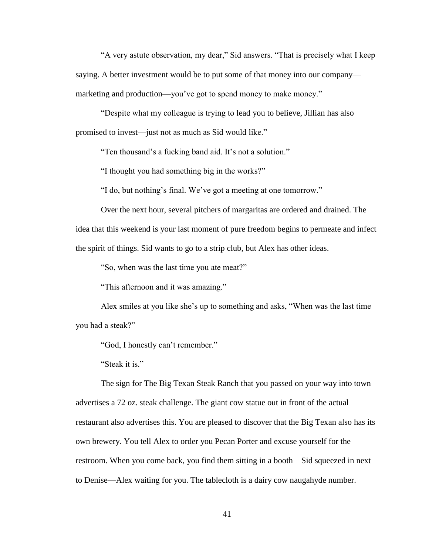"A very astute observation, my dear," Sid answers. "That is precisely what I keep saying. A better investment would be to put some of that money into our company marketing and production—you've got to spend money to make money."

"Despite what my colleague is trying to lead you to believe, Jillian has also promised to invest—just not as much as Sid would like."

"Ten thousand's a fucking band aid. It's not a solution."

"I thought you had something big in the works?"

"I do, but nothing's final. We've got a meeting at one tomorrow."

Over the next hour, several pitchers of margaritas are ordered and drained. The idea that this weekend is your last moment of pure freedom begins to permeate and infect the spirit of things. Sid wants to go to a strip club, but Alex has other ideas.

"So, when was the last time you ate meat?"

"This afternoon and it was amazing."

Alex smiles at you like she's up to something and asks, "When was the last time you had a steak?"

"God, I honestly can't remember."

"Steak it is."

The sign for The Big Texan Steak Ranch that you passed on your way into town advertises a 72 oz. steak challenge. The giant cow statue out in front of the actual restaurant also advertises this. You are pleased to discover that the Big Texan also has its own brewery. You tell Alex to order you Pecan Porter and excuse yourself for the restroom. When you come back, you find them sitting in a booth—Sid squeezed in next to Denise—Alex waiting for you. The tablecloth is a dairy cow naugahyde number.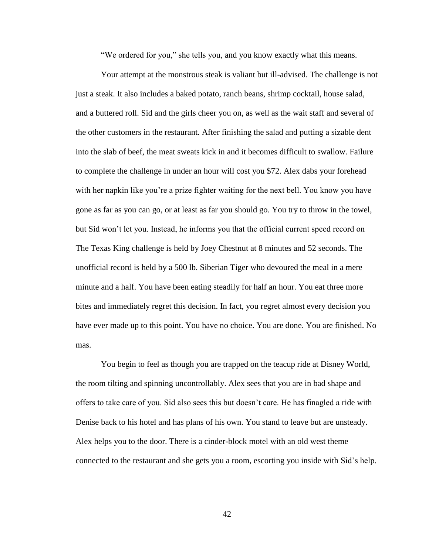"We ordered for you," she tells you, and you know exactly what this means.

Your attempt at the monstrous steak is valiant but ill-advised. The challenge is not just a steak. It also includes a baked potato, ranch beans, shrimp cocktail, house salad, and a buttered roll. Sid and the girls cheer you on, as well as the wait staff and several of the other customers in the restaurant. After finishing the salad and putting a sizable dent into the slab of beef, the meat sweats kick in and it becomes difficult to swallow. Failure to complete the challenge in under an hour will cost you \$72. Alex dabs your forehead with her napkin like you're a prize fighter waiting for the next bell. You know you have gone as far as you can go, or at least as far you should go. You try to throw in the towel, but Sid won't let you. Instead, he informs you that the official current speed record on The Texas King challenge is held by Joey Chestnut at 8 minutes and 52 seconds. The unofficial record is held by a 500 lb. Siberian Tiger who devoured the meal in a mere minute and a half. You have been eating steadily for half an hour. You eat three more bites and immediately regret this decision. In fact, you regret almost every decision you have ever made up to this point. You have no choice. You are done. You are finished. No mas.

You begin to feel as though you are trapped on the teacup ride at Disney World, the room tilting and spinning uncontrollably. Alex sees that you are in bad shape and offers to take care of you. Sid also sees this but doesn't care. He has finagled a ride with Denise back to his hotel and has plans of his own. You stand to leave but are unsteady. Alex helps you to the door. There is a cinder-block motel with an old west theme connected to the restaurant and she gets you a room, escorting you inside with Sid's help.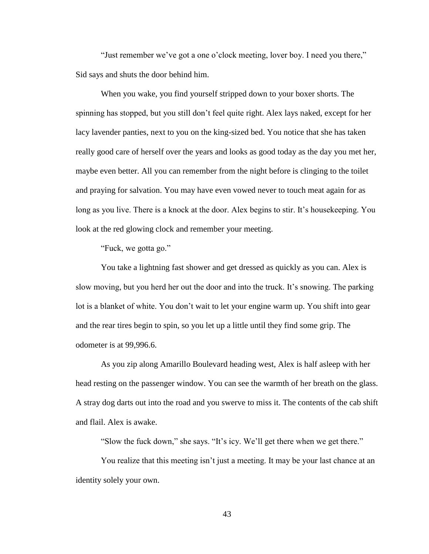"Just remember we've got a one o'clock meeting, lover boy. I need you there," Sid says and shuts the door behind him.

When you wake, you find yourself stripped down to your boxer shorts. The spinning has stopped, but you still don't feel quite right. Alex lays naked, except for her lacy lavender panties, next to you on the king-sized bed. You notice that she has taken really good care of herself over the years and looks as good today as the day you met her, maybe even better. All you can remember from the night before is clinging to the toilet and praying for salvation. You may have even vowed never to touch meat again for as long as you live. There is a knock at the door. Alex begins to stir. It's housekeeping. You look at the red glowing clock and remember your meeting.

"Fuck, we gotta go."

You take a lightning fast shower and get dressed as quickly as you can. Alex is slow moving, but you herd her out the door and into the truck. It's snowing. The parking lot is a blanket of white. You don't wait to let your engine warm up. You shift into gear and the rear tires begin to spin, so you let up a little until they find some grip. The odometer is at 99,996.6.

As you zip along Amarillo Boulevard heading west, Alex is half asleep with her head resting on the passenger window. You can see the warmth of her breath on the glass. A stray dog darts out into the road and you swerve to miss it. The contents of the cab shift and flail. Alex is awake.

"Slow the fuck down," she says. "It's icy. We'll get there when we get there."

You realize that this meeting isn't just a meeting. It may be your last chance at an identity solely your own.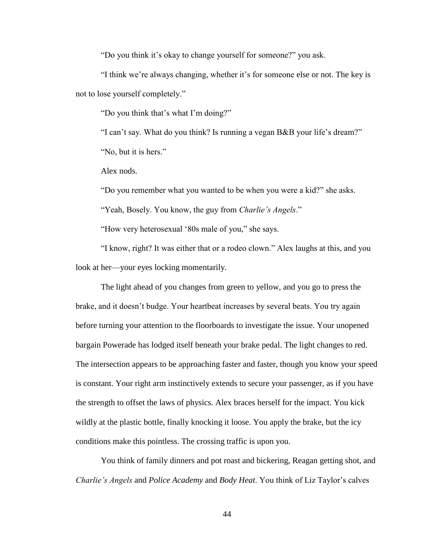"Do you think it's okay to change yourself for someone?" you ask.

"I think we're always changing, whether it's for someone else or not. The key is not to lose yourself completely."

"Do you think that's what I'm doing?"

"I can't say. What do you think? Is running a vegan B&B your life's dream?" "No, but it is hers."

Alex nods.

"Do you remember what you wanted to be when you were a kid?" she asks.

"Yeah, Bosely. You know, the guy from *Charlie's Angels*."

"How very heterosexual '80s male of you," she says.

"I know, right? It was either that or a rodeo clown." Alex laughs at this, and you look at her—your eyes locking momentarily.

The light ahead of you changes from green to yellow, and you go to press the brake, and it doesn't budge. Your heartbeat increases by several beats. You try again before turning your attention to the floorboards to investigate the issue. Your unopened bargain Powerade has lodged itself beneath your brake pedal. The light changes to red. The intersection appears to be approaching faster and faster, though you know your speed is constant. Your right arm instinctively extends to secure your passenger, as if you have the strength to offset the laws of physics. Alex braces herself for the impact. You kick wildly at the plastic bottle, finally knocking it loose. You apply the brake, but the icy conditions make this pointless. The crossing traffic is upon you.

You think of family dinners and pot roast and bickering, Reagan getting shot, and *Charlie's Angels* and *Police Academy* and *Body Heat*. You think of Liz Taylor's calves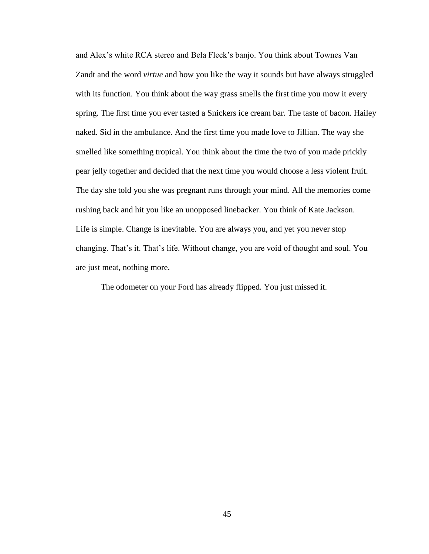and Alex's white RCA stereo and Bela Fleck's banjo. You think about Townes Van Zandt and the word *virtue* and how you like the way it sounds but have always struggled with its function. You think about the way grass smells the first time you mow it every spring. The first time you ever tasted a Snickers ice cream bar. The taste of bacon. Hailey naked. Sid in the ambulance. And the first time you made love to Jillian. The way she smelled like something tropical. You think about the time the two of you made prickly pear jelly together and decided that the next time you would choose a less violent fruit. The day she told you she was pregnant runs through your mind. All the memories come rushing back and hit you like an unopposed linebacker. You think of Kate Jackson. Life is simple. Change is inevitable. You are always you, and yet you never stop changing. That's it. That's life. Without change, you are void of thought and soul. You are just meat, nothing more.

The odometer on your Ford has already flipped. You just missed it.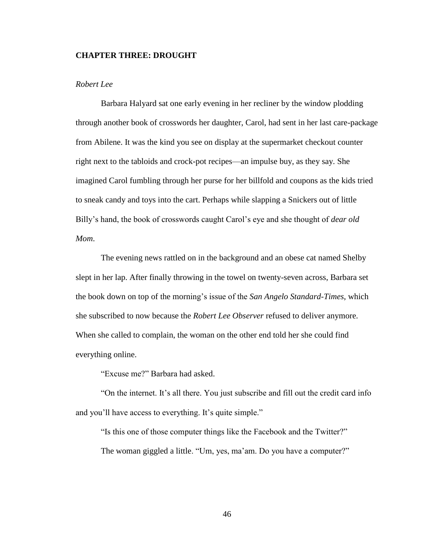## **CHAPTER THREE: DROUGHT**

## *Robert Lee*

Barbara Halyard sat one early evening in her recliner by the window plodding through another book of crosswords her daughter, Carol, had sent in her last care-package from Abilene. It was the kind you see on display at the supermarket checkout counter right next to the tabloids and crock-pot recipes—an impulse buy, as they say. She imagined Carol fumbling through her purse for her billfold and coupons as the kids tried to sneak candy and toys into the cart. Perhaps while slapping a Snickers out of little Billy's hand, the book of crosswords caught Carol's eye and she thought of *dear old Mom*.

The evening news rattled on in the background and an obese cat named Shelby slept in her lap. After finally throwing in the towel on twenty-seven across, Barbara set the book down on top of the morning's issue of the *San Angelo Standard-Times*, which she subscribed to now because the *Robert Lee Observer* refused to deliver anymore. When she called to complain, the woman on the other end told her she could find everything online.

"Excuse me?" Barbara had asked.

"On the internet. It's all there. You just subscribe and fill out the credit card info and you'll have access to everything. It's quite simple."

"Is this one of those computer things like the Facebook and the Twitter?"

The woman giggled a little. "Um, yes, ma'am. Do you have a computer?"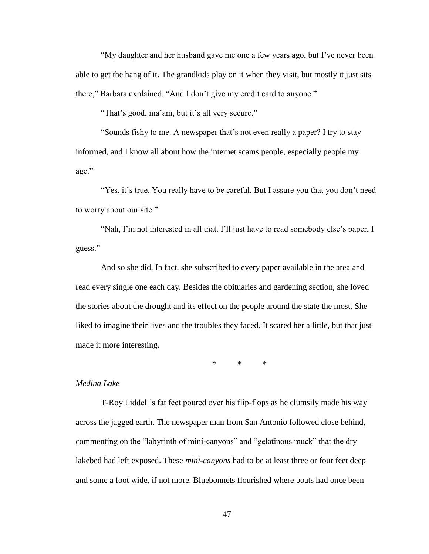"My daughter and her husband gave me one a few years ago, but I've never been able to get the hang of it. The grandkids play on it when they visit, but mostly it just sits there," Barbara explained. "And I don't give my credit card to anyone."

"That's good, ma'am, but it's all very secure."

"Sounds fishy to me. A newspaper that's not even really a paper? I try to stay informed, and I know all about how the internet scams people, especially people my age."

"Yes, it's true. You really have to be careful. But I assure you that you don't need to worry about our site."

"Nah, I'm not interested in all that. I'll just have to read somebody else's paper, I guess."

And so she did. In fact, she subscribed to every paper available in the area and read every single one each day. Besides the obituaries and gardening section, she loved the stories about the drought and its effect on the people around the state the most. She liked to imagine their lives and the troubles they faced. It scared her a little, but that just made it more interesting.

\* \* \*

## *Medina Lake*

T-Roy Liddell's fat feet poured over his flip-flops as he clumsily made his way across the jagged earth. The newspaper man from San Antonio followed close behind, commenting on the "labyrinth of mini-canyons" and "gelatinous muck" that the dry lakebed had left exposed. These *mini-canyons* had to be at least three or four feet deep and some a foot wide, if not more. Bluebonnets flourished where boats had once been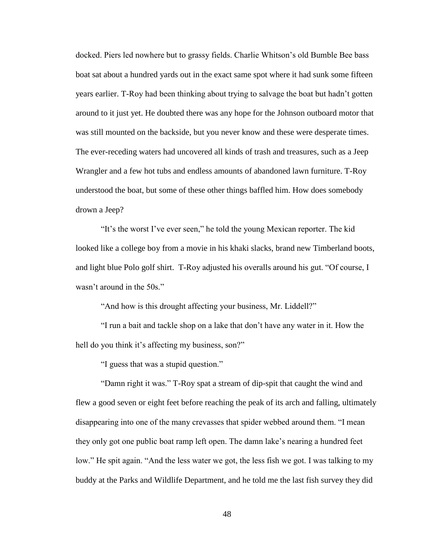docked. Piers led nowhere but to grassy fields. Charlie Whitson's old Bumble Bee bass boat sat about a hundred yards out in the exact same spot where it had sunk some fifteen years earlier. T-Roy had been thinking about trying to salvage the boat but hadn't gotten around to it just yet. He doubted there was any hope for the Johnson outboard motor that was still mounted on the backside, but you never know and these were desperate times. The ever-receding waters had uncovered all kinds of trash and treasures, such as a Jeep Wrangler and a few hot tubs and endless amounts of abandoned lawn furniture. T-Roy understood the boat, but some of these other things baffled him. How does somebody drown a Jeep?

"It's the worst I've ever seen," he told the young Mexican reporter. The kid looked like a college boy from a movie in his khaki slacks, brand new Timberland boots, and light blue Polo golf shirt. T-Roy adjusted his overalls around his gut. "Of course, I wasn't around in the 50s."

"And how is this drought affecting your business, Mr. Liddell?"

"I run a bait and tackle shop on a lake that don't have any water in it. How the hell do you think it's affecting my business, son?"

"I guess that was a stupid question."

"Damn right it was." T-Roy spat a stream of dip-spit that caught the wind and flew a good seven or eight feet before reaching the peak of its arch and falling, ultimately disappearing into one of the many crevasses that spider webbed around them. "I mean they only got one public boat ramp left open. The damn lake's nearing a hundred feet low." He spit again. "And the less water we got, the less fish we got. I was talking to my buddy at the Parks and Wildlife Department, and he told me the last fish survey they did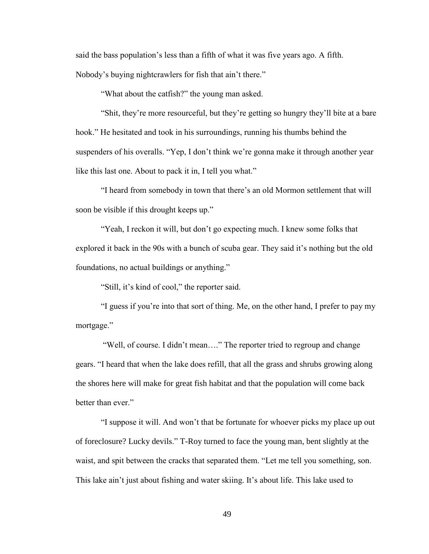said the bass population's less than a fifth of what it was five years ago. A fifth. Nobody's buying nightcrawlers for fish that ain't there."

"What about the catfish?" the young man asked.

"Shit, they're more resourceful, but they're getting so hungry they'll bite at a bare hook." He hesitated and took in his surroundings, running his thumbs behind the suspenders of his overalls. "Yep, I don't think we're gonna make it through another year like this last one. About to pack it in, I tell you what."

"I heard from somebody in town that there's an old Mormon settlement that will soon be visible if this drought keeps up."

"Yeah, I reckon it will, but don't go expecting much. I knew some folks that explored it back in the 90s with a bunch of scuba gear. They said it's nothing but the old foundations, no actual buildings or anything."

"Still, it's kind of cool," the reporter said.

"I guess if you're into that sort of thing. Me, on the other hand, I prefer to pay my mortgage."

"Well, of course. I didn't mean…." The reporter tried to regroup and change gears. "I heard that when the lake does refill, that all the grass and shrubs growing along the shores here will make for great fish habitat and that the population will come back better than ever."

"I suppose it will. And won't that be fortunate for whoever picks my place up out of foreclosure? Lucky devils." T-Roy turned to face the young man, bent slightly at the waist, and spit between the cracks that separated them. "Let me tell you something, son. This lake ain't just about fishing and water skiing. It's about life. This lake used to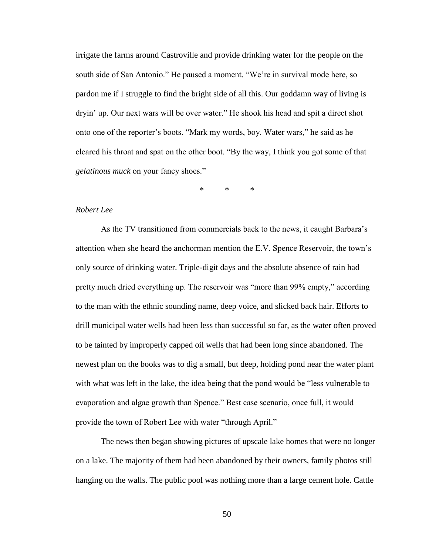irrigate the farms around Castroville and provide drinking water for the people on the south side of San Antonio." He paused a moment. "We're in survival mode here, so pardon me if I struggle to find the bright side of all this. Our goddamn way of living is dryin' up. Our next wars will be over water." He shook his head and spit a direct shot onto one of the reporter's boots. "Mark my words, boy. Water wars," he said as he cleared his throat and spat on the other boot. "By the way, I think you got some of that *gelatinous muck* on your fancy shoes."

\* \* \*

## *Robert Lee*

As the TV transitioned from commercials back to the news, it caught Barbara's attention when she heard the anchorman mention the E.V. Spence Reservoir, the town's only source of drinking water. Triple-digit days and the absolute absence of rain had pretty much dried everything up. The reservoir was "more than 99% empty," according to the man with the ethnic sounding name, deep voice, and slicked back hair. Efforts to drill municipal water wells had been less than successful so far, as the water often proved to be tainted by improperly capped oil wells that had been long since abandoned. The newest plan on the books was to dig a small, but deep, holding pond near the water plant with what was left in the lake, the idea being that the pond would be "less vulnerable to evaporation and algae growth than Spence." Best case scenario, once full, it would provide the town of Robert Lee with water "through April."

The news then began showing pictures of upscale lake homes that were no longer on a lake. The majority of them had been abandoned by their owners, family photos still hanging on the walls. The public pool was nothing more than a large cement hole. Cattle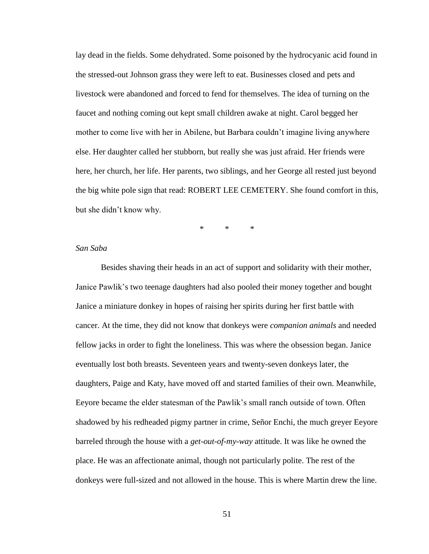lay dead in the fields. Some dehydrated. Some poisoned by the hydrocyanic acid found in the stressed-out Johnson grass they were left to eat. Businesses closed and pets and livestock were abandoned and forced to fend for themselves. The idea of turning on the faucet and nothing coming out kept small children awake at night. Carol begged her mother to come live with her in Abilene, but Barbara couldn't imagine living anywhere else. Her daughter called her stubborn, but really she was just afraid. Her friends were here, her church, her life. Her parents, two siblings, and her George all rested just beyond the big white pole sign that read: ROBERT LEE CEMETERY. She found comfort in this, but she didn't know why.

\* \* \*

### *San Saba*

Besides shaving their heads in an act of support and solidarity with their mother, Janice Pawlik's two teenage daughters had also pooled their money together and bought Janice a miniature donkey in hopes of raising her spirits during her first battle with cancer. At the time, they did not know that donkeys were *companion animals* and needed fellow jacks in order to fight the loneliness. This was where the obsession began. Janice eventually lost both breasts. Seventeen years and twenty-seven donkeys later, the daughters, Paige and Katy, have moved off and started families of their own. Meanwhile, Eeyore became the elder statesman of the Pawlik's small ranch outside of town. Often shadowed by his redheaded pigmy partner in crime, Señor Enchi, the much greyer Eeyore barreled through the house with a *get-out-of-my-way* attitude. It was like he owned the place. He was an affectionate animal, though not particularly polite. The rest of the donkeys were full-sized and not allowed in the house. This is where Martin drew the line.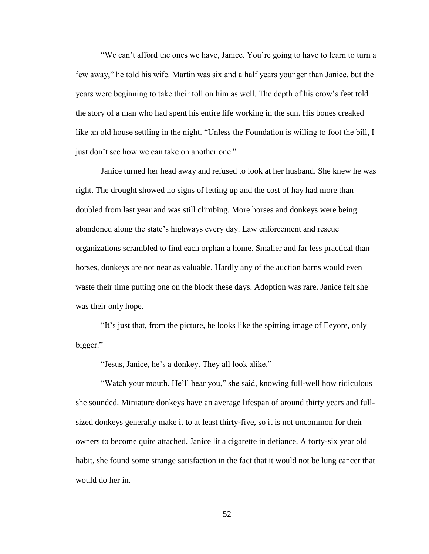"We can't afford the ones we have, Janice. You're going to have to learn to turn a few away," he told his wife. Martin was six and a half years younger than Janice, but the years were beginning to take their toll on him as well. The depth of his crow's feet told the story of a man who had spent his entire life working in the sun. His bones creaked like an old house settling in the night. "Unless the Foundation is willing to foot the bill, I just don't see how we can take on another one."

Janice turned her head away and refused to look at her husband. She knew he was right. The drought showed no signs of letting up and the cost of hay had more than doubled from last year and was still climbing. More horses and donkeys were being abandoned along the state's highways every day. Law enforcement and rescue organizations scrambled to find each orphan a home. Smaller and far less practical than horses, donkeys are not near as valuable. Hardly any of the auction barns would even waste their time putting one on the block these days. Adoption was rare. Janice felt she was their only hope.

"It's just that, from the picture, he looks like the spitting image of Eeyore, only bigger."

"Jesus, Janice, he's a donkey. They all look alike."

"Watch your mouth. He'll hear you," she said, knowing full-well how ridiculous she sounded. Miniature donkeys have an average lifespan of around thirty years and fullsized donkeys generally make it to at least thirty-five, so it is not uncommon for their owners to become quite attached. Janice lit a cigarette in defiance. A forty-six year old habit, she found some strange satisfaction in the fact that it would not be lung cancer that would do her in.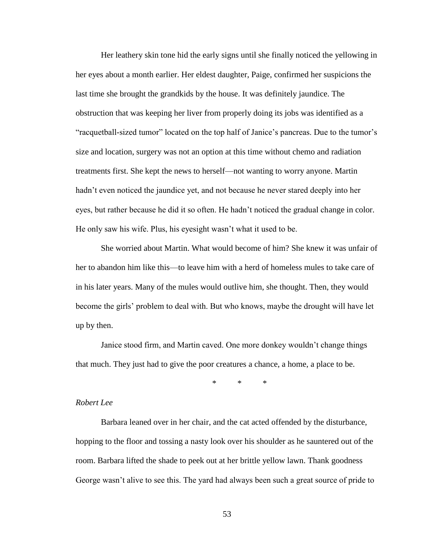Her leathery skin tone hid the early signs until she finally noticed the yellowing in her eyes about a month earlier. Her eldest daughter, Paige, confirmed her suspicions the last time she brought the grandkids by the house. It was definitely jaundice. The obstruction that was keeping her liver from properly doing its jobs was identified as a "racquetball-sized tumor" located on the top half of Janice's pancreas. Due to the tumor's size and location, surgery was not an option at this time without chemo and radiation treatments first. She kept the news to herself—not wanting to worry anyone. Martin hadn't even noticed the jaundice yet, and not because he never stared deeply into her eyes, but rather because he did it so often. He hadn't noticed the gradual change in color. He only saw his wife. Plus, his eyesight wasn't what it used to be.

She worried about Martin. What would become of him? She knew it was unfair of her to abandon him like this—to leave him with a herd of homeless mules to take care of in his later years. Many of the mules would outlive him, she thought. Then, they would become the girls' problem to deal with. But who knows, maybe the drought will have let up by then.

Janice stood firm, and Martin caved. One more donkey wouldn't change things that much. They just had to give the poor creatures a chance, a home, a place to be.

\* \* \*

## *Robert Lee*

Barbara leaned over in her chair, and the cat acted offended by the disturbance, hopping to the floor and tossing a nasty look over his shoulder as he sauntered out of the room. Barbara lifted the shade to peek out at her brittle yellow lawn. Thank goodness George wasn't alive to see this. The yard had always been such a great source of pride to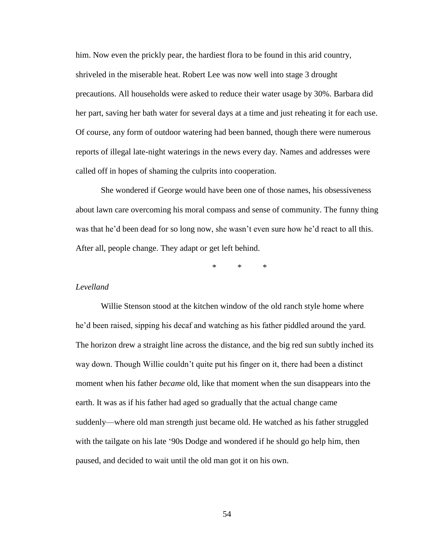him. Now even the prickly pear, the hardiest flora to be found in this arid country, shriveled in the miserable heat. Robert Lee was now well into stage 3 drought precautions. All households were asked to reduce their water usage by 30%. Barbara did her part, saving her bath water for several days at a time and just reheating it for each use. Of course, any form of outdoor watering had been banned, though there were numerous reports of illegal late-night waterings in the news every day. Names and addresses were called off in hopes of shaming the culprits into cooperation.

She wondered if George would have been one of those names, his obsessiveness about lawn care overcoming his moral compass and sense of community. The funny thing was that he'd been dead for so long now, she wasn't even sure how he'd react to all this. After all, people change. They adapt or get left behind.

\* \* \*

### *Levelland*

Willie Stenson stood at the kitchen window of the old ranch style home where he'd been raised, sipping his decaf and watching as his father piddled around the yard. The horizon drew a straight line across the distance, and the big red sun subtly inched its way down. Though Willie couldn't quite put his finger on it, there had been a distinct moment when his father *became* old, like that moment when the sun disappears into the earth. It was as if his father had aged so gradually that the actual change came suddenly—where old man strength just became old. He watched as his father struggled with the tailgate on his late '90s Dodge and wondered if he should go help him, then paused, and decided to wait until the old man got it on his own.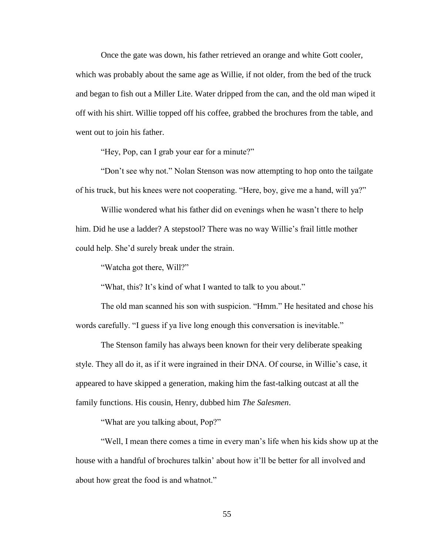Once the gate was down, his father retrieved an orange and white Gott cooler, which was probably about the same age as Willie, if not older, from the bed of the truck and began to fish out a Miller Lite. Water dripped from the can, and the old man wiped it off with his shirt. Willie topped off his coffee, grabbed the brochures from the table, and went out to join his father.

"Hey, Pop, can I grab your ear for a minute?"

"Don't see why not." Nolan Stenson was now attempting to hop onto the tailgate of his truck, but his knees were not cooperating. "Here, boy, give me a hand, will ya?"

Willie wondered what his father did on evenings when he wasn't there to help him. Did he use a ladder? A stepstool? There was no way Willie's frail little mother could help. She'd surely break under the strain.

"Watcha got there, Will?"

"What, this? It's kind of what I wanted to talk to you about."

The old man scanned his son with suspicion. "Hmm." He hesitated and chose his words carefully. "I guess if ya live long enough this conversation is inevitable."

The Stenson family has always been known for their very deliberate speaking style. They all do it, as if it were ingrained in their DNA. Of course, in Willie's case, it appeared to have skipped a generation, making him the fast-talking outcast at all the family functions. His cousin, Henry, dubbed him *The Salesmen*.

"What are you talking about, Pop?"

"Well, I mean there comes a time in every man's life when his kids show up at the house with a handful of brochures talkin' about how it'll be better for all involved and about how great the food is and whatnot."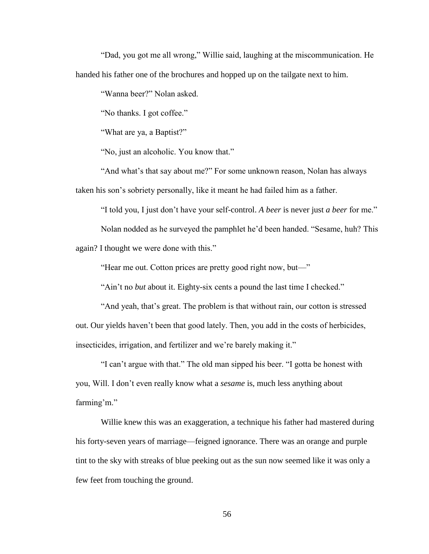"Dad, you got me all wrong," Willie said, laughing at the miscommunication. He handed his father one of the brochures and hopped up on the tailgate next to him.

"Wanna beer?" Nolan asked.

"No thanks. I got coffee."

"What are ya, a Baptist?"

"No, just an alcoholic. You know that."

"And what's that say about me?" For some unknown reason, Nolan has always taken his son's sobriety personally, like it meant he had failed him as a father.

"I told you, I just don't have your self-control. *A beer* is never just *a beer* for me."

Nolan nodded as he surveyed the pamphlet he'd been handed. "Sesame, huh? This again? I thought we were done with this."

"Hear me out. Cotton prices are pretty good right now, but—"

"Ain't no *but* about it. Eighty-six cents a pound the last time I checked."

"And yeah, that's great. The problem is that without rain, our cotton is stressed out. Our yields haven't been that good lately. Then, you add in the costs of herbicides, insecticides, irrigation, and fertilizer and we're barely making it."

"I can't argue with that." The old man sipped his beer. "I gotta be honest with you, Will. I don't even really know what a *sesame* is, much less anything about farming'm."

Willie knew this was an exaggeration, a technique his father had mastered during his forty-seven years of marriage—feigned ignorance. There was an orange and purple tint to the sky with streaks of blue peeking out as the sun now seemed like it was only a few feet from touching the ground.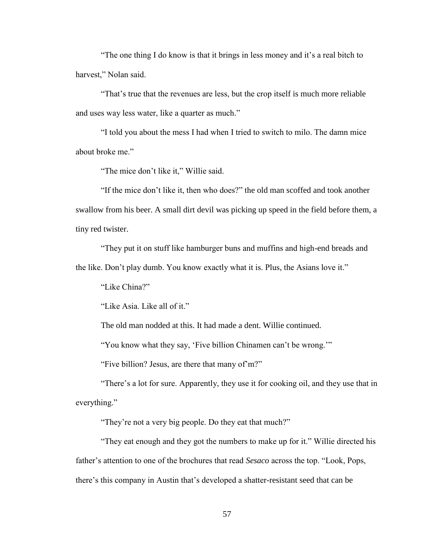"The one thing I do know is that it brings in less money and it's a real bitch to harvest," Nolan said.

"That's true that the revenues are less, but the crop itself is much more reliable and uses way less water, like a quarter as much."

"I told you about the mess I had when I tried to switch to milo. The damn mice about broke me."

"The mice don't like it," Willie said.

"If the mice don't like it, then who does?" the old man scoffed and took another swallow from his beer. A small dirt devil was picking up speed in the field before them, a tiny red twister.

"They put it on stuff like hamburger buns and muffins and high-end breads and the like. Don't play dumb. You know exactly what it is. Plus, the Asians love it."

"Like China?"

"Like Asia. Like all of it."

The old man nodded at this. It had made a dent. Willie continued.

"You know what they say, 'Five billion Chinamen can't be wrong.'"

"Five billion? Jesus, are there that many of m?"

"There's a lot for sure. Apparently, they use it for cooking oil, and they use that in everything."

"They're not a very big people. Do they eat that much?"

"They eat enough and they got the numbers to make up for it." Willie directed his father's attention to one of the brochures that read *Sesaco* across the top. "Look, Pops, there's this company in Austin that's developed a shatter-resistant seed that can be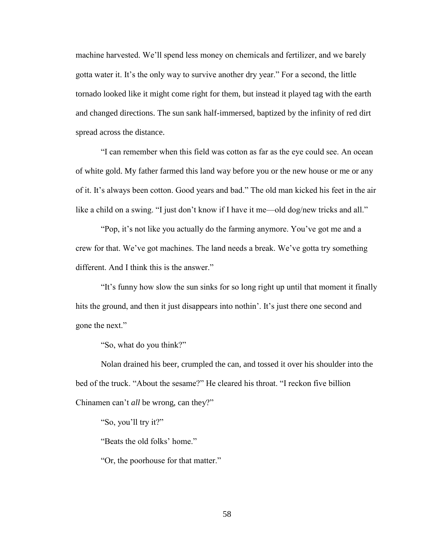machine harvested. We'll spend less money on chemicals and fertilizer, and we barely gotta water it. It's the only way to survive another dry year." For a second, the little tornado looked like it might come right for them, but instead it played tag with the earth and changed directions. The sun sank half-immersed, baptized by the infinity of red dirt spread across the distance.

"I can remember when this field was cotton as far as the eye could see. An ocean of white gold. My father farmed this land way before you or the new house or me or any of it. It's always been cotton. Good years and bad." The old man kicked his feet in the air like a child on a swing. "I just don't know if I have it me—old dog/new tricks and all."

"Pop, it's not like you actually do the farming anymore. You've got me and a crew for that. We've got machines. The land needs a break. We've gotta try something different. And I think this is the answer."

"It's funny how slow the sun sinks for so long right up until that moment it finally hits the ground, and then it just disappears into nothin'. It's just there one second and gone the next."

"So, what do you think?"

Nolan drained his beer, crumpled the can, and tossed it over his shoulder into the bed of the truck. "About the sesame?" He cleared his throat. "I reckon five billion Chinamen can't *all* be wrong, can they?"

"So, you'll try it?"

"Beats the old folks' home."

"Or, the poorhouse for that matter."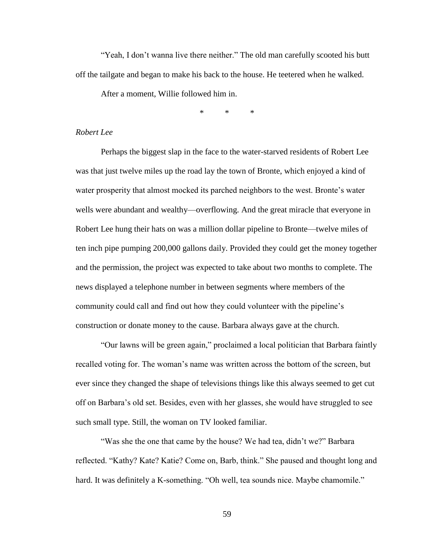"Yeah, I don't wanna live there neither." The old man carefully scooted his butt off the tailgate and began to make his back to the house. He teetered when he walked.

After a moment, Willie followed him in.

\* \* \*

## *Robert Lee*

Perhaps the biggest slap in the face to the water-starved residents of Robert Lee was that just twelve miles up the road lay the town of Bronte, which enjoyed a kind of water prosperity that almost mocked its parched neighbors to the west. Bronte's water wells were abundant and wealthy—overflowing. And the great miracle that everyone in Robert Lee hung their hats on was a million dollar pipeline to Bronte—twelve miles of ten inch pipe pumping 200,000 gallons daily. Provided they could get the money together and the permission, the project was expected to take about two months to complete. The news displayed a telephone number in between segments where members of the community could call and find out how they could volunteer with the pipeline's construction or donate money to the cause. Barbara always gave at the church.

"Our lawns will be green again," proclaimed a local politician that Barbara faintly recalled voting for. The woman's name was written across the bottom of the screen, but ever since they changed the shape of televisions things like this always seemed to get cut off on Barbara's old set. Besides, even with her glasses, she would have struggled to see such small type. Still, the woman on TV looked familiar.

"Was she the one that came by the house? We had tea, didn't we?" Barbara reflected. "Kathy? Kate? Katie? Come on, Barb, think." She paused and thought long and hard. It was definitely a K-something. "Oh well, tea sounds nice. Maybe chamomile."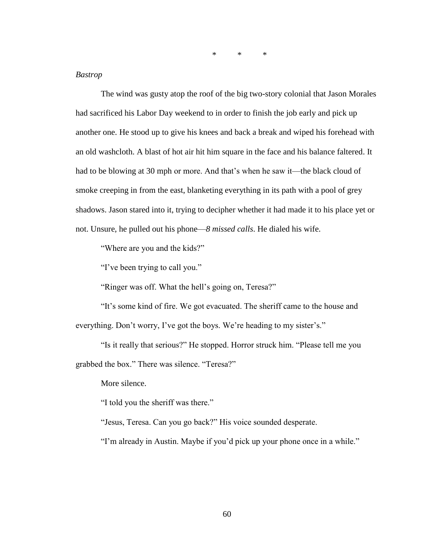\* \* \*

# *Bastrop*

The wind was gusty atop the roof of the big two-story colonial that Jason Morales had sacrificed his Labor Day weekend to in order to finish the job early and pick up another one. He stood up to give his knees and back a break and wiped his forehead with an old washcloth. A blast of hot air hit him square in the face and his balance faltered. It had to be blowing at 30 mph or more. And that's when he saw it—the black cloud of smoke creeping in from the east, blanketing everything in its path with a pool of grey shadows. Jason stared into it, trying to decipher whether it had made it to his place yet or not. Unsure, he pulled out his phone—*8 missed calls*. He dialed his wife.

"Where are you and the kids?"

"I've been trying to call you."

"Ringer was off. What the hell's going on, Teresa?"

"It's some kind of fire. We got evacuated. The sheriff came to the house and everything. Don't worry, I've got the boys. We're heading to my sister's."

"Is it really that serious?" He stopped. Horror struck him. "Please tell me you grabbed the box." There was silence. "Teresa?"

More silence.

"I told you the sheriff was there."

"Jesus, Teresa. Can you go back?" His voice sounded desperate.

"I'm already in Austin. Maybe if you'd pick up your phone once in a while."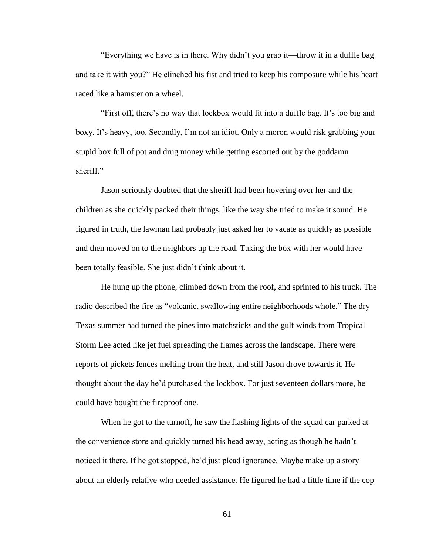"Everything we have is in there. Why didn't you grab it—throw it in a duffle bag and take it with you?" He clinched his fist and tried to keep his composure while his heart raced like a hamster on a wheel.

"First off, there's no way that lockbox would fit into a duffle bag. It's too big and boxy. It's heavy, too. Secondly, I'm not an idiot. Only a moron would risk grabbing your stupid box full of pot and drug money while getting escorted out by the goddamn sheriff."

Jason seriously doubted that the sheriff had been hovering over her and the children as she quickly packed their things, like the way she tried to make it sound. He figured in truth, the lawman had probably just asked her to vacate as quickly as possible and then moved on to the neighbors up the road. Taking the box with her would have been totally feasible. She just didn't think about it.

He hung up the phone, climbed down from the roof, and sprinted to his truck. The radio described the fire as "volcanic, swallowing entire neighborhoods whole." The dry Texas summer had turned the pines into matchsticks and the gulf winds from Tropical Storm Lee acted like jet fuel spreading the flames across the landscape. There were reports of pickets fences melting from the heat, and still Jason drove towards it. He thought about the day he'd purchased the lockbox. For just seventeen dollars more, he could have bought the fireproof one.

When he got to the turnoff, he saw the flashing lights of the squad car parked at the convenience store and quickly turned his head away, acting as though he hadn't noticed it there. If he got stopped, he'd just plead ignorance. Maybe make up a story about an elderly relative who needed assistance. He figured he had a little time if the cop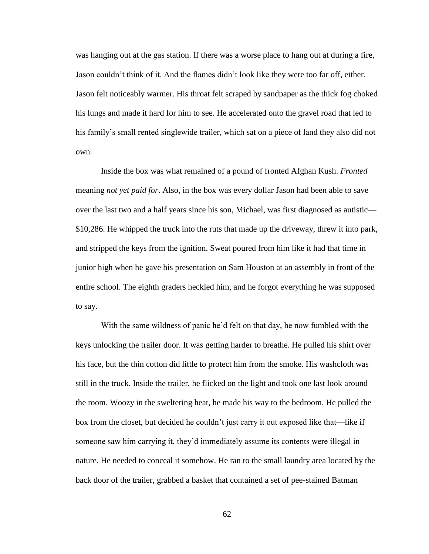was hanging out at the gas station. If there was a worse place to hang out at during a fire, Jason couldn't think of it. And the flames didn't look like they were too far off, either. Jason felt noticeably warmer. His throat felt scraped by sandpaper as the thick fog choked his lungs and made it hard for him to see. He accelerated onto the gravel road that led to his family's small rented singlewide trailer, which sat on a piece of land they also did not own.

Inside the box was what remained of a pound of fronted Afghan Kush. *Fronted* meaning *not yet paid for*. Also, in the box was every dollar Jason had been able to save over the last two and a half years since his son, Michael, was first diagnosed as autistic— \$10,286. He whipped the truck into the ruts that made up the driveway, threw it into park, and stripped the keys from the ignition. Sweat poured from him like it had that time in junior high when he gave his presentation on Sam Houston at an assembly in front of the entire school. The eighth graders heckled him, and he forgot everything he was supposed to say.

With the same wildness of panic he'd felt on that day, he now fumbled with the keys unlocking the trailer door. It was getting harder to breathe. He pulled his shirt over his face, but the thin cotton did little to protect him from the smoke. His washcloth was still in the truck. Inside the trailer, he flicked on the light and took one last look around the room. Woozy in the sweltering heat, he made his way to the bedroom. He pulled the box from the closet, but decided he couldn't just carry it out exposed like that—like if someone saw him carrying it, they'd immediately assume its contents were illegal in nature. He needed to conceal it somehow. He ran to the small laundry area located by the back door of the trailer, grabbed a basket that contained a set of pee-stained Batman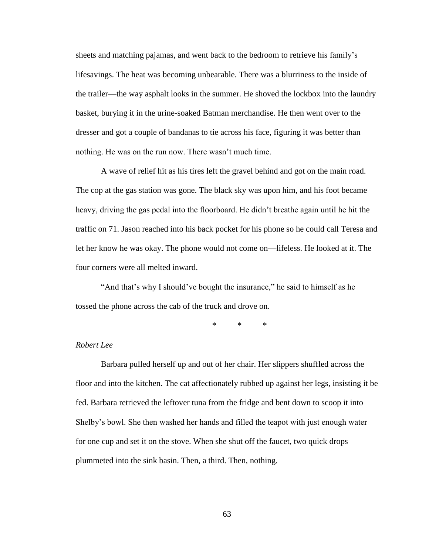sheets and matching pajamas, and went back to the bedroom to retrieve his family's lifesavings. The heat was becoming unbearable. There was a blurriness to the inside of the trailer—the way asphalt looks in the summer. He shoved the lockbox into the laundry basket, burying it in the urine-soaked Batman merchandise. He then went over to the dresser and got a couple of bandanas to tie across his face, figuring it was better than nothing. He was on the run now. There wasn't much time.

A wave of relief hit as his tires left the gravel behind and got on the main road. The cop at the gas station was gone. The black sky was upon him, and his foot became heavy, driving the gas pedal into the floorboard. He didn't breathe again until he hit the traffic on 71. Jason reached into his back pocket for his phone so he could call Teresa and let her know he was okay. The phone would not come on—lifeless. He looked at it. The four corners were all melted inward.

"And that's why I should've bought the insurance," he said to himself as he tossed the phone across the cab of the truck and drove on.

\* \* \*

## *Robert Lee*

Barbara pulled herself up and out of her chair. Her slippers shuffled across the floor and into the kitchen. The cat affectionately rubbed up against her legs, insisting it be fed. Barbara retrieved the leftover tuna from the fridge and bent down to scoop it into Shelby's bowl. She then washed her hands and filled the teapot with just enough water for one cup and set it on the stove. When she shut off the faucet, two quick drops plummeted into the sink basin. Then, a third. Then, nothing.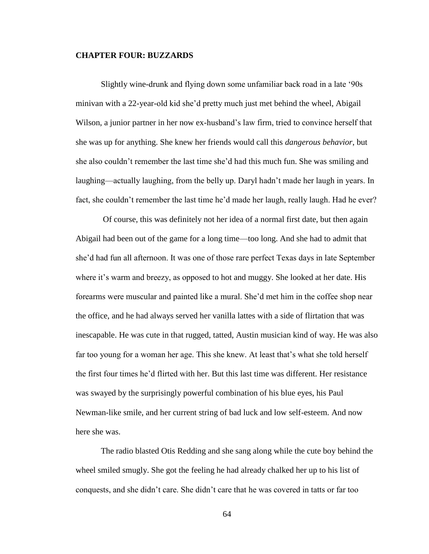## **CHAPTER FOUR: BUZZARDS**

Slightly wine-drunk and flying down some unfamiliar back road in a late '90s minivan with a 22-year-old kid she'd pretty much just met behind the wheel, Abigail Wilson, a junior partner in her now ex-husband's law firm, tried to convince herself that she was up for anything. She knew her friends would call this *dangerous behavior*, but she also couldn't remember the last time she'd had this much fun. She was smiling and laughing—actually laughing, from the belly up. Daryl hadn't made her laugh in years. In fact, she couldn't remember the last time he'd made her laugh, really laugh. Had he ever?

Of course, this was definitely not her idea of a normal first date, but then again Abigail had been out of the game for a long time—too long. And she had to admit that she'd had fun all afternoon. It was one of those rare perfect Texas days in late September where it's warm and breezy, as opposed to hot and muggy. She looked at her date. His forearms were muscular and painted like a mural. She'd met him in the coffee shop near the office, and he had always served her vanilla lattes with a side of flirtation that was inescapable. He was cute in that rugged, tatted, Austin musician kind of way. He was also far too young for a woman her age. This she knew. At least that's what she told herself the first four times he'd flirted with her. But this last time was different. Her resistance was swayed by the surprisingly powerful combination of his blue eyes, his Paul Newman-like smile, and her current string of bad luck and low self-esteem. And now here she was.

The radio blasted Otis Redding and she sang along while the cute boy behind the wheel smiled smugly. She got the feeling he had already chalked her up to his list of conquests, and she didn't care. She didn't care that he was covered in tatts or far too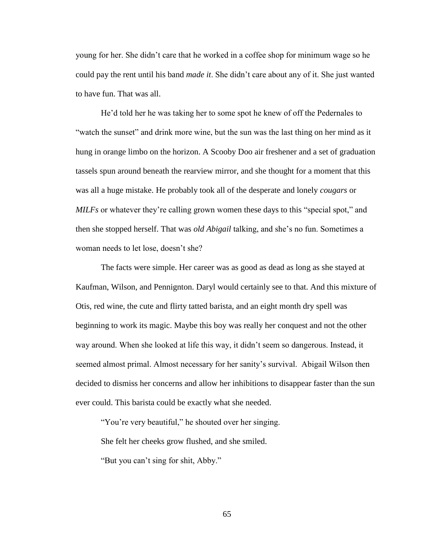young for her. She didn't care that he worked in a coffee shop for minimum wage so he could pay the rent until his band *made it*. She didn't care about any of it. She just wanted to have fun. That was all.

He'd told her he was taking her to some spot he knew of off the Pedernales to "watch the sunset" and drink more wine, but the sun was the last thing on her mind as it hung in orange limbo on the horizon. A Scooby Doo air freshener and a set of graduation tassels spun around beneath the rearview mirror, and she thought for a moment that this was all a huge mistake. He probably took all of the desperate and lonely *cougars* or *MILFs* or whatever they're calling grown women these days to this "special spot," and then she stopped herself. That was *old Abigail* talking, and she's no fun. Sometimes a woman needs to let lose, doesn't she?

The facts were simple. Her career was as good as dead as long as she stayed at Kaufman, Wilson, and Pennignton. Daryl would certainly see to that. And this mixture of Otis, red wine, the cute and flirty tatted barista, and an eight month dry spell was beginning to work its magic. Maybe this boy was really her conquest and not the other way around. When she looked at life this way, it didn't seem so dangerous. Instead, it seemed almost primal. Almost necessary for her sanity's survival. Abigail Wilson then decided to dismiss her concerns and allow her inhibitions to disappear faster than the sun ever could. This barista could be exactly what she needed.

"You're very beautiful," he shouted over her singing. She felt her cheeks grow flushed, and she smiled. "But you can't sing for shit, Abby."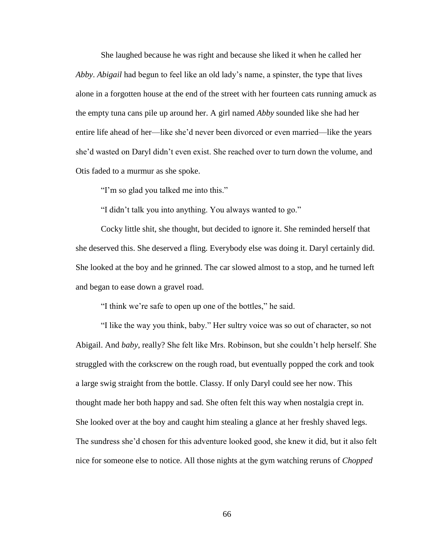She laughed because he was right and because she liked it when he called her *Abby*. *Abigail* had begun to feel like an old lady's name, a spinster, the type that lives alone in a forgotten house at the end of the street with her fourteen cats running amuck as the empty tuna cans pile up around her. A girl named *Abby* sounded like she had her entire life ahead of her—like she'd never been divorced or even married—like the years she'd wasted on Daryl didn't even exist. She reached over to turn down the volume, and Otis faded to a murmur as she spoke.

"I'm so glad you talked me into this."

"I didn't talk you into anything. You always wanted to go."

Cocky little shit, she thought, but decided to ignore it. She reminded herself that she deserved this. She deserved a fling. Everybody else was doing it. Daryl certainly did. She looked at the boy and he grinned. The car slowed almost to a stop, and he turned left and began to ease down a gravel road.

"I think we're safe to open up one of the bottles," he said.

"I like the way you think, baby." Her sultry voice was so out of character, so not Abigail. And *baby*, really? She felt like Mrs. Robinson, but she couldn't help herself. She struggled with the corkscrew on the rough road, but eventually popped the cork and took a large swig straight from the bottle. Classy. If only Daryl could see her now. This thought made her both happy and sad. She often felt this way when nostalgia crept in. She looked over at the boy and caught him stealing a glance at her freshly shaved legs. The sundress she'd chosen for this adventure looked good, she knew it did, but it also felt nice for someone else to notice. All those nights at the gym watching reruns of *Chopped*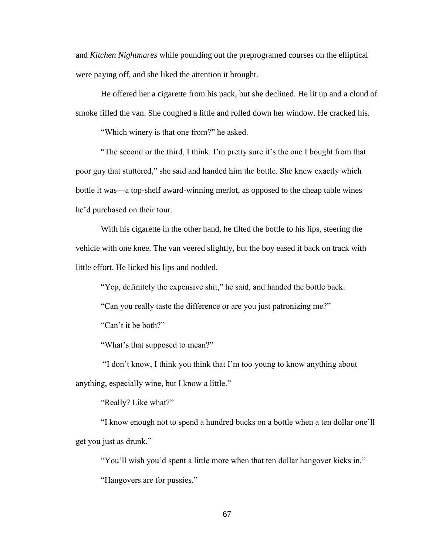and *Kitchen Nightmares* while pounding out the preprogramed courses on the elliptical were paying off, and she liked the attention it brought.

He offered her a cigarette from his pack, but she declined. He lit up and a cloud of smoke filled the van. She coughed a little and rolled down her window. He cracked his.

"Which winery is that one from?" he asked.

"The second or the third, I think. I'm pretty sure it's the one I bought from that poor guy that stuttered," she said and handed him the bottle. She knew exactly which bottle it was—a top-shelf award-winning merlot, as opposed to the cheap table wines he'd purchased on their tour.

With his cigarette in the other hand, he tilted the bottle to his lips, steering the vehicle with one knee. The van veered slightly, but the boy eased it back on track with little effort. He licked his lips and nodded.

"Yep, definitely the expensive shit," he said, and handed the bottle back.

"Can you really taste the difference or are you just patronizing me?"

"Can't it be both?"

"What's that supposed to mean?"

"I don't know, I think you think that I'm too young to know anything about anything, especially wine, but I know a little."

"Really? Like what?"

"I know enough not to spend a hundred bucks on a bottle when a ten dollar one'll get you just as drunk."

"You'll wish you'd spent a little more when that ten dollar hangover kicks in." "Hangovers are for pussies."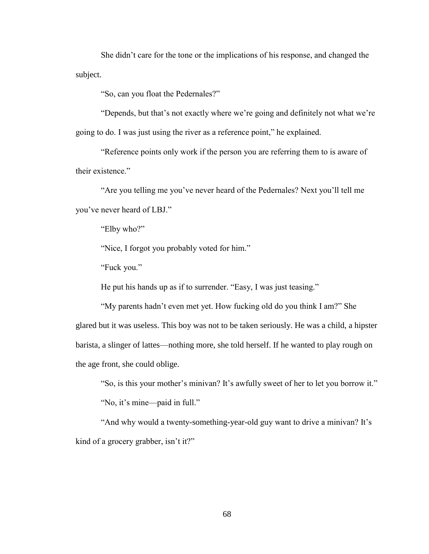She didn't care for the tone or the implications of his response, and changed the subject.

"So, can you float the Pedernales?"

"Depends, but that's not exactly where we're going and definitely not what we're going to do. I was just using the river as a reference point," he explained.

"Reference points only work if the person you are referring them to is aware of their existence."

"Are you telling me you've never heard of the Pedernales? Next you'll tell me you've never heard of LBJ."

"Elby who?"

"Nice, I forgot you probably voted for him."

"Fuck you."

He put his hands up as if to surrender. "Easy, I was just teasing."

"My parents hadn't even met yet. How fucking old do you think I am?" She glared but it was useless. This boy was not to be taken seriously. He was a child, a hipster barista, a slinger of lattes—nothing more, she told herself. If he wanted to play rough on the age front, she could oblige.

"So, is this your mother's minivan? It's awfully sweet of her to let you borrow it."

"No, it's mine—paid in full."

"And why would a twenty-something-year-old guy want to drive a minivan? It's kind of a grocery grabber, isn't it?"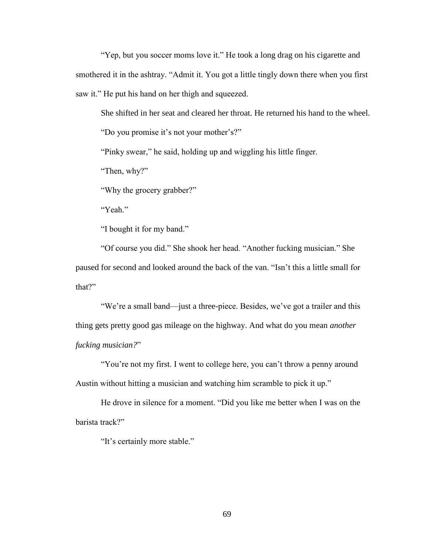"Yep, but you soccer moms love it." He took a long drag on his cigarette and smothered it in the ashtray. "Admit it. You got a little tingly down there when you first saw it." He put his hand on her thigh and squeezed.

She shifted in her seat and cleared her throat. He returned his hand to the wheel.

"Do you promise it's not your mother's?"

"Pinky swear," he said, holding up and wiggling his little finger.

"Then, why?"

"Why the grocery grabber?"

"Yeah."

"I bought it for my band."

"Of course you did." She shook her head. "Another fucking musician." She paused for second and looked around the back of the van. "Isn't this a little small for that?"

"We're a small band—just a three-piece. Besides, we've got a trailer and this thing gets pretty good gas mileage on the highway. And what do you mean *another fucking musician?*"

"You're not my first. I went to college here, you can't throw a penny around Austin without hitting a musician and watching him scramble to pick it up."

He drove in silence for a moment. "Did you like me better when I was on the barista track?"

"It's certainly more stable."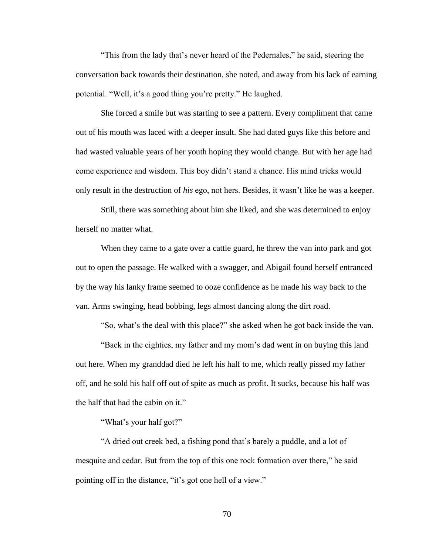"This from the lady that's never heard of the Pedernales," he said, steering the conversation back towards their destination, she noted, and away from his lack of earning potential. "Well, it's a good thing you're pretty." He laughed.

She forced a smile but was starting to see a pattern. Every compliment that came out of his mouth was laced with a deeper insult. She had dated guys like this before and had wasted valuable years of her youth hoping they would change. But with her age had come experience and wisdom. This boy didn't stand a chance. His mind tricks would only result in the destruction of *his* ego, not hers. Besides, it wasn't like he was a keeper.

Still, there was something about him she liked, and she was determined to enjoy herself no matter what.

When they came to a gate over a cattle guard, he threw the van into park and got out to open the passage. He walked with a swagger, and Abigail found herself entranced by the way his lanky frame seemed to ooze confidence as he made his way back to the van. Arms swinging, head bobbing, legs almost dancing along the dirt road.

"So, what's the deal with this place?" she asked when he got back inside the van.

"Back in the eighties, my father and my mom's dad went in on buying this land out here. When my granddad died he left his half to me, which really pissed my father off, and he sold his half off out of spite as much as profit. It sucks, because his half was the half that had the cabin on it."

"What's your half got?"

"A dried out creek bed, a fishing pond that's barely a puddle, and a lot of mesquite and cedar. But from the top of this one rock formation over there," he said pointing off in the distance, "it's got one hell of a view."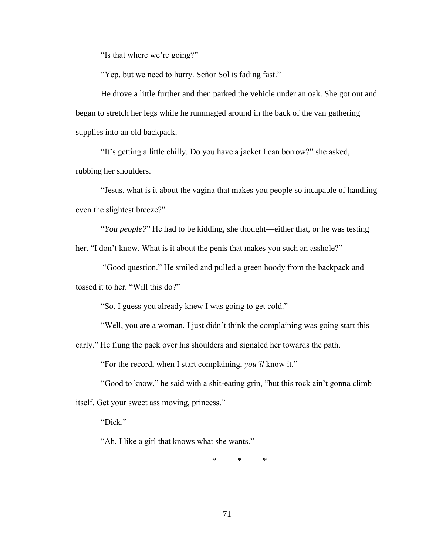"Is that where we're going?"

"Yep, but we need to hurry. Señor Sol is fading fast."

He drove a little further and then parked the vehicle under an oak. She got out and began to stretch her legs while he rummaged around in the back of the van gathering supplies into an old backpack.

"It's getting a little chilly. Do you have a jacket I can borrow?" she asked, rubbing her shoulders.

"Jesus, what is it about the vagina that makes you people so incapable of handling even the slightest breeze?"

"*You people?*" He had to be kidding, she thought—either that, or he was testing her. "I don't know. What is it about the penis that makes you such an asshole?"

"Good question." He smiled and pulled a green hoody from the backpack and tossed it to her. "Will this do?"

"So, I guess you already knew I was going to get cold."

"Well, you are a woman. I just didn't think the complaining was going start this early." He flung the pack over his shoulders and signaled her towards the path.

"For the record, when I start complaining, *you'll* know it."

"Good to know," he said with a shit-eating grin, "but this rock ain't gonna climb itself. Get your sweet ass moving, princess."

"Dick."

"Ah, I like a girl that knows what she wants."

\* \* \*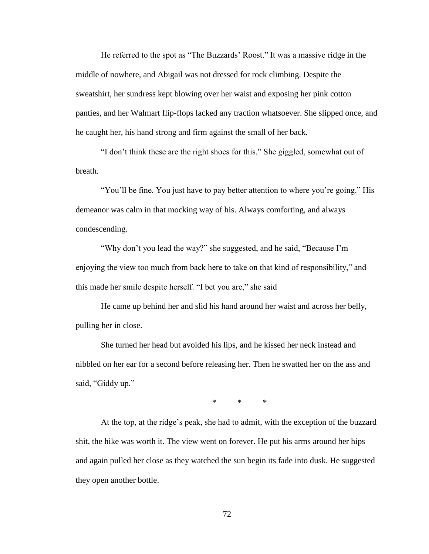He referred to the spot as "The Buzzards' Roost." It was a massive ridge in the middle of nowhere, and Abigail was not dressed for rock climbing. Despite the sweatshirt, her sundress kept blowing over her waist and exposing her pink cotton panties, and her Walmart flip-flops lacked any traction whatsoever. She slipped once, and he caught her, his hand strong and firm against the small of her back.

"I don't think these are the right shoes for this." She giggled, somewhat out of breath.

"You'll be fine. You just have to pay better attention to where you're going." His demeanor was calm in that mocking way of his. Always comforting, and always condescending.

"Why don't you lead the way?" she suggested, and he said, "Because I'm enjoying the view too much from back here to take on that kind of responsibility," and this made her smile despite herself. "I bet you are," she said

He came up behind her and slid his hand around her waist and across her belly, pulling her in close.

She turned her head but avoided his lips, and he kissed her neck instead and nibbled on her ear for a second before releasing her. Then he swatted her on the ass and said, "Giddy up."

\* \* \*

At the top, at the ridge's peak, she had to admit, with the exception of the buzzard shit, the hike was worth it. The view went on forever. He put his arms around her hips and again pulled her close as they watched the sun begin its fade into dusk. He suggested they open another bottle.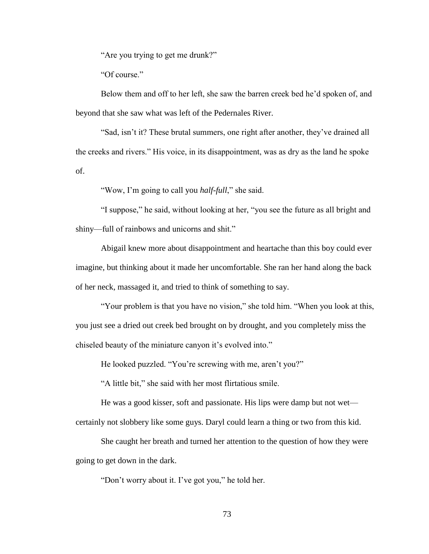"Are you trying to get me drunk?"

"Of course."

Below them and off to her left, she saw the barren creek bed he'd spoken of, and beyond that she saw what was left of the Pedernales River.

"Sad, isn't it? These brutal summers, one right after another, they've drained all the creeks and rivers." His voice, in its disappointment, was as dry as the land he spoke of.

"Wow, I'm going to call you *half-full*," she said.

"I suppose," he said, without looking at her, "you see the future as all bright and shiny—full of rainbows and unicorns and shit."

Abigail knew more about disappointment and heartache than this boy could ever imagine, but thinking about it made her uncomfortable. She ran her hand along the back of her neck, massaged it, and tried to think of something to say.

"Your problem is that you have no vision," she told him. "When you look at this, you just see a dried out creek bed brought on by drought, and you completely miss the chiseled beauty of the miniature canyon it's evolved into."

He looked puzzled. "You're screwing with me, aren't you?"

"A little bit," she said with her most flirtatious smile.

He was a good kisser, soft and passionate. His lips were damp but not wet certainly not slobbery like some guys. Daryl could learn a thing or two from this kid.

She caught her breath and turned her attention to the question of how they were going to get down in the dark.

"Don't worry about it. I've got you," he told her.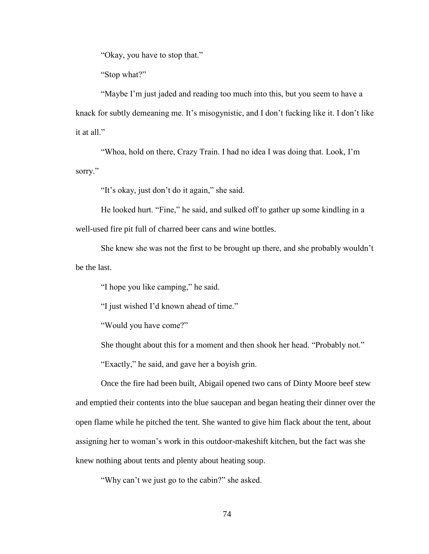"Okay, you have to stop that."

"Stop what?"

"Maybe I'm just jaded and reading too much into this, but you seem to have a knack for subtly demeaning me. It's misogynistic, and I don't fucking like it. I don't like it at all."

"Whoa, hold on there, Crazy Train. I had no idea I was doing that. Look, I'm sorry."

"It's okay, just don't do it again," she said.

He looked hurt. "Fine," he said, and sulked off to gather up some kindling in a well-used fire pit full of charred beer cans and wine bottles.

She knew she was not the first to be brought up there, and she probably wouldn't be the last.

"I hope you like camping," he said.

"I just wished I'd known ahead of time."

"Would you have come?"

She thought about this for a moment and then shook her head. "Probably not."

"Exactly," he said, and gave her a boyish grin.

Once the fire had been built, Abigail opened two cans of Dinty Moore beef stew and emptied their contents into the blue saucepan and began heating their dinner over the open flame while he pitched the tent. She wanted to give him flack about the tent, about assigning her to woman's work in this outdoor-makeshift kitchen, but the fact was she knew nothing about tents and plenty about heating soup.

"Why can't we just go to the cabin?" she asked.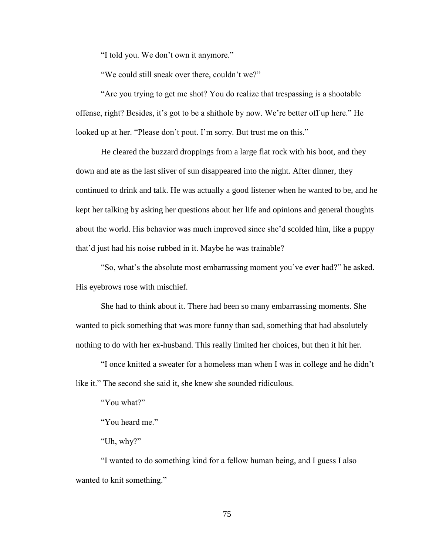"I told you. We don't own it anymore."

"We could still sneak over there, couldn't we?"

"Are you trying to get me shot? You do realize that trespassing is a shootable offense, right? Besides, it's got to be a shithole by now. We're better off up here." He looked up at her. "Please don't pout. I'm sorry. But trust me on this."

He cleared the buzzard droppings from a large flat rock with his boot, and they down and ate as the last sliver of sun disappeared into the night. After dinner, they continued to drink and talk. He was actually a good listener when he wanted to be, and he kept her talking by asking her questions about her life and opinions and general thoughts about the world. His behavior was much improved since she'd scolded him, like a puppy that'd just had his noise rubbed in it. Maybe he was trainable?

"So, what's the absolute most embarrassing moment you've ever had?" he asked. His eyebrows rose with mischief.

She had to think about it. There had been so many embarrassing moments. She wanted to pick something that was more funny than sad, something that had absolutely nothing to do with her ex-husband. This really limited her choices, but then it hit her.

"I once knitted a sweater for a homeless man when I was in college and he didn't like it." The second she said it, she knew she sounded ridiculous.

"You what?"

"You heard me."

"Uh, why?"

"I wanted to do something kind for a fellow human being, and I guess I also wanted to knit something."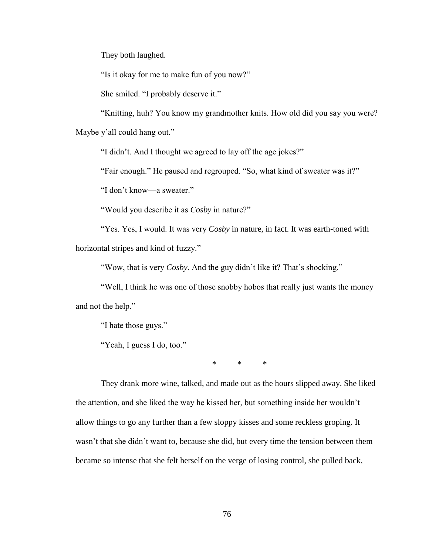They both laughed.

"Is it okay for me to make fun of you now?"

She smiled. "I probably deserve it."

"Knitting, huh? You know my grandmother knits. How old did you say you were? Maybe y'all could hang out."

"I didn't. And I thought we agreed to lay off the age jokes?"

"Fair enough." He paused and regrouped. "So, what kind of sweater was it?"

"I don't know—a sweater."

"Would you describe it as *Cosby* in nature?"

"Yes. Yes, I would. It was very *Cosby* in nature, in fact. It was earth-toned with horizontal stripes and kind of fuzzy."

"Wow, that is very *Cosby*. And the guy didn't like it? That's shocking."

"Well, I think he was one of those snobby hobos that really just wants the money and not the help."

"I hate those guys."

"Yeah, I guess I do, too."

\* \* \*

They drank more wine, talked, and made out as the hours slipped away. She liked the attention, and she liked the way he kissed her, but something inside her wouldn't allow things to go any further than a few sloppy kisses and some reckless groping. It wasn't that she didn't want to, because she did, but every time the tension between them became so intense that she felt herself on the verge of losing control, she pulled back,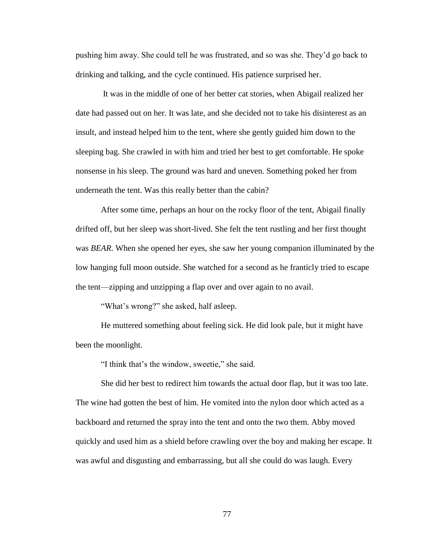pushing him away. She could tell he was frustrated, and so was she. They'd go back to drinking and talking, and the cycle continued. His patience surprised her.

It was in the middle of one of her better cat stories, when Abigail realized her date had passed out on her. It was late, and she decided not to take his disinterest as an insult, and instead helped him to the tent, where she gently guided him down to the sleeping bag. She crawled in with him and tried her best to get comfortable. He spoke nonsense in his sleep. The ground was hard and uneven. Something poked her from underneath the tent. Was this really better than the cabin?

After some time, perhaps an hour on the rocky floor of the tent, Abigail finally drifted off, but her sleep was short-lived. She felt the tent rustling and her first thought was *BEAR*. When she opened her eyes, she saw her young companion illuminated by the low hanging full moon outside. She watched for a second as he franticly tried to escape the tent—zipping and unzipping a flap over and over again to no avail.

"What's wrong?" she asked, half asleep.

He muttered something about feeling sick. He did look pale, but it might have been the moonlight.

"I think that's the window, sweetie," she said.

She did her best to redirect him towards the actual door flap, but it was too late. The wine had gotten the best of him. He vomited into the nylon door which acted as a backboard and returned the spray into the tent and onto the two them. Abby moved quickly and used him as a shield before crawling over the boy and making her escape. It was awful and disgusting and embarrassing, but all she could do was laugh. Every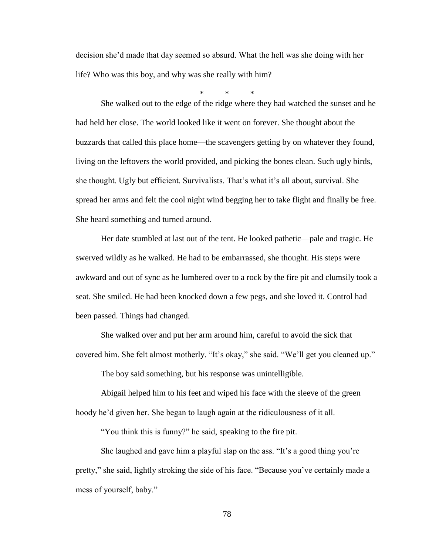decision she'd made that day seemed so absurd. What the hell was she doing with her life? Who was this boy, and why was she really with him?

\* \* \* She walked out to the edge of the ridge where they had watched the sunset and he had held her close. The world looked like it went on forever. She thought about the buzzards that called this place home—the scavengers getting by on whatever they found, living on the leftovers the world provided, and picking the bones clean. Such ugly birds, she thought. Ugly but efficient. Survivalists. That's what it's all about, survival. She spread her arms and felt the cool night wind begging her to take flight and finally be free. She heard something and turned around.

Her date stumbled at last out of the tent. He looked pathetic—pale and tragic. He swerved wildly as he walked. He had to be embarrassed, she thought. His steps were awkward and out of sync as he lumbered over to a rock by the fire pit and clumsily took a seat. She smiled. He had been knocked down a few pegs, and she loved it. Control had been passed. Things had changed.

She walked over and put her arm around him, careful to avoid the sick that covered him. She felt almost motherly. "It's okay," she said. "We'll get you cleaned up."

The boy said something, but his response was unintelligible.

Abigail helped him to his feet and wiped his face with the sleeve of the green hoody he'd given her. She began to laugh again at the ridiculousness of it all.

"You think this is funny?" he said, speaking to the fire pit.

She laughed and gave him a playful slap on the ass. "It's a good thing you're pretty," she said, lightly stroking the side of his face. "Because you've certainly made a mess of yourself, baby."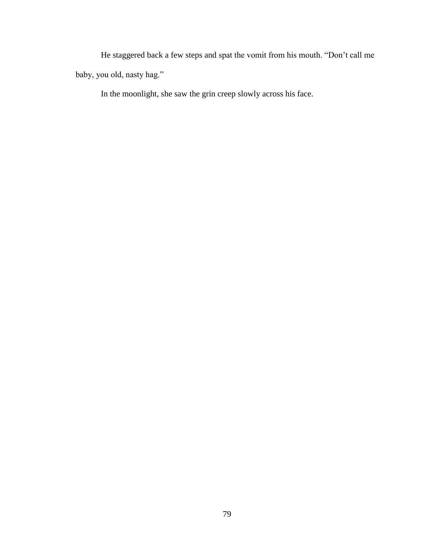He staggered back a few steps and spat the vomit from his mouth. "Don't call me baby, you old, nasty hag."

In the moonlight, she saw the grin creep slowly across his face.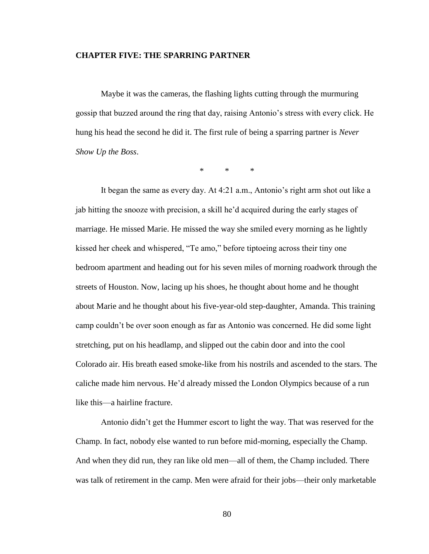## **CHAPTER FIVE: THE SPARRING PARTNER**

Maybe it was the cameras, the flashing lights cutting through the murmuring gossip that buzzed around the ring that day, raising Antonio's stress with every click. He hung his head the second he did it. The first rule of being a sparring partner is *Never Show Up the Boss*.

\* \* \*

It began the same as every day. At 4:21 a.m., Antonio's right arm shot out like a jab hitting the snooze with precision, a skill he'd acquired during the early stages of marriage. He missed Marie. He missed the way she smiled every morning as he lightly kissed her cheek and whispered, "Te amo," before tiptoeing across their tiny one bedroom apartment and heading out for his seven miles of morning roadwork through the streets of Houston. Now, lacing up his shoes, he thought about home and he thought about Marie and he thought about his five-year-old step-daughter, Amanda. This training camp couldn't be over soon enough as far as Antonio was concerned. He did some light stretching, put on his headlamp, and slipped out the cabin door and into the cool Colorado air. His breath eased smoke-like from his nostrils and ascended to the stars. The caliche made him nervous. He'd already missed the London Olympics because of a run like this—a hairline fracture.

Antonio didn't get the Hummer escort to light the way. That was reserved for the Champ. In fact, nobody else wanted to run before mid-morning, especially the Champ. And when they did run, they ran like old men—all of them, the Champ included. There was talk of retirement in the camp. Men were afraid for their jobs—their only marketable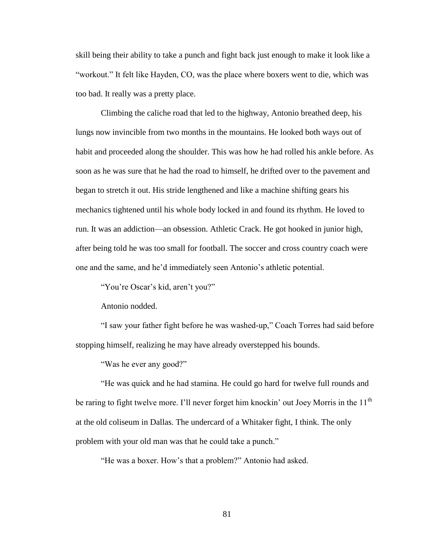skill being their ability to take a punch and fight back just enough to make it look like a "workout." It felt like Hayden, CO, was the place where boxers went to die, which was too bad. It really was a pretty place.

Climbing the caliche road that led to the highway, Antonio breathed deep, his lungs now invincible from two months in the mountains. He looked both ways out of habit and proceeded along the shoulder. This was how he had rolled his ankle before. As soon as he was sure that he had the road to himself, he drifted over to the pavement and began to stretch it out. His stride lengthened and like a machine shifting gears his mechanics tightened until his whole body locked in and found its rhythm. He loved to run. It was an addiction—an obsession. Athletic Crack. He got hooked in junior high, after being told he was too small for football. The soccer and cross country coach were one and the same, and he'd immediately seen Antonio's athletic potential.

"You're Oscar's kid, aren't you?"

Antonio nodded.

"I saw your father fight before he was washed-up," Coach Torres had said before stopping himself, realizing he may have already overstepped his bounds.

"Was he ever any good?"

"He was quick and he had stamina. He could go hard for twelve full rounds and be raring to fight twelve more. I'll never forget him knockin' out Joey Morris in the 11<sup>th</sup> at the old coliseum in Dallas. The undercard of a Whitaker fight, I think. The only problem with your old man was that he could take a punch."

"He was a boxer. How's that a problem?" Antonio had asked.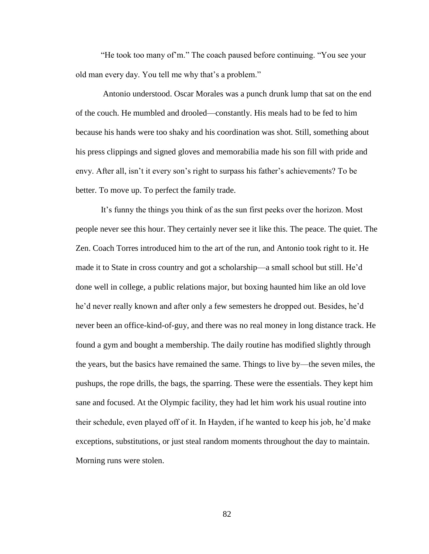"He took too many of'm." The coach paused before continuing. "You see your old man every day. You tell me why that's a problem."

Antonio understood. Oscar Morales was a punch drunk lump that sat on the end of the couch. He mumbled and drooled—constantly. His meals had to be fed to him because his hands were too shaky and his coordination was shot. Still, something about his press clippings and signed gloves and memorabilia made his son fill with pride and envy. After all, isn't it every son's right to surpass his father's achievements? To be better. To move up. To perfect the family trade.

It's funny the things you think of as the sun first peeks over the horizon. Most people never see this hour. They certainly never see it like this. The peace. The quiet. The Zen. Coach Torres introduced him to the art of the run, and Antonio took right to it. He made it to State in cross country and got a scholarship—a small school but still. He'd done well in college, a public relations major, but boxing haunted him like an old love he'd never really known and after only a few semesters he dropped out. Besides, he'd never been an office-kind-of-guy, and there was no real money in long distance track. He found a gym and bought a membership. The daily routine has modified slightly through the years, but the basics have remained the same. Things to live by—the seven miles, the pushups, the rope drills, the bags, the sparring. These were the essentials. They kept him sane and focused. At the Olympic facility, they had let him work his usual routine into their schedule, even played off of it. In Hayden, if he wanted to keep his job, he'd make exceptions, substitutions, or just steal random moments throughout the day to maintain. Morning runs were stolen.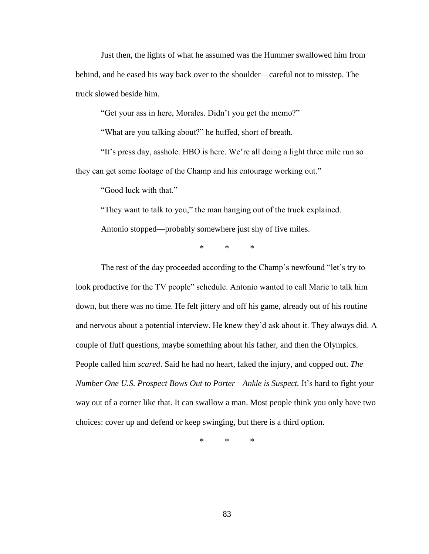Just then, the lights of what he assumed was the Hummer swallowed him from behind, and he eased his way back over to the shoulder—careful not to misstep. The truck slowed beside him.

"Get your ass in here, Morales. Didn't you get the memo?"

"What are you talking about?" he huffed, short of breath.

"It's press day, asshole. HBO is here. We're all doing a light three mile run so they can get some footage of the Champ and his entourage working out."

"Good luck with that."

"They want to talk to you," the man hanging out of the truck explained.

Antonio stopped—probably somewhere just shy of five miles.

\* \* \*

The rest of the day proceeded according to the Champ's newfound "let's try to look productive for the TV people" schedule. Antonio wanted to call Marie to talk him down, but there was no time. He felt jittery and off his game, already out of his routine and nervous about a potential interview. He knew they'd ask about it. They always did. A couple of fluff questions, maybe something about his father, and then the Olympics. People called him *scared*. Said he had no heart, faked the injury, and copped out. *The Number One U.S. Prospect Bows Out to Porter—Ankle is Suspect. It's hard to fight your* way out of a corner like that. It can swallow a man. Most people think you only have two choices: cover up and defend or keep swinging, but there is a third option.

\* \* \*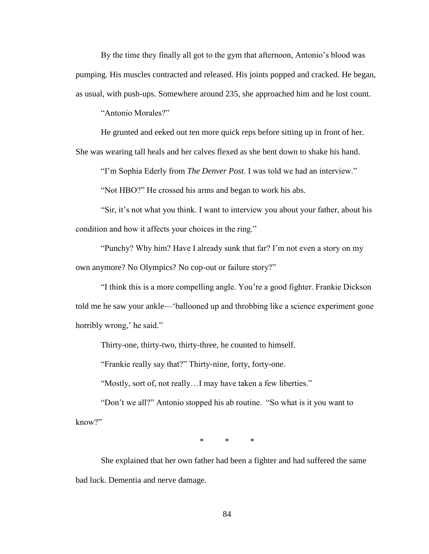By the time they finally all got to the gym that afternoon, Antonio's blood was pumping. His muscles contracted and released. His joints popped and cracked. He began, as usual, with push-ups. Somewhere around 235, she approached him and he lost count.

"Antonio Morales?"

He grunted and eeked out ten more quick reps before sitting up in front of her.

She was wearing tall heals and her calves flexed as she bent down to shake his hand.

"I'm Sophia Ederly from *The Denver Post*. I was told we had an interview."

"Not HBO?" He crossed his arms and began to work his abs.

"Sir, it's not what you think. I want to interview you about your father, about his condition and how it affects your choices in the ring."

"Punchy? Why him? Have I already sunk that far? I'm not even a story on my own anymore? No Olympics? No cop-out or failure story?"

"I think this is a more compelling angle. You're a good fighter. Frankie Dickson told me he saw your ankle—'ballooned up and throbbing like a science experiment gone horribly wrong,' he said."

Thirty-one, thirty-two, thirty-three, he counted to himself.

"Frankie really say that?" Thirty-nine, forty, forty-one.

"Mostly, sort of, not really…I may have taken a few liberties."

"Don't we all?" Antonio stopped his ab routine. "So what is it you want to know?"

\* \* \*

She explained that her own father had been a fighter and had suffered the same bad luck. Dementia and nerve damage.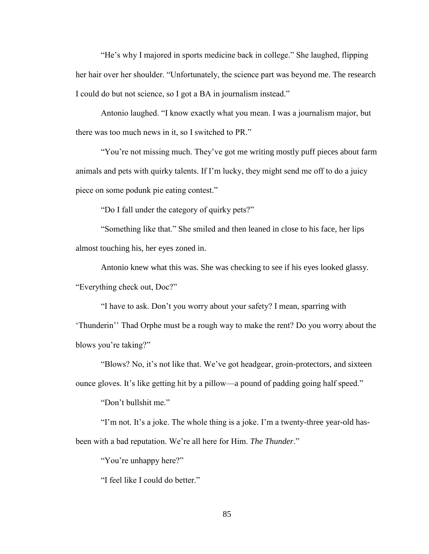"He's why I majored in sports medicine back in college." She laughed, flipping her hair over her shoulder. "Unfortunately, the science part was beyond me. The research I could do but not science, so I got a BA in journalism instead."

Antonio laughed. "I know exactly what you mean. I was a journalism major, but there was too much news in it, so I switched to PR."

"You're not missing much. They've got me writing mostly puff pieces about farm animals and pets with quirky talents. If I'm lucky, they might send me off to do a juicy piece on some podunk pie eating contest."

"Do I fall under the category of quirky pets?"

"Something like that." She smiled and then leaned in close to his face, her lips almost touching his, her eyes zoned in.

Antonio knew what this was. She was checking to see if his eyes looked glassy. "Everything check out, Doc?"

"I have to ask. Don't you worry about your safety? I mean, sparring with 'Thunderin'' Thad Orphe must be a rough way to make the rent? Do you worry about the blows you're taking?"

"Blows? No, it's not like that. We've got headgear, groin-protectors, and sixteen ounce gloves. It's like getting hit by a pillow—a pound of padding going half speed."

"Don't bullshit me."

"I'm not. It's a joke. The whole thing is a joke. I'm a twenty-three year-old hasbeen with a bad reputation. We're all here for Him. *The Thunder*."

"You're unhappy here?"

"I feel like I could do better."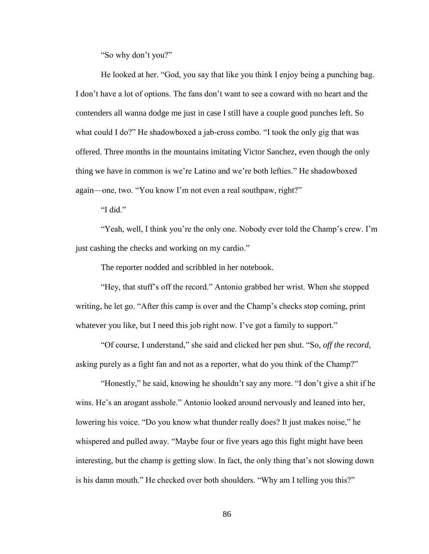"So why don't you?"

He looked at her. "God, you say that like you think I enjoy being a punching bag. I don't have a lot of options. The fans don't want to see a coward with no heart and the contenders all wanna dodge me just in case I still have a couple good punches left. So what could I do?" He shadowboxed a jab-cross combo. "I took the only gig that was offered. Three months in the mountains imitating Victor Sanchez, even though the only thing we have in common is we're Latino and we're both lefties." He shadowboxed again—one, two. "You know I'm not even a real southpaw, right?"

"I did."

"Yeah, well, I think you're the only one. Nobody ever told the Champ's crew. I'm just cashing the checks and working on my cardio."

The reporter nodded and scribbled in her notebook.

"Hey, that stuff's off the record." Antonio grabbed her wrist. When she stopped writing, he let go. "After this camp is over and the Champ's checks stop coming, print whatever you like, but I need this job right now. I've got a family to support."

"Of course, I understand," she said and clicked her pen shut. "So, *off the record*, asking purely as a fight fan and not as a reporter, what do you think of the Champ?"

"Honestly," he said, knowing he shouldn't say any more. "I don't give a shit if he wins. He's an arogant asshole." Antonio looked around nervously and leaned into her, lowering his voice. "Do you know what thunder really does? It just makes noise," he whispered and pulled away. "Maybe four or five years ago this fight might have been interesting, but the champ is getting slow. In fact, the only thing that's not slowing down is his damn mouth." He checked over both shoulders. "Why am I telling you this?"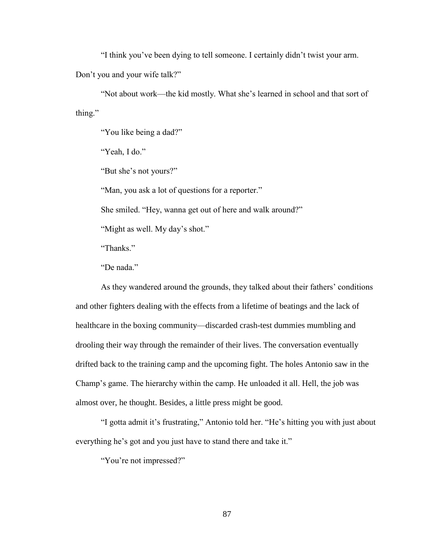"I think you've been dying to tell someone. I certainly didn't twist your arm. Don't you and your wife talk?"

"Not about work—the kid mostly. What she's learned in school and that sort of thing."

"You like being a dad?"

"Yeah, I do."

"But she's not yours?"

"Man, you ask a lot of questions for a reporter."

She smiled. "Hey, wanna get out of here and walk around?"

"Might as well. My day's shot."

"Thanks."

"De nada."

As they wandered around the grounds, they talked about their fathers' conditions and other fighters dealing with the effects from a lifetime of beatings and the lack of healthcare in the boxing community—discarded crash-test dummies mumbling and drooling their way through the remainder of their lives. The conversation eventually drifted back to the training camp and the upcoming fight. The holes Antonio saw in the Champ's game. The hierarchy within the camp. He unloaded it all. Hell, the job was almost over, he thought. Besides, a little press might be good.

"I gotta admit it's frustrating," Antonio told her. "He's hitting you with just about everything he's got and you just have to stand there and take it."

"You're not impressed?"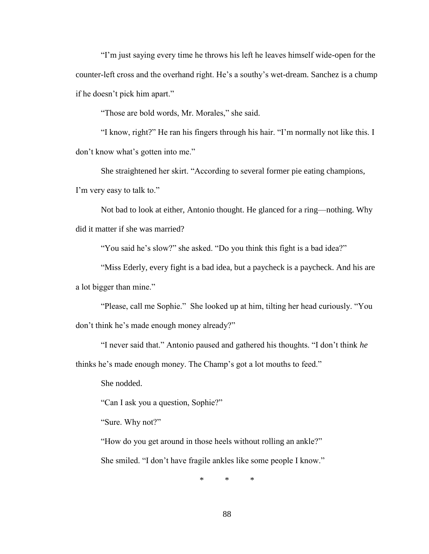"I'm just saying every time he throws his left he leaves himself wide-open for the counter-left cross and the overhand right. He's a southy's wet-dream. Sanchez is a chump if he doesn't pick him apart."

"Those are bold words, Mr. Morales," she said.

"I know, right?" He ran his fingers through his hair. "I'm normally not like this. I don't know what's gotten into me."

She straightened her skirt. "According to several former pie eating champions, I'm very easy to talk to."

Not bad to look at either, Antonio thought. He glanced for a ring—nothing. Why did it matter if she was married?

"You said he's slow?" she asked. "Do you think this fight is a bad idea?"

"Miss Ederly, every fight is a bad idea, but a paycheck is a paycheck. And his are a lot bigger than mine."

"Please, call me Sophie." She looked up at him, tilting her head curiously. "You don't think he's made enough money already?"

"I never said that." Antonio paused and gathered his thoughts. "I don't think *he*  thinks he's made enough money. The Champ's got a lot mouths to feed."

She nodded.

"Can I ask you a question, Sophie?"

"Sure. Why not?"

"How do you get around in those heels without rolling an ankle?" She smiled. "I don't have fragile ankles like some people I know."

\* \* \*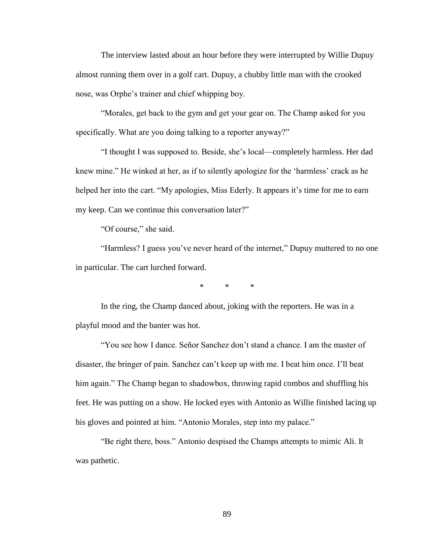The interview lasted about an hour before they were interrupted by Willie Dupuy almost running them over in a golf cart. Dupuy, a chubby little man with the crooked nose, was Orphe's trainer and chief whipping boy.

"Morales, get back to the gym and get your gear on. The Champ asked for you specifically. What are you doing talking to a reporter anyway?"

"I thought I was supposed to. Beside, she's local—completely harmless. Her dad knew mine." He winked at her, as if to silently apologize for the 'harmless' crack as he helped her into the cart. "My apologies, Miss Ederly. It appears it's time for me to earn my keep. Can we continue this conversation later?"

"Of course," she said.

"Harmless? I guess you've never heard of the internet," Dupuy muttered to no one in particular. The cart lurched forward.

\* \* \*

In the ring, the Champ danced about, joking with the reporters. He was in a playful mood and the banter was hot.

"You see how I dance. Señor Sanchez don't stand a chance. I am the master of disaster, the bringer of pain. Sanchez can't keep up with me. I beat him once. I'll beat him again." The Champ began to shadowbox, throwing rapid combos and shuffling his feet. He was putting on a show. He locked eyes with Antonio as Willie finished lacing up his gloves and pointed at him. "Antonio Morales, step into my palace."

"Be right there, boss." Antonio despised the Champs attempts to mimic Ali. It was pathetic.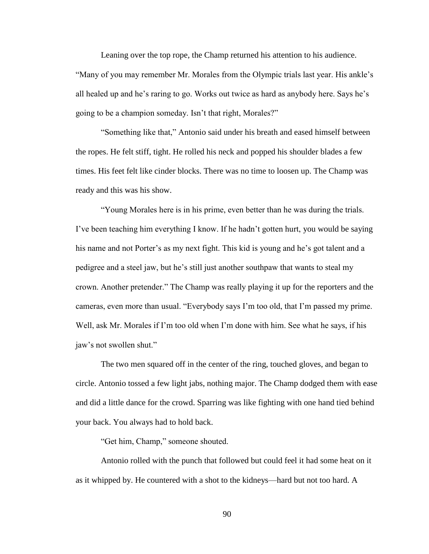Leaning over the top rope, the Champ returned his attention to his audience. "Many of you may remember Mr. Morales from the Olympic trials last year. His ankle's all healed up and he's raring to go. Works out twice as hard as anybody here. Says he's going to be a champion someday. Isn't that right, Morales?"

"Something like that," Antonio said under his breath and eased himself between the ropes. He felt stiff, tight. He rolled his neck and popped his shoulder blades a few times. His feet felt like cinder blocks. There was no time to loosen up. The Champ was ready and this was his show.

"Young Morales here is in his prime, even better than he was during the trials. I've been teaching him everything I know. If he hadn't gotten hurt, you would be saying his name and not Porter's as my next fight. This kid is young and he's got talent and a pedigree and a steel jaw, but he's still just another southpaw that wants to steal my crown. Another pretender." The Champ was really playing it up for the reporters and the cameras, even more than usual. "Everybody says I'm too old, that I'm passed my prime. Well, ask Mr. Morales if I'm too old when I'm done with him. See what he says, if his jaw's not swollen shut."

The two men squared off in the center of the ring, touched gloves, and began to circle. Antonio tossed a few light jabs, nothing major. The Champ dodged them with ease and did a little dance for the crowd. Sparring was like fighting with one hand tied behind your back. You always had to hold back.

"Get him, Champ," someone shouted.

Antonio rolled with the punch that followed but could feel it had some heat on it as it whipped by. He countered with a shot to the kidneys—hard but not too hard. A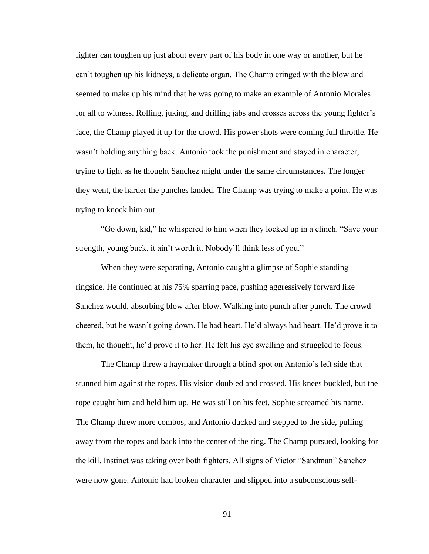fighter can toughen up just about every part of his body in one way or another, but he can't toughen up his kidneys, a delicate organ. The Champ cringed with the blow and seemed to make up his mind that he was going to make an example of Antonio Morales for all to witness. Rolling, juking, and drilling jabs and crosses across the young fighter's face, the Champ played it up for the crowd. His power shots were coming full throttle. He wasn't holding anything back. Antonio took the punishment and stayed in character, trying to fight as he thought Sanchez might under the same circumstances. The longer they went, the harder the punches landed. The Champ was trying to make a point. He was trying to knock him out.

"Go down, kid," he whispered to him when they locked up in a clinch. "Save your strength, young buck, it ain't worth it. Nobody'll think less of you."

When they were separating, Antonio caught a glimpse of Sophie standing ringside. He continued at his 75% sparring pace, pushing aggressively forward like Sanchez would, absorbing blow after blow. Walking into punch after punch. The crowd cheered, but he wasn't going down. He had heart. He'd always had heart. He'd prove it to them, he thought, he'd prove it to her. He felt his eye swelling and struggled to focus.

The Champ threw a haymaker through a blind spot on Antonio's left side that stunned him against the ropes. His vision doubled and crossed. His knees buckled, but the rope caught him and held him up. He was still on his feet. Sophie screamed his name. The Champ threw more combos, and Antonio ducked and stepped to the side, pulling away from the ropes and back into the center of the ring. The Champ pursued, looking for the kill. Instinct was taking over both fighters. All signs of Victor "Sandman" Sanchez were now gone. Antonio had broken character and slipped into a subconscious self-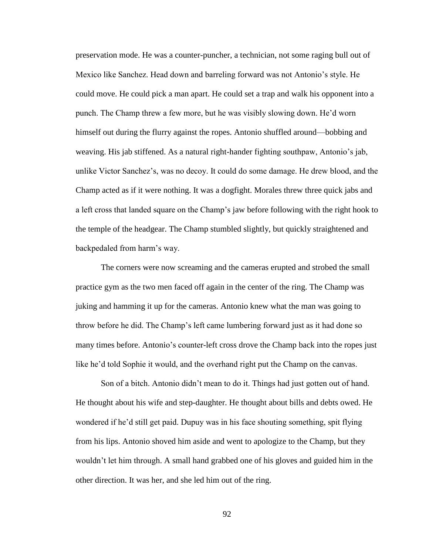preservation mode. He was a counter-puncher, a technician, not some raging bull out of Mexico like Sanchez. Head down and barreling forward was not Antonio's style. He could move. He could pick a man apart. He could set a trap and walk his opponent into a punch. The Champ threw a few more, but he was visibly slowing down. He'd worn himself out during the flurry against the ropes. Antonio shuffled around—bobbing and weaving. His jab stiffened. As a natural right-hander fighting southpaw, Antonio's jab, unlike Victor Sanchez's, was no decoy. It could do some damage. He drew blood, and the Champ acted as if it were nothing. It was a dogfight. Morales threw three quick jabs and a left cross that landed square on the Champ's jaw before following with the right hook to the temple of the headgear. The Champ stumbled slightly, but quickly straightened and backpedaled from harm's way.

The corners were now screaming and the cameras erupted and strobed the small practice gym as the two men faced off again in the center of the ring. The Champ was juking and hamming it up for the cameras. Antonio knew what the man was going to throw before he did. The Champ's left came lumbering forward just as it had done so many times before. Antonio's counter-left cross drove the Champ back into the ropes just like he'd told Sophie it would, and the overhand right put the Champ on the canvas.

Son of a bitch. Antonio didn't mean to do it. Things had just gotten out of hand. He thought about his wife and step-daughter. He thought about bills and debts owed. He wondered if he'd still get paid. Dupuy was in his face shouting something, spit flying from his lips. Antonio shoved him aside and went to apologize to the Champ, but they wouldn't let him through. A small hand grabbed one of his gloves and guided him in the other direction. It was her, and she led him out of the ring.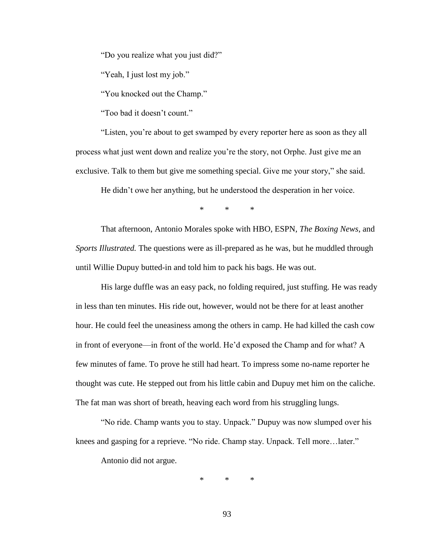"Do you realize what you just did?"

"Yeah, I just lost my job."

"You knocked out the Champ."

"Too bad it doesn't count."

"Listen, you're about to get swamped by every reporter here as soon as they all process what just went down and realize you're the story, not Orphe. Just give me an exclusive. Talk to them but give me something special. Give me your story," she said.

He didn't owe her anything, but he understood the desperation in her voice.

\* \* \*

That afternoon, Antonio Morales spoke with HBO, ESPN, *The Boxing News*, and *Sports Illustrated.* The questions were as ill-prepared as he was, but he muddled through until Willie Dupuy butted-in and told him to pack his bags. He was out.

His large duffle was an easy pack, no folding required, just stuffing. He was ready in less than ten minutes. His ride out, however, would not be there for at least another hour. He could feel the uneasiness among the others in camp. He had killed the cash cow in front of everyone—in front of the world. He'd exposed the Champ and for what? A few minutes of fame. To prove he still had heart. To impress some no-name reporter he thought was cute. He stepped out from his little cabin and Dupuy met him on the caliche. The fat man was short of breath, heaving each word from his struggling lungs.

"No ride. Champ wants you to stay. Unpack." Dupuy was now slumped over his knees and gasping for a reprieve. "No ride. Champ stay. Unpack. Tell more…later."

Antonio did not argue.

\* \* \*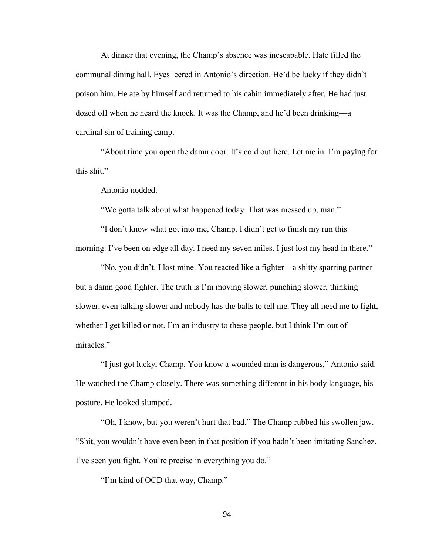At dinner that evening, the Champ's absence was inescapable. Hate filled the communal dining hall. Eyes leered in Antonio's direction. He'd be lucky if they didn't poison him. He ate by himself and returned to his cabin immediately after. He had just dozed off when he heard the knock. It was the Champ, and he'd been drinking—a cardinal sin of training camp.

"About time you open the damn door. It's cold out here. Let me in. I'm paying for this shit."

Antonio nodded.

"We gotta talk about what happened today. That was messed up, man."

"I don't know what got into me, Champ. I didn't get to finish my run this morning. I've been on edge all day. I need my seven miles. I just lost my head in there."

"No, you didn't. I lost mine. You reacted like a fighter—a shitty sparring partner but a damn good fighter. The truth is I'm moving slower, punching slower, thinking slower, even talking slower and nobody has the balls to tell me. They all need me to fight, whether I get killed or not. I'm an industry to these people, but I think I'm out of miracles."

"I just got lucky, Champ. You know a wounded man is dangerous," Antonio said. He watched the Champ closely. There was something different in his body language, his posture. He looked slumped.

"Oh, I know, but you weren't hurt that bad." The Champ rubbed his swollen jaw. "Shit, you wouldn't have even been in that position if you hadn't been imitating Sanchez. I've seen you fight. You're precise in everything you do."

"I'm kind of OCD that way, Champ."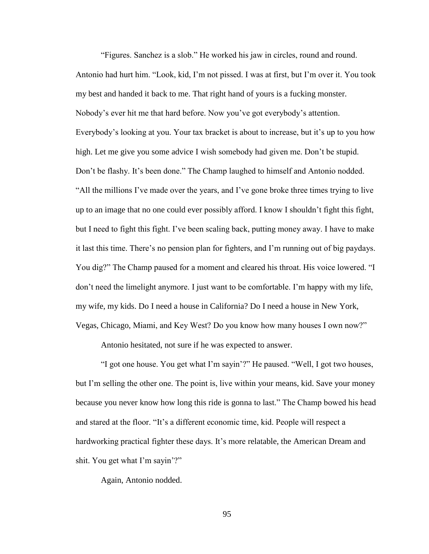"Figures. Sanchez is a slob." He worked his jaw in circles, round and round. Antonio had hurt him. "Look, kid, I'm not pissed. I was at first, but I'm over it. You took my best and handed it back to me. That right hand of yours is a fucking monster. Nobody's ever hit me that hard before. Now you've got everybody's attention. Everybody's looking at you. Your tax bracket is about to increase, but it's up to you how high. Let me give you some advice I wish somebody had given me. Don't be stupid. Don't be flashy. It's been done." The Champ laughed to himself and Antonio nodded. "All the millions I've made over the years, and I've gone broke three times trying to live up to an image that no one could ever possibly afford. I know I shouldn't fight this fight, but I need to fight this fight. I've been scaling back, putting money away. I have to make it last this time. There's no pension plan for fighters, and I'm running out of big paydays. You dig?" The Champ paused for a moment and cleared his throat. His voice lowered. "I don't need the limelight anymore. I just want to be comfortable. I'm happy with my life, my wife, my kids. Do I need a house in California? Do I need a house in New York, Vegas, Chicago, Miami, and Key West? Do you know how many houses I own now?"

Antonio hesitated, not sure if he was expected to answer.

"I got one house. You get what I'm sayin'?" He paused. "Well, I got two houses, but I'm selling the other one. The point is, live within your means, kid. Save your money because you never know how long this ride is gonna to last." The Champ bowed his head and stared at the floor. "It's a different economic time, kid. People will respect a hardworking practical fighter these days. It's more relatable, the American Dream and shit. You get what I'm sayin'?"

Again, Antonio nodded.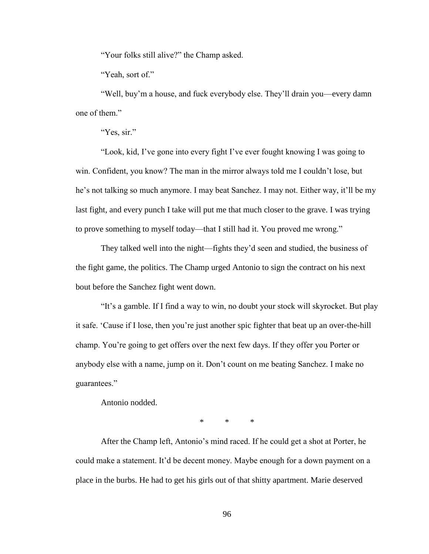"Your folks still alive?" the Champ asked.

"Yeah, sort of."

"Well, buy'm a house, and fuck everybody else. They'll drain you—every damn one of them<sup>"</sup>

"Yes, sir."

"Look, kid, I've gone into every fight I've ever fought knowing I was going to win. Confident, you know? The man in the mirror always told me I couldn't lose, but he's not talking so much anymore. I may beat Sanchez. I may not. Either way, it'll be my last fight, and every punch I take will put me that much closer to the grave. I was trying to prove something to myself today—that I still had it. You proved me wrong."

They talked well into the night—fights they'd seen and studied, the business of the fight game, the politics. The Champ urged Antonio to sign the contract on his next bout before the Sanchez fight went down.

"It's a gamble. If I find a way to win, no doubt your stock will skyrocket. But play it safe. 'Cause if I lose, then you're just another spic fighter that beat up an over-the-hill champ. You're going to get offers over the next few days. If they offer you Porter or anybody else with a name, jump on it. Don't count on me beating Sanchez. I make no guarantees."

Antonio nodded.

\* \* \*

After the Champ left, Antonio's mind raced. If he could get a shot at Porter, he could make a statement. It'd be decent money. Maybe enough for a down payment on a place in the burbs. He had to get his girls out of that shitty apartment. Marie deserved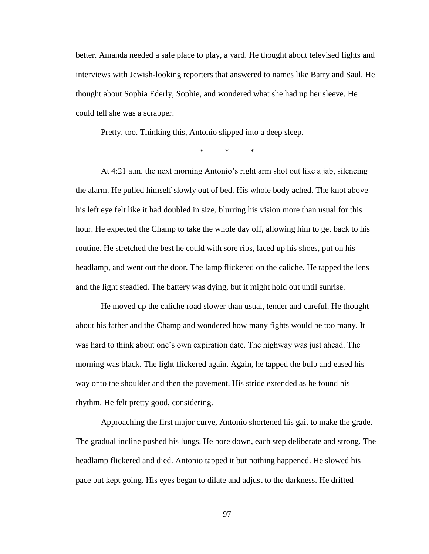better. Amanda needed a safe place to play, a yard. He thought about televised fights and interviews with Jewish-looking reporters that answered to names like Barry and Saul. He thought about Sophia Ederly, Sophie, and wondered what she had up her sleeve. He could tell she was a scrapper.

Pretty, too. Thinking this, Antonio slipped into a deep sleep.

\* \* \*

At 4:21 a.m. the next morning Antonio's right arm shot out like a jab, silencing the alarm. He pulled himself slowly out of bed. His whole body ached. The knot above his left eye felt like it had doubled in size, blurring his vision more than usual for this hour. He expected the Champ to take the whole day off, allowing him to get back to his routine. He stretched the best he could with sore ribs, laced up his shoes, put on his headlamp, and went out the door. The lamp flickered on the caliche. He tapped the lens and the light steadied. The battery was dying, but it might hold out until sunrise.

He moved up the caliche road slower than usual, tender and careful. He thought about his father and the Champ and wondered how many fights would be too many. It was hard to think about one's own expiration date. The highway was just ahead. The morning was black. The light flickered again. Again, he tapped the bulb and eased his way onto the shoulder and then the pavement. His stride extended as he found his rhythm. He felt pretty good, considering.

Approaching the first major curve, Antonio shortened his gait to make the grade. The gradual incline pushed his lungs. He bore down, each step deliberate and strong. The headlamp flickered and died. Antonio tapped it but nothing happened. He slowed his pace but kept going. His eyes began to dilate and adjust to the darkness. He drifted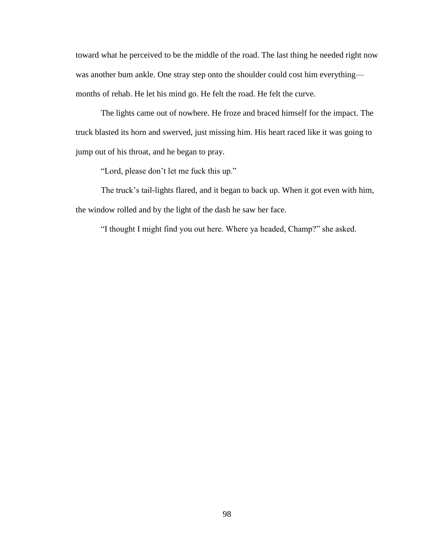toward what he perceived to be the middle of the road. The last thing he needed right now was another bum ankle. One stray step onto the shoulder could cost him everything months of rehab. He let his mind go. He felt the road. He felt the curve.

The lights came out of nowhere. He froze and braced himself for the impact. The truck blasted its horn and swerved, just missing him. His heart raced like it was going to jump out of his throat, and he began to pray.

"Lord, please don't let me fuck this up."

The truck's tail-lights flared, and it began to back up. When it got even with him, the window rolled and by the light of the dash he saw her face.

"I thought I might find you out here. Where ya headed, Champ?" she asked.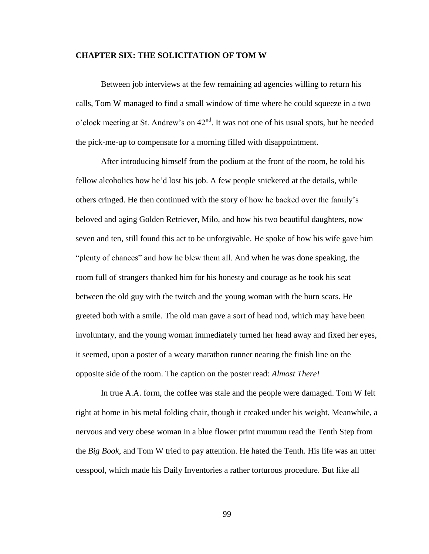## **CHAPTER SIX: THE SOLICITATION OF TOM W**

Between job interviews at the few remaining ad agencies willing to return his calls, Tom W managed to find a small window of time where he could squeeze in a two o'clock meeting at St. Andrew's on  $42<sup>nd</sup>$ . It was not one of his usual spots, but he needed the pick-me-up to compensate for a morning filled with disappointment.

After introducing himself from the podium at the front of the room, he told his fellow alcoholics how he'd lost his job. A few people snickered at the details, while others cringed. He then continued with the story of how he backed over the family's beloved and aging Golden Retriever, Milo, and how his two beautiful daughters, now seven and ten, still found this act to be unforgivable. He spoke of how his wife gave him "plenty of chances" and how he blew them all. And when he was done speaking, the room full of strangers thanked him for his honesty and courage as he took his seat between the old guy with the twitch and the young woman with the burn scars. He greeted both with a smile. The old man gave a sort of head nod, which may have been involuntary, and the young woman immediately turned her head away and fixed her eyes, it seemed, upon a poster of a weary marathon runner nearing the finish line on the opposite side of the room. The caption on the poster read: *Almost There!*

In true A.A. form, the coffee was stale and the people were damaged. Tom W felt right at home in his metal folding chair, though it creaked under his weight. Meanwhile, a nervous and very obese woman in a blue flower print muumuu read the Tenth Step from the *Big Book*, and Tom W tried to pay attention. He hated the Tenth. His life was an utter cesspool, which made his Daily Inventories a rather torturous procedure. But like all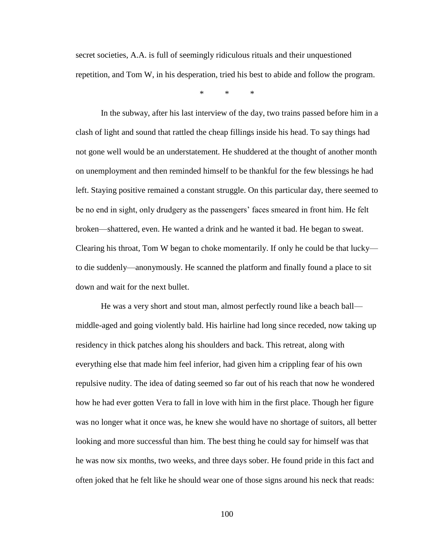secret societies, A.A. is full of seemingly ridiculous rituals and their unquestioned repetition, and Tom W, in his desperation, tried his best to abide and follow the program.

\* \* \*

In the subway, after his last interview of the day, two trains passed before him in a clash of light and sound that rattled the cheap fillings inside his head. To say things had not gone well would be an understatement. He shuddered at the thought of another month on unemployment and then reminded himself to be thankful for the few blessings he had left. Staying positive remained a constant struggle. On this particular day, there seemed to be no end in sight, only drudgery as the passengers' faces smeared in front him. He felt broken—shattered, even. He wanted a drink and he wanted it bad. He began to sweat. Clearing his throat, Tom W began to choke momentarily. If only he could be that lucky to die suddenly—anonymously. He scanned the platform and finally found a place to sit down and wait for the next bullet.

He was a very short and stout man, almost perfectly round like a beach ball middle-aged and going violently bald. His hairline had long since receded, now taking up residency in thick patches along his shoulders and back. This retreat, along with everything else that made him feel inferior, had given him a crippling fear of his own repulsive nudity. The idea of dating seemed so far out of his reach that now he wondered how he had ever gotten Vera to fall in love with him in the first place. Though her figure was no longer what it once was, he knew she would have no shortage of suitors, all better looking and more successful than him. The best thing he could say for himself was that he was now six months, two weeks, and three days sober. He found pride in this fact and often joked that he felt like he should wear one of those signs around his neck that reads: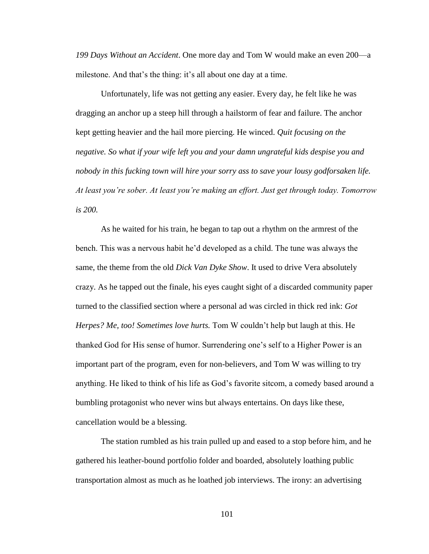*199 Days Without an Accident*. One more day and Tom W would make an even 200—a milestone. And that's the thing: it's all about one day at a time.

Unfortunately, life was not getting any easier. Every day, he felt like he was dragging an anchor up a steep hill through a hailstorm of fear and failure. The anchor kept getting heavier and the hail more piercing. He winced. *Quit focusing on the negative. So what if your wife left you and your damn ungrateful kids despise you and nobody in this fucking town will hire your sorry ass to save your lousy godforsaken life. At least you're sober. At least you're making an effort. Just get through today. Tomorrow is 200.* 

As he waited for his train, he began to tap out a rhythm on the armrest of the bench. This was a nervous habit he'd developed as a child. The tune was always the same, the theme from the old *Dick Van Dyke Show*. It used to drive Vera absolutely crazy. As he tapped out the finale, his eyes caught sight of a discarded community paper turned to the classified section where a personal ad was circled in thick red ink: *Got Herpes? Me, too! Sometimes love hurts.* Tom W couldn't help but laugh at this. He thanked God for His sense of humor. Surrendering one's self to a Higher Power is an important part of the program, even for non-believers, and Tom W was willing to try anything. He liked to think of his life as God's favorite sitcom, a comedy based around a bumbling protagonist who never wins but always entertains. On days like these, cancellation would be a blessing.

The station rumbled as his train pulled up and eased to a stop before him, and he gathered his leather-bound portfolio folder and boarded, absolutely loathing public transportation almost as much as he loathed job interviews. The irony: an advertising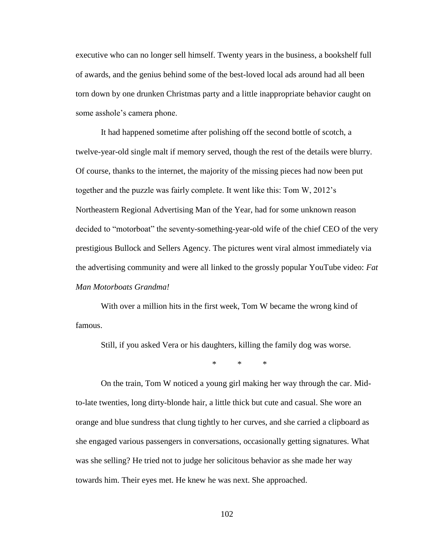executive who can no longer sell himself. Twenty years in the business, a bookshelf full of awards, and the genius behind some of the best-loved local ads around had all been torn down by one drunken Christmas party and a little inappropriate behavior caught on some asshole's camera phone.

It had happened sometime after polishing off the second bottle of scotch, a twelve-year-old single malt if memory served, though the rest of the details were blurry. Of course, thanks to the internet, the majority of the missing pieces had now been put together and the puzzle was fairly complete. It went like this: Tom W, 2012's Northeastern Regional Advertising Man of the Year, had for some unknown reason decided to "motorboat" the seventy-something-year-old wife of the chief CEO of the very prestigious Bullock and Sellers Agency. The pictures went viral almost immediately via the advertising community and were all linked to the grossly popular YouTube video: *Fat Man Motorboats Grandma!*

With over a million hits in the first week, Tom W became the wrong kind of famous.

Still, if you asked Vera or his daughters, killing the family dog was worse.

\* \* \*

On the train, Tom W noticed a young girl making her way through the car. Midto-late twenties, long dirty-blonde hair, a little thick but cute and casual. She wore an orange and blue sundress that clung tightly to her curves, and she carried a clipboard as she engaged various passengers in conversations, occasionally getting signatures. What was she selling? He tried not to judge her solicitous behavior as she made her way towards him. Their eyes met. He knew he was next. She approached.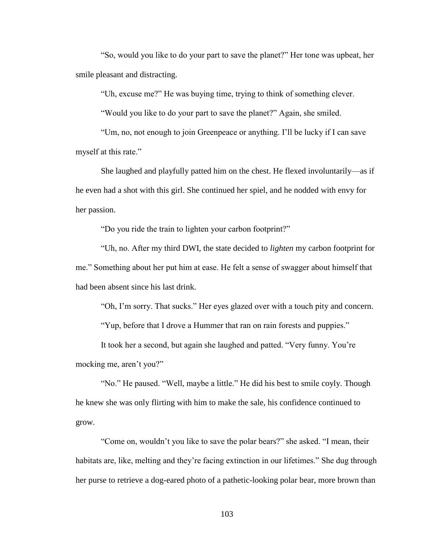"So, would you like to do your part to save the planet?" Her tone was upbeat, her smile pleasant and distracting.

"Uh, excuse me?" He was buying time, trying to think of something clever.

"Would you like to do your part to save the planet?" Again, she smiled.

"Um, no, not enough to join Greenpeace or anything. I'll be lucky if I can save myself at this rate."

She laughed and playfully patted him on the chest. He flexed involuntarily—as if he even had a shot with this girl. She continued her spiel, and he nodded with envy for her passion.

"Do you ride the train to lighten your carbon footprint?"

"Uh, no. After my third DWI, the state decided to *lighten* my carbon footprint for me." Something about her put him at ease. He felt a sense of swagger about himself that had been absent since his last drink.

"Oh, I'm sorry. That sucks." Her eyes glazed over with a touch pity and concern.

"Yup, before that I drove a Hummer that ran on rain forests and puppies."

It took her a second, but again she laughed and patted. "Very funny. You're mocking me, aren't you?"

"No." He paused. "Well, maybe a little." He did his best to smile coyly. Though he knew she was only flirting with him to make the sale, his confidence continued to grow.

"Come on, wouldn't you like to save the polar bears?" she asked. "I mean, their habitats are, like, melting and they're facing extinction in our lifetimes." She dug through her purse to retrieve a dog-eared photo of a pathetic-looking polar bear, more brown than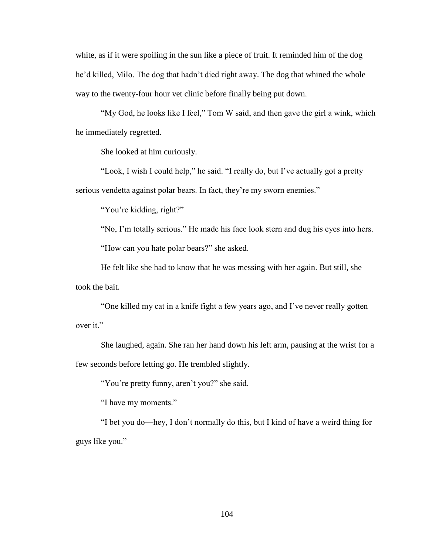white, as if it were spoiling in the sun like a piece of fruit. It reminded him of the dog he'd killed, Milo. The dog that hadn't died right away. The dog that whined the whole way to the twenty-four hour vet clinic before finally being put down.

"My God, he looks like I feel," Tom W said, and then gave the girl a wink, which he immediately regretted.

She looked at him curiously.

"Look, I wish I could help," he said. "I really do, but I've actually got a pretty serious vendetta against polar bears. In fact, they're my sworn enemies."

"You're kidding, right?"

"No, I'm totally serious." He made his face look stern and dug his eyes into hers.

"How can you hate polar bears?" she asked.

He felt like she had to know that he was messing with her again. But still, she took the bait.

"One killed my cat in a knife fight a few years ago, and I've never really gotten over it."

She laughed, again. She ran her hand down his left arm, pausing at the wrist for a few seconds before letting go. He trembled slightly.

"You're pretty funny, aren't you?" she said.

"I have my moments."

"I bet you do—hey, I don't normally do this, but I kind of have a weird thing for guys like you."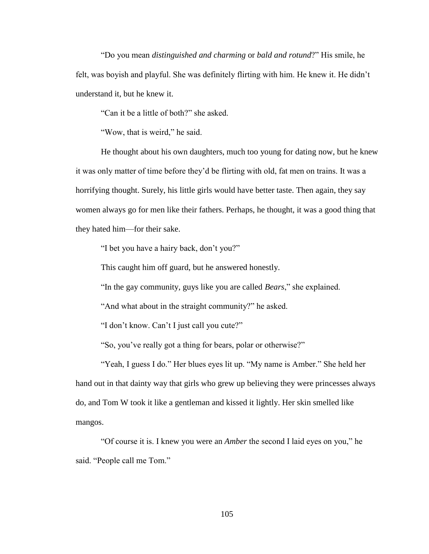"Do you mean *distinguished and charming* or *bald and rotund*?" His smile, he felt, was boyish and playful. She was definitely flirting with him. He knew it. He didn't understand it, but he knew it.

"Can it be a little of both?" she asked.

"Wow, that is weird," he said.

He thought about his own daughters, much too young for dating now, but he knew it was only matter of time before they'd be flirting with old, fat men on trains. It was a horrifying thought. Surely, his little girls would have better taste. Then again, they say women always go for men like their fathers. Perhaps, he thought, it was a good thing that they hated him—for their sake.

"I bet you have a hairy back, don't you?"

This caught him off guard, but he answered honestly.

"In the gay community, guys like you are called *Bears*," she explained.

"And what about in the straight community?" he asked.

"I don't know. Can't I just call you cute?"

"So, you've really got a thing for bears, polar or otherwise?"

"Yeah, I guess I do." Her blues eyes lit up. "My name is Amber." She held her hand out in that dainty way that girls who grew up believing they were princesses always do, and Tom W took it like a gentleman and kissed it lightly. Her skin smelled like mangos.

"Of course it is. I knew you were an *Amber* the second I laid eyes on you," he said. "People call me Tom."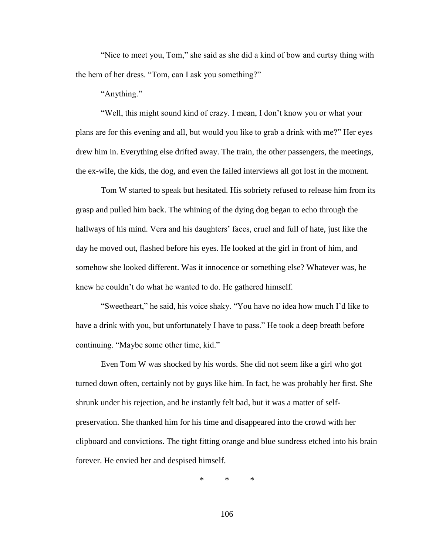"Nice to meet you, Tom," she said as she did a kind of bow and curtsy thing with the hem of her dress. "Tom, can I ask you something?"

"Anything."

"Well, this might sound kind of crazy. I mean, I don't know you or what your plans are for this evening and all, but would you like to grab a drink with me?" Her eyes drew him in. Everything else drifted away. The train, the other passengers, the meetings, the ex-wife, the kids, the dog, and even the failed interviews all got lost in the moment.

Tom W started to speak but hesitated. His sobriety refused to release him from its grasp and pulled him back. The whining of the dying dog began to echo through the hallways of his mind. Vera and his daughters' faces, cruel and full of hate, just like the day he moved out, flashed before his eyes. He looked at the girl in front of him, and somehow she looked different. Was it innocence or something else? Whatever was, he knew he couldn't do what he wanted to do. He gathered himself.

"Sweetheart," he said, his voice shaky. "You have no idea how much I'd like to have a drink with you, but unfortunately I have to pass." He took a deep breath before continuing. "Maybe some other time, kid."

Even Tom W was shocked by his words. She did not seem like a girl who got turned down often, certainly not by guys like him. In fact, he was probably her first. She shrunk under his rejection, and he instantly felt bad, but it was a matter of selfpreservation. She thanked him for his time and disappeared into the crowd with her clipboard and convictions. The tight fitting orange and blue sundress etched into his brain forever. He envied her and despised himself.

\* \* \*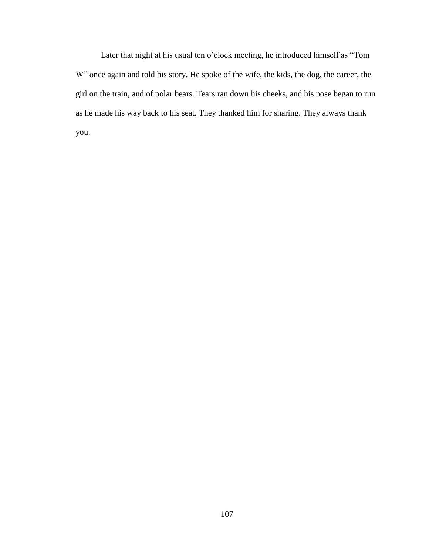Later that night at his usual ten o'clock meeting, he introduced himself as "Tom W" once again and told his story. He spoke of the wife, the kids, the dog, the career, the girl on the train, and of polar bears. Tears ran down his cheeks, and his nose began to run as he made his way back to his seat. They thanked him for sharing. They always thank you.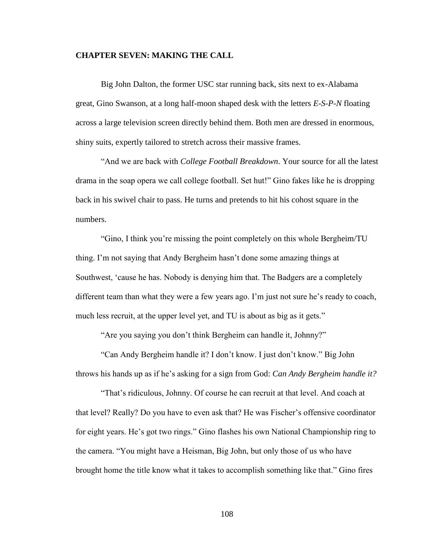## **CHAPTER SEVEN: MAKING THE CALL**

Big John Dalton, the former USC star running back, sits next to ex-Alabama great, Gino Swanson, at a long half-moon shaped desk with the letters *E-S-P-N* floating across a large television screen directly behind them. Both men are dressed in enormous, shiny suits, expertly tailored to stretch across their massive frames.

"And we are back with *College Football Breakdown*. Your source for all the latest drama in the soap opera we call college football. Set hut!" Gino fakes like he is dropping back in his swivel chair to pass. He turns and pretends to hit his cohost square in the numbers.

"Gino, I think you're missing the point completely on this whole Bergheim/TU thing. I'm not saying that Andy Bergheim hasn't done some amazing things at Southwest, 'cause he has. Nobody is denying him that. The Badgers are a completely different team than what they were a few years ago. I'm just not sure he's ready to coach, much less recruit, at the upper level yet, and TU is about as big as it gets."

"Are you saying you don't think Bergheim can handle it, Johnny?"

"Can Andy Bergheim handle it? I don't know. I just don't know." Big John throws his hands up as if he's asking for a sign from God: *Can Andy Bergheim handle it?*

"That's ridiculous, Johnny. Of course he can recruit at that level. And coach at that level? Really? Do you have to even ask that? He was Fischer's offensive coordinator for eight years. He's got two rings." Gino flashes his own National Championship ring to the camera. "You might have a Heisman, Big John, but only those of us who have brought home the title know what it takes to accomplish something like that." Gino fires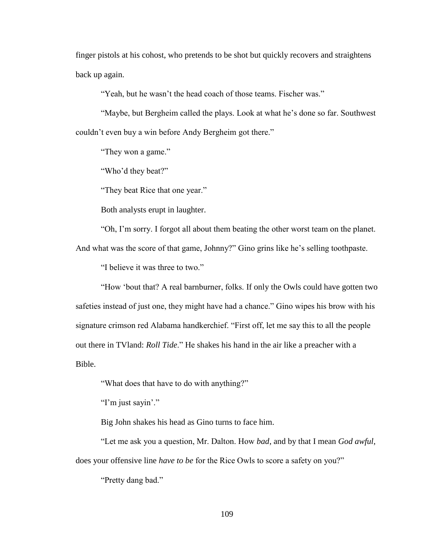finger pistols at his cohost, who pretends to be shot but quickly recovers and straightens back up again.

"Yeah, but he wasn't the head coach of those teams. Fischer was."

"Maybe, but Bergheim called the plays. Look at what he's done so far. Southwest couldn't even buy a win before Andy Bergheim got there."

"They won a game."

"Who'd they beat?"

"They beat Rice that one year."

Both analysts erupt in laughter.

"Oh, I'm sorry. I forgot all about them beating the other worst team on the planet.

And what was the score of that game, Johnny?" Gino grins like he's selling toothpaste.

"I believe it was three to two."

"How 'bout that? A real barnburner, folks. If only the Owls could have gotten two safeties instead of just one, they might have had a chance." Gino wipes his brow with his signature crimson red Alabama handkerchief. "First off, let me say this to all the people out there in TVland: *Roll Tide*." He shakes his hand in the air like a preacher with a Bible.

"What does that have to do with anything?"

"I'm just sayin"."

Big John shakes his head as Gino turns to face him.

"Let me ask you a question, Mr. Dalton. How *bad*, and by that I mean *God awful*, does your offensive line *have to be* for the Rice Owls to score a safety on you?"

"Pretty dang bad."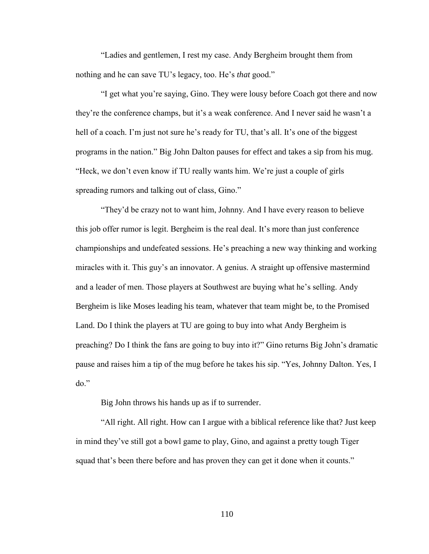"Ladies and gentlemen, I rest my case. Andy Bergheim brought them from nothing and he can save TU's legacy, too. He's *that* good."

"I get what you're saying, Gino. They were lousy before Coach got there and now they're the conference champs, but it's a weak conference. And I never said he wasn't a hell of a coach. I'm just not sure he's ready for TU, that's all. It's one of the biggest programs in the nation." Big John Dalton pauses for effect and takes a sip from his mug. "Heck, we don't even know if TU really wants him. We're just a couple of girls spreading rumors and talking out of class, Gino."

"They'd be crazy not to want him, Johnny. And I have every reason to believe this job offer rumor is legit. Bergheim is the real deal. It's more than just conference championships and undefeated sessions. He's preaching a new way thinking and working miracles with it. This guy's an innovator. A genius. A straight up offensive mastermind and a leader of men. Those players at Southwest are buying what he's selling. Andy Bergheim is like Moses leading his team, whatever that team might be, to the Promised Land. Do I think the players at TU are going to buy into what Andy Bergheim is preaching? Do I think the fans are going to buy into it?" Gino returns Big John's dramatic pause and raises him a tip of the mug before he takes his sip. "Yes, Johnny Dalton. Yes, I do."

Big John throws his hands up as if to surrender.

"All right. All right. How can I argue with a biblical reference like that? Just keep in mind they've still got a bowl game to play, Gino, and against a pretty tough Tiger squad that's been there before and has proven they can get it done when it counts."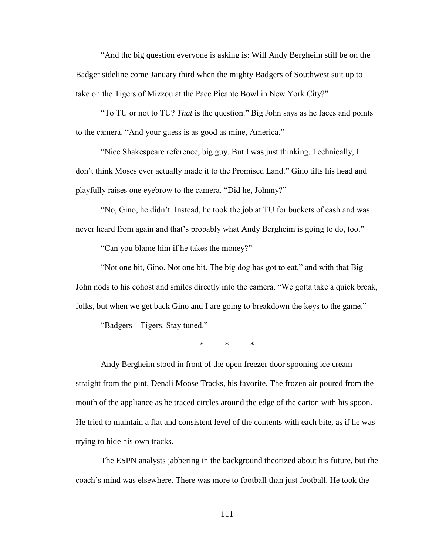"And the big question everyone is asking is: Will Andy Bergheim still be on the Badger sideline come January third when the mighty Badgers of Southwest suit up to take on the Tigers of Mizzou at the Pace Picante Bowl in New York City?"

"To TU or not to TU? *That* is the question." Big John says as he faces and points to the camera. "And your guess is as good as mine, America."

"Nice Shakespeare reference, big guy. But I was just thinking. Technically, I don't think Moses ever actually made it to the Promised Land." Gino tilts his head and playfully raises one eyebrow to the camera. "Did he, Johnny?"

"No, Gino, he didn't. Instead, he took the job at TU for buckets of cash and was never heard from again and that's probably what Andy Bergheim is going to do, too."

"Can you blame him if he takes the money?"

"Not one bit, Gino. Not one bit. The big dog has got to eat," and with that Big John nods to his cohost and smiles directly into the camera. "We gotta take a quick break, folks, but when we get back Gino and I are going to breakdown the keys to the game."

"Badgers—Tigers. Stay tuned."

\* \* \*

Andy Bergheim stood in front of the open freezer door spooning ice cream straight from the pint. Denali Moose Tracks, his favorite. The frozen air poured from the mouth of the appliance as he traced circles around the edge of the carton with his spoon. He tried to maintain a flat and consistent level of the contents with each bite, as if he was trying to hide his own tracks.

The ESPN analysts jabbering in the background theorized about his future, but the coach's mind was elsewhere. There was more to football than just football. He took the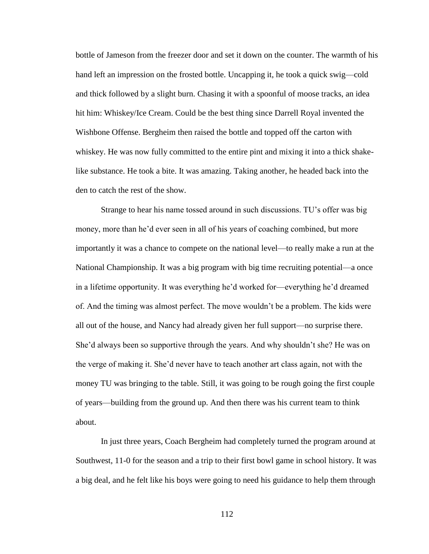bottle of Jameson from the freezer door and set it down on the counter. The warmth of his hand left an impression on the frosted bottle. Uncapping it, he took a quick swig—cold and thick followed by a slight burn. Chasing it with a spoonful of moose tracks, an idea hit him: Whiskey/Ice Cream. Could be the best thing since Darrell Royal invented the Wishbone Offense. Bergheim then raised the bottle and topped off the carton with whiskey. He was now fully committed to the entire pint and mixing it into a thick shakelike substance. He took a bite. It was amazing. Taking another, he headed back into the den to catch the rest of the show.

Strange to hear his name tossed around in such discussions. TU's offer was big money, more than he'd ever seen in all of his years of coaching combined, but more importantly it was a chance to compete on the national level—to really make a run at the National Championship. It was a big program with big time recruiting potential—a once in a lifetime opportunity. It was everything he'd worked for—everything he'd dreamed of. And the timing was almost perfect. The move wouldn't be a problem. The kids were all out of the house, and Nancy had already given her full support—no surprise there. She'd always been so supportive through the years. And why shouldn't she? He was on the verge of making it. She'd never have to teach another art class again, not with the money TU was bringing to the table. Still, it was going to be rough going the first couple of years—building from the ground up. And then there was his current team to think about.

In just three years, Coach Bergheim had completely turned the program around at Southwest, 11-0 for the season and a trip to their first bowl game in school history. It was a big deal, and he felt like his boys were going to need his guidance to help them through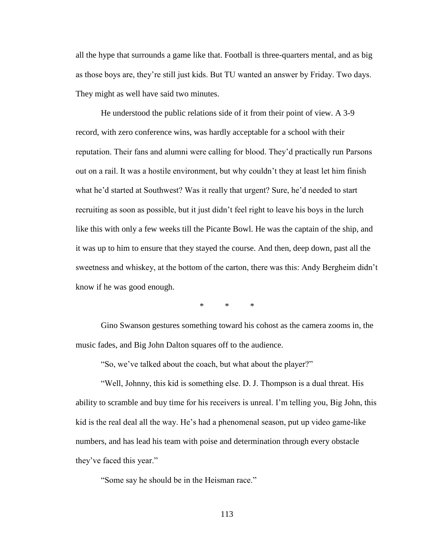all the hype that surrounds a game like that. Football is three-quarters mental, and as big as those boys are, they're still just kids. But TU wanted an answer by Friday. Two days. They might as well have said two minutes.

He understood the public relations side of it from their point of view. A 3-9 record, with zero conference wins, was hardly acceptable for a school with their reputation. Their fans and alumni were calling for blood. They'd practically run Parsons out on a rail. It was a hostile environment, but why couldn't they at least let him finish what he'd started at Southwest? Was it really that urgent? Sure, he'd needed to start recruiting as soon as possible, but it just didn't feel right to leave his boys in the lurch like this with only a few weeks till the Picante Bowl. He was the captain of the ship, and it was up to him to ensure that they stayed the course. And then, deep down, past all the sweetness and whiskey, at the bottom of the carton, there was this: Andy Bergheim didn't know if he was good enough.

\* \* \*

Gino Swanson gestures something toward his cohost as the camera zooms in, the music fades, and Big John Dalton squares off to the audience.

"So, we've talked about the coach, but what about the player?"

"Well, Johnny, this kid is something else. D. J. Thompson is a dual threat. His ability to scramble and buy time for his receivers is unreal. I'm telling you, Big John, this kid is the real deal all the way. He's had a phenomenal season, put up video game-like numbers, and has lead his team with poise and determination through every obstacle they've faced this year."

"Some say he should be in the Heisman race."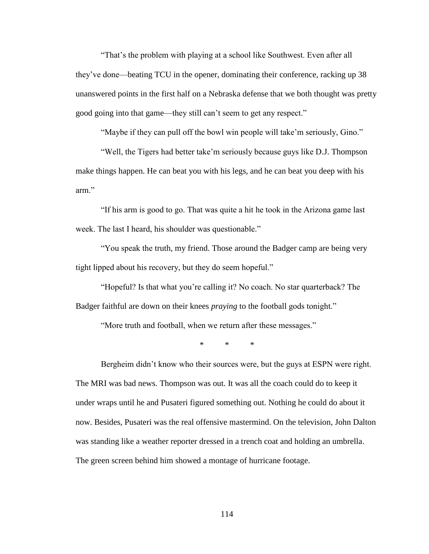"That's the problem with playing at a school like Southwest. Even after all they've done—beating TCU in the opener, dominating their conference, racking up 38 unanswered points in the first half on a Nebraska defense that we both thought was pretty good going into that game—they still can't seem to get any respect."

"Maybe if they can pull off the bowl win people will take'm seriously, Gino."

"Well, the Tigers had better take'm seriously because guys like D.J. Thompson make things happen. He can beat you with his legs, and he can beat you deep with his arm."

"If his arm is good to go. That was quite a hit he took in the Arizona game last week. The last I heard, his shoulder was questionable."

"You speak the truth, my friend. Those around the Badger camp are being very tight lipped about his recovery, but they do seem hopeful."

"Hopeful? Is that what you're calling it? No coach. No star quarterback? The Badger faithful are down on their knees *praying* to the football gods tonight."

"More truth and football, when we return after these messages."

\* \* \*

Bergheim didn't know who their sources were, but the guys at ESPN were right. The MRI was bad news. Thompson was out. It was all the coach could do to keep it under wraps until he and Pusateri figured something out. Nothing he could do about it now. Besides, Pusateri was the real offensive mastermind. On the television, John Dalton was standing like a weather reporter dressed in a trench coat and holding an umbrella. The green screen behind him showed a montage of hurricane footage.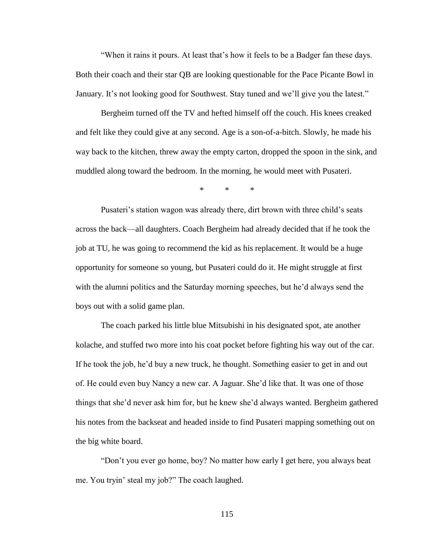"When it rains it pours. At least that's how it feels to be a Badger fan these days. Both their coach and their star QB are looking questionable for the Pace Picante Bowl in January. It's not looking good for Southwest. Stay tuned and we'll give you the latest."

Bergheim turned off the TV and hefted himself off the couch. His knees creaked and felt like they could give at any second. Age is a son-of-a-bitch. Slowly, he made his way back to the kitchen, threw away the empty carton, dropped the spoon in the sink, and muddled along toward the bedroom. In the morning, he would meet with Pusateri.

\* \* \*

Pusateri's station wagon was already there, dirt brown with three child's seats across the back—all daughters. Coach Bergheim had already decided that if he took the job at TU, he was going to recommend the kid as his replacement. It would be a huge opportunity for someone so young, but Pusateri could do it. He might struggle at first with the alumni politics and the Saturday morning speeches, but he'd always send the boys out with a solid game plan.

The coach parked his little blue Mitsubishi in his designated spot, ate another kolache, and stuffed two more into his coat pocket before fighting his way out of the car. If he took the job, he'd buy a new truck, he thought. Something easier to get in and out of. He could even buy Nancy a new car. A Jaguar. She'd like that. It was one of those things that she'd never ask him for, but he knew she'd always wanted. Bergheim gathered his notes from the backseat and headed inside to find Pusateri mapping something out on the big white board.

"Don't you ever go home, boy? No matter how early I get here, you always beat me. You tryin' steal my job?" The coach laughed.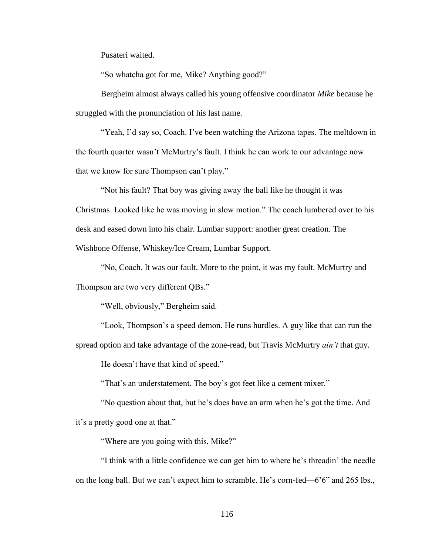Pusateri waited.

"So whatcha got for me, Mike? Anything good?"

Bergheim almost always called his young offensive coordinator *Mike* because he struggled with the pronunciation of his last name.

"Yeah, I'd say so, Coach. I've been watching the Arizona tapes. The meltdown in the fourth quarter wasn't McMurtry's fault. I think he can work to our advantage now that we know for sure Thompson can't play."

"Not his fault? That boy was giving away the ball like he thought it was Christmas. Looked like he was moving in slow motion." The coach lumbered over to his desk and eased down into his chair. Lumbar support: another great creation. The Wishbone Offense, Whiskey/Ice Cream, Lumbar Support.

"No, Coach. It was our fault. More to the point, it was my fault. McMurtry and Thompson are two very different QBs."

"Well, obviously," Bergheim said.

"Look, Thompson's a speed demon. He runs hurdles. A guy like that can run the spread option and take advantage of the zone-read, but Travis McMurtry *ain't* that guy.

He doesn't have that kind of speed."

"That's an understatement. The boy's got feet like a cement mixer."

"No question about that, but he's does have an arm when he's got the time. And it's a pretty good one at that."

"Where are you going with this, Mike?"

"I think with a little confidence we can get him to where he's threadin' the needle on the long ball. But we can't expect him to scramble. He's corn-fed—6'6" and 265 lbs.,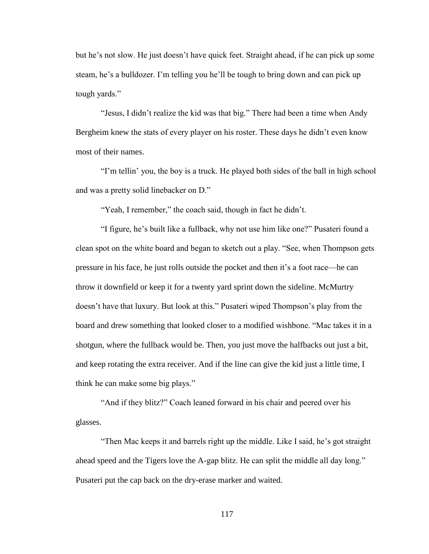but he's not slow. He just doesn't have quick feet. Straight ahead, if he can pick up some steam, he's a bulldozer. I'm telling you he'll be tough to bring down and can pick up tough yards."

"Jesus, I didn't realize the kid was that big." There had been a time when Andy Bergheim knew the stats of every player on his roster. These days he didn't even know most of their names.

"I'm tellin' you, the boy is a truck. He played both sides of the ball in high school and was a pretty solid linebacker on D."

"Yeah, I remember," the coach said, though in fact he didn't.

"I figure, he's built like a fullback, why not use him like one?" Pusateri found a clean spot on the white board and began to sketch out a play. "See, when Thompson gets pressure in his face, he just rolls outside the pocket and then it's a foot race—he can throw it downfield or keep it for a twenty yard sprint down the sideline. McMurtry doesn't have that luxury. But look at this." Pusateri wiped Thompson's play from the board and drew something that looked closer to a modified wishbone. "Mac takes it in a shotgun, where the fullback would be. Then, you just move the halfbacks out just a bit, and keep rotating the extra receiver. And if the line can give the kid just a little time, I think he can make some big plays."

"And if they blitz?" Coach leaned forward in his chair and peered over his glasses.

"Then Mac keeps it and barrels right up the middle. Like I said, he's got straight ahead speed and the Tigers love the A-gap blitz. He can split the middle all day long." Pusateri put the cap back on the dry-erase marker and waited.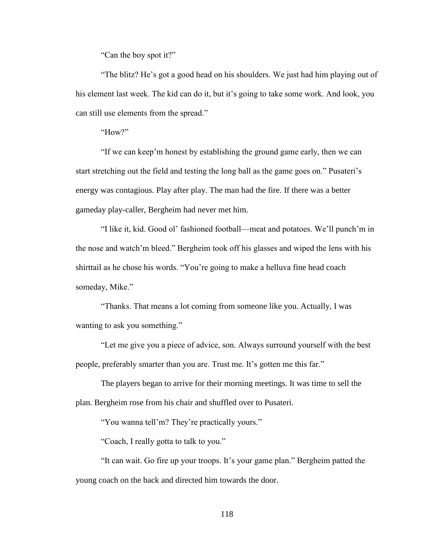"Can the boy spot it?"

"The blitz? He's got a good head on his shoulders. We just had him playing out of his element last week. The kid can do it, but it's going to take some work. And look, you can still use elements from the spread."

"How?"

"If we can keep'm honest by establishing the ground game early, then we can start stretching out the field and testing the long ball as the game goes on." Pusateri's energy was contagious. Play after play. The man had the fire. If there was a better gameday play-caller, Bergheim had never met him.

"I like it, kid. Good ol' fashioned football—meat and potatoes. We'll punch'm in the nose and watch'm bleed." Bergheim took off his glasses and wiped the lens with his shirttail as he chose his words. "You're going to make a helluva fine head coach someday, Mike."

"Thanks. That means a lot coming from someone like you. Actually, I was wanting to ask you something."

"Let me give you a piece of advice, son. Always surround yourself with the best people, preferably smarter than you are. Trust me. It's gotten me this far."

The players began to arrive for their morning meetings. It was time to sell the plan. Bergheim rose from his chair and shuffled over to Pusateri.

"You wanna tell'm? They're practically yours."

"Coach, I really gotta to talk to you."

"It can wait. Go fire up your troops. It's your game plan." Bergheim patted the young coach on the back and directed him towards the door.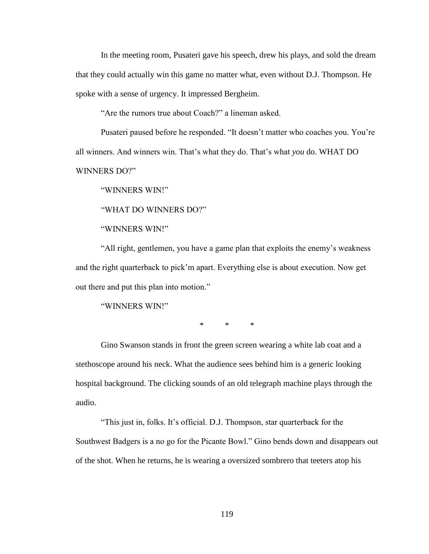In the meeting room, Pusateri gave his speech, drew his plays, and sold the dream that they could actually win this game no matter what, even without D.J. Thompson. He spoke with a sense of urgency. It impressed Bergheim.

"Are the rumors true about Coach?" a lineman asked.

Pusateri paused before he responded. "It doesn't matter who coaches you. You're all winners. And winners win. That's what they do. That's what *you* do. WHAT DO WINNERS DO?"

"WINNERS WIN!"

"WHAT DO WINNERS DO?"

"WINNERS WIN!"

"All right, gentlemen, you have a game plan that exploits the enemy's weakness and the right quarterback to pick'm apart. Everything else is about execution. Now get out there and put this plan into motion."

"WINNERS WIN!"

\* \* \*

Gino Swanson stands in front the green screen wearing a white lab coat and a stethoscope around his neck. What the audience sees behind him is a generic looking hospital background. The clicking sounds of an old telegraph machine plays through the audio.

"This just in, folks. It's official. D.J. Thompson, star quarterback for the Southwest Badgers is a no go for the Picante Bowl." Gino bends down and disappears out of the shot. When he returns, he is wearing a oversized sombrero that teeters atop his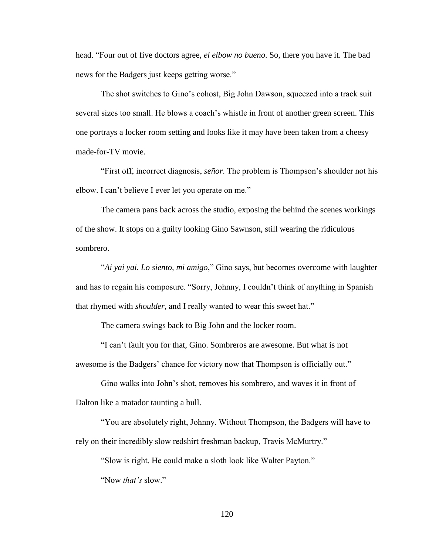head. "Four out of five doctors agree, *el elbow no bueno*. So, there you have it. The bad news for the Badgers just keeps getting worse."

The shot switches to Gino's cohost, Big John Dawson, squeezed into a track suit several sizes too small. He blows a coach's whistle in front of another green screen. This one portrays a locker room setting and looks like it may have been taken from a cheesy made-for-TV movie.

"First off, incorrect diagnosis, *señor*. The problem is Thompson's shoulder not his elbow. I can't believe I ever let you operate on me."

The camera pans back across the studio, exposing the behind the scenes workings of the show. It stops on a guilty looking Gino Sawnson, still wearing the ridiculous sombrero.

"*Ai yai yai. Lo siento, mi amigo*," Gino says, but becomes overcome with laughter and has to regain his composure. "Sorry, Johnny, I couldn't think of anything in Spanish that rhymed with *shoulder,* and I really wanted to wear this sweet hat."

The camera swings back to Big John and the locker room.

"I can't fault you for that, Gino. Sombreros are awesome. But what is not awesome is the Badgers' chance for victory now that Thompson is officially out."

Gino walks into John's shot, removes his sombrero, and waves it in front of Dalton like a matador taunting a bull.

"You are absolutely right, Johnny. Without Thompson, the Badgers will have to rely on their incredibly slow redshirt freshman backup, Travis McMurtry."

"Slow is right. He could make a sloth look like Walter Payton."

"Now *that's* slow."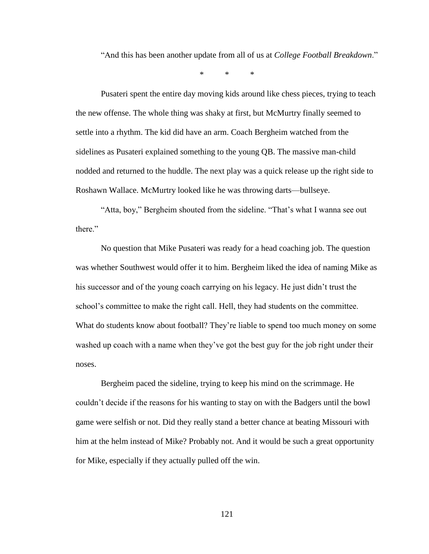"And this has been another update from all of us at *College Football Breakdown*."

\* \* \*

Pusateri spent the entire day moving kids around like chess pieces, trying to teach the new offense. The whole thing was shaky at first, but McMurtry finally seemed to settle into a rhythm. The kid did have an arm. Coach Bergheim watched from the sidelines as Pusateri explained something to the young QB. The massive man-child nodded and returned to the huddle. The next play was a quick release up the right side to Roshawn Wallace. McMurtry looked like he was throwing darts—bullseye.

"Atta, boy," Bergheim shouted from the sideline. "That's what I wanna see out there."

No question that Mike Pusateri was ready for a head coaching job. The question was whether Southwest would offer it to him. Bergheim liked the idea of naming Mike as his successor and of the young coach carrying on his legacy. He just didn't trust the school's committee to make the right call. Hell, they had students on the committee. What do students know about football? They're liable to spend too much money on some washed up coach with a name when they've got the best guy for the job right under their noses.

Bergheim paced the sideline, trying to keep his mind on the scrimmage. He couldn't decide if the reasons for his wanting to stay on with the Badgers until the bowl game were selfish or not. Did they really stand a better chance at beating Missouri with him at the helm instead of Mike? Probably not. And it would be such a great opportunity for Mike, especially if they actually pulled off the win.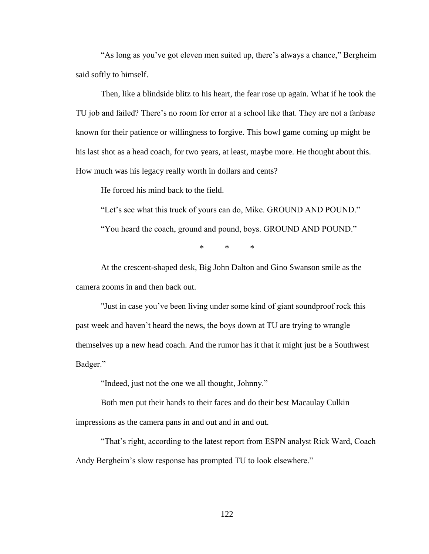"As long as you've got eleven men suited up, there's always a chance," Bergheim said softly to himself.

Then, like a blindside blitz to his heart, the fear rose up again. What if he took the TU job and failed? There's no room for error at a school like that. They are not a fanbase known for their patience or willingness to forgive. This bowl game coming up might be his last shot as a head coach, for two years, at least, maybe more. He thought about this. How much was his legacy really worth in dollars and cents?

He forced his mind back to the field.

"Let's see what this truck of yours can do, Mike. GROUND AND POUND."

"You heard the coach, ground and pound, boys. GROUND AND POUND."

\* \* \*

At the crescent-shaped desk, Big John Dalton and Gino Swanson smile as the camera zooms in and then back out.

"Just in case you've been living under some kind of giant soundproof rock this past week and haven't heard the news, the boys down at TU are trying to wrangle themselves up a new head coach. And the rumor has it that it might just be a Southwest Badger."

"Indeed, just not the one we all thought, Johnny."

Both men put their hands to their faces and do their best Macaulay Culkin impressions as the camera pans in and out and in and out.

"That's right, according to the latest report from ESPN analyst Rick Ward, Coach Andy Bergheim's slow response has prompted TU to look elsewhere."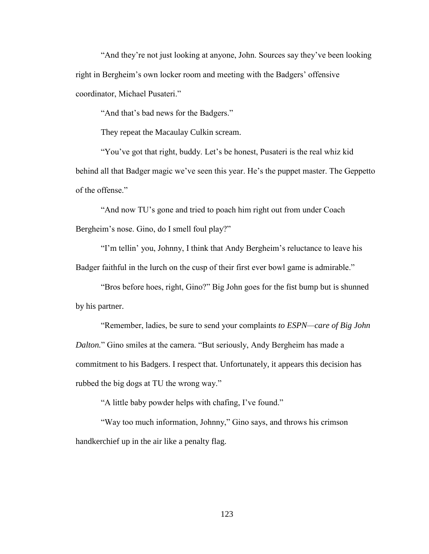"And they're not just looking at anyone, John. Sources say they've been looking right in Bergheim's own locker room and meeting with the Badgers' offensive coordinator, Michael Pusateri."

"And that's bad news for the Badgers."

They repeat the Macaulay Culkin scream.

"You've got that right, buddy. Let's be honest, Pusateri is the real whiz kid behind all that Badger magic we've seen this year. He's the puppet master. The Geppetto of the offense."

"And now TU's gone and tried to poach him right out from under Coach Bergheim's nose. Gino, do I smell foul play?"

"I'm tellin' you, Johnny, I think that Andy Bergheim's reluctance to leave his Badger faithful in the lurch on the cusp of their first ever bowl game is admirable."

"Bros before hoes, right, Gino?" Big John goes for the fist bump but is shunned by his partner.

"Remember, ladies, be sure to send your complaints *to ESPN—care of Big John Dalton.*" Gino smiles at the camera. "But seriously, Andy Bergheim has made a commitment to his Badgers. I respect that. Unfortunately, it appears this decision has rubbed the big dogs at TU the wrong way."

"A little baby powder helps with chafing, I've found."

"Way too much information, Johnny," Gino says, and throws his crimson handkerchief up in the air like a penalty flag.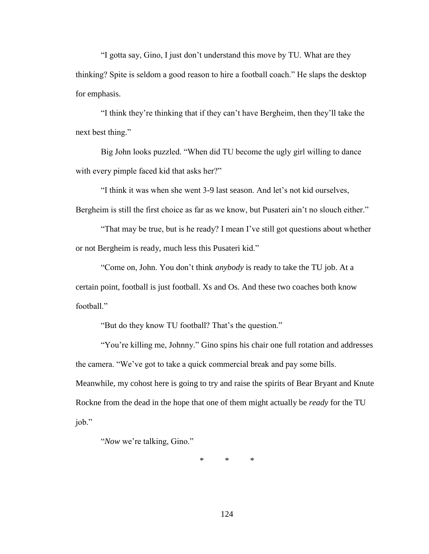"I gotta say, Gino, I just don't understand this move by TU. What are they thinking? Spite is seldom a good reason to hire a football coach." He slaps the desktop for emphasis.

"I think they're thinking that if they can't have Bergheim, then they'll take the next best thing."

Big John looks puzzled. "When did TU become the ugly girl willing to dance with every pimple faced kid that asks her?"

"I think it was when she went 3-9 last season. And let's not kid ourselves, Bergheim is still the first choice as far as we know, but Pusateri ain't no slouch either."

"That may be true, but is he ready? I mean I've still got questions about whether or not Bergheim is ready, much less this Pusateri kid."

"Come on, John. You don't think *anybody* is ready to take the TU job. At a certain point, football is just football. Xs and Os. And these two coaches both know football."

"But do they know TU football? That's the question."

"You're killing me, Johnny." Gino spins his chair one full rotation and addresses the camera. "We've got to take a quick commercial break and pay some bills. Meanwhile, my cohost here is going to try and raise the spirits of Bear Bryant and Knute Rockne from the dead in the hope that one of them might actually be *ready* for the TU job."

"*Now* we're talking, Gino."

\* \* \*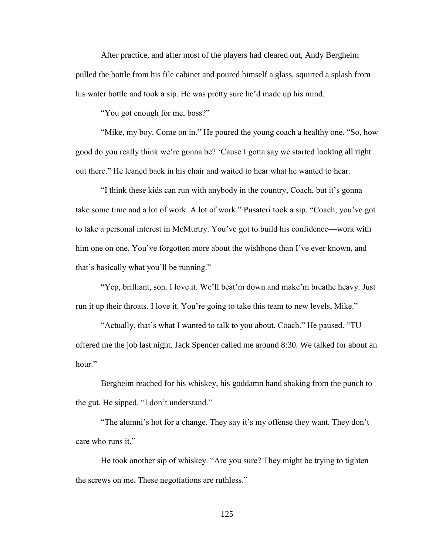After practice, and after most of the players had cleared out, Andy Bergheim pulled the bottle from his file cabinet and poured himself a glass, squirted a splash from his water bottle and took a sip. He was pretty sure he'd made up his mind.

"You got enough for me, boss?"

"Mike, my boy. Come on in." He poured the young coach a healthy one. "So, how good do you really think we're gonna be? 'Cause I gotta say we started looking all right out there." He leaned back in his chair and waited to hear what he wanted to hear.

"I think these kids can run with anybody in the country, Coach, but it's gonna take some time and a lot of work. A lot of work." Pusateri took a sip. "Coach, you've got to take a personal interest in McMurtry. You've got to build his confidence—work with him one on one. You've forgotten more about the wishbone than I've ever known, and that's basically what you'll be running."

"Yep, brilliant, son. I love it. We'll beat'm down and make'm breathe heavy. Just run it up their throats. I love it. You're going to take this team to new levels, Mike."

"Actually, that's what I wanted to talk to you about, Coach." He paused. "TU offered me the job last night. Jack Spencer called me around 8:30. We talked for about an hour"

Bergheim reached for his whiskey, his goddamn hand shaking from the punch to the gut. He sipped. "I don't understand."

"The alumni's hot for a change. They say it's my offense they want. They don't care who runs it."

He took another sip of whiskey. "Are you sure? They might be trying to tighten the screws on me. These negotiations are ruthless."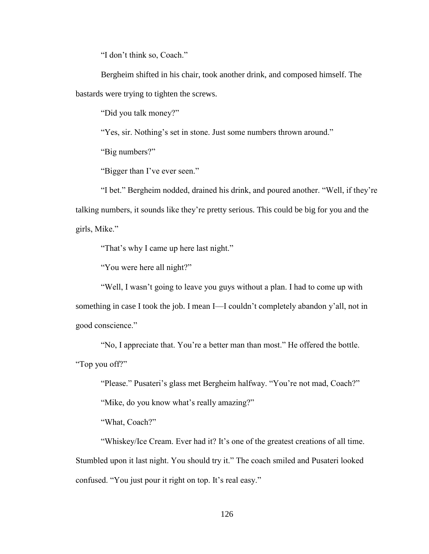"I don't think so, Coach."

Bergheim shifted in his chair, took another drink, and composed himself. The bastards were trying to tighten the screws.

"Did you talk money?"

"Yes, sir. Nothing's set in stone. Just some numbers thrown around."

"Big numbers?"

"Bigger than I've ever seen."

"I bet." Bergheim nodded, drained his drink, and poured another. "Well, if they're talking numbers, it sounds like they're pretty serious. This could be big for you and the girls, Mike."

"That's why I came up here last night."

"You were here all night?"

"Well, I wasn't going to leave you guys without a plan. I had to come up with something in case I took the job. I mean I—I couldn't completely abandon y'all, not in good conscience."

"No, I appreciate that. You're a better man than most." He offered the bottle. "Top you off?"

"Please." Pusateri's glass met Bergheim halfway. "You're not mad, Coach?"

"Mike, do you know what's really amazing?"

"What, Coach?"

"Whiskey/Ice Cream. Ever had it? It's one of the greatest creations of all time. Stumbled upon it last night. You should try it." The coach smiled and Pusateri looked confused. "You just pour it right on top. It's real easy."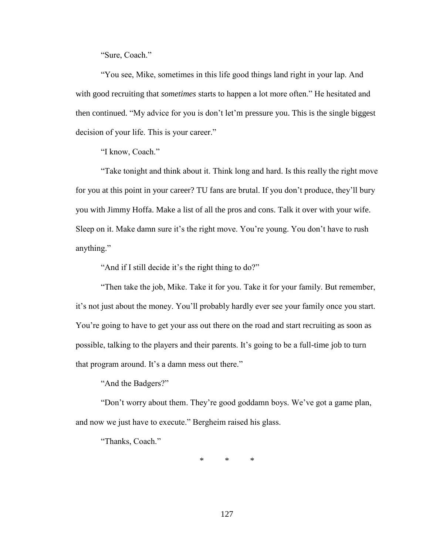"Sure, Coach."

"You see, Mike, sometimes in this life good things land right in your lap. And with good recruiting that *sometimes* starts to happen a lot more often." He hesitated and then continued. "My advice for you is don't let'm pressure you. This is the single biggest decision of your life. This is your career."

"I know, Coach."

"Take tonight and think about it. Think long and hard. Is this really the right move for you at this point in your career? TU fans are brutal. If you don't produce, they'll bury you with Jimmy Hoffa. Make a list of all the pros and cons. Talk it over with your wife. Sleep on it. Make damn sure it's the right move. You're young. You don't have to rush anything."

"And if I still decide it's the right thing to do?"

"Then take the job, Mike. Take it for you. Take it for your family. But remember, it's not just about the money. You'll probably hardly ever see your family once you start. You're going to have to get your ass out there on the road and start recruiting as soon as possible, talking to the players and their parents. It's going to be a full-time job to turn that program around. It's a damn mess out there."

"And the Badgers?"

"Don't worry about them. They're good goddamn boys. We've got a game plan, and now we just have to execute." Bergheim raised his glass.

"Thanks, Coach."

\* \* \*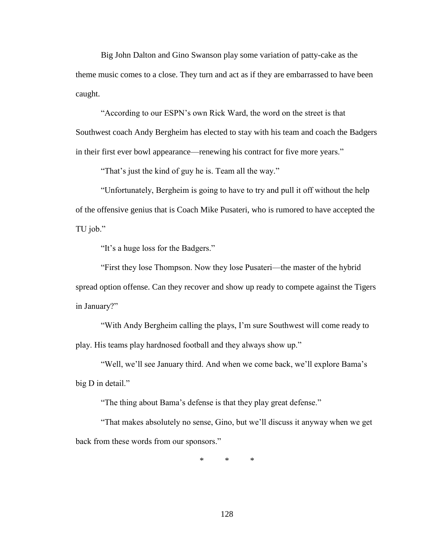Big John Dalton and Gino Swanson play some variation of patty-cake as the theme music comes to a close. They turn and act as if they are embarrassed to have been caught.

"According to our ESPN's own Rick Ward, the word on the street is that Southwest coach Andy Bergheim has elected to stay with his team and coach the Badgers in their first ever bowl appearance—renewing his contract for five more years."

"That's just the kind of guy he is. Team all the way."

"Unfortunately, Bergheim is going to have to try and pull it off without the help of the offensive genius that is Coach Mike Pusateri, who is rumored to have accepted the TU job."

"It's a huge loss for the Badgers."

"First they lose Thompson. Now they lose Pusateri—the master of the hybrid spread option offense. Can they recover and show up ready to compete against the Tigers in January?"

"With Andy Bergheim calling the plays, I'm sure Southwest will come ready to play. His teams play hardnosed football and they always show up."

"Well, we'll see January third. And when we come back, we'll explore Bama's big D in detail."

"The thing about Bama's defense is that they play great defense."

"That makes absolutely no sense, Gino, but we'll discuss it anyway when we get back from these words from our sponsors."

\* \* \*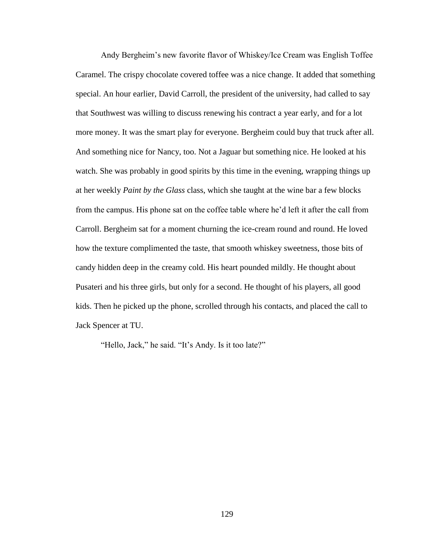Andy Bergheim's new favorite flavor of Whiskey/Ice Cream was English Toffee Caramel. The crispy chocolate covered toffee was a nice change. It added that something special. An hour earlier, David Carroll, the president of the university, had called to say that Southwest was willing to discuss renewing his contract a year early, and for a lot more money. It was the smart play for everyone. Bergheim could buy that truck after all. And something nice for Nancy, too. Not a Jaguar but something nice. He looked at his watch. She was probably in good spirits by this time in the evening, wrapping things up at her weekly *Paint by the Glass* class, which she taught at the wine bar a few blocks from the campus. His phone sat on the coffee table where he'd left it after the call from Carroll. Bergheim sat for a moment churning the ice-cream round and round. He loved how the texture complimented the taste, that smooth whiskey sweetness, those bits of candy hidden deep in the creamy cold. His heart pounded mildly. He thought about Pusateri and his three girls, but only for a second. He thought of his players, all good kids. Then he picked up the phone, scrolled through his contacts, and placed the call to Jack Spencer at TU.

"Hello, Jack," he said. "It's Andy. Is it too late?"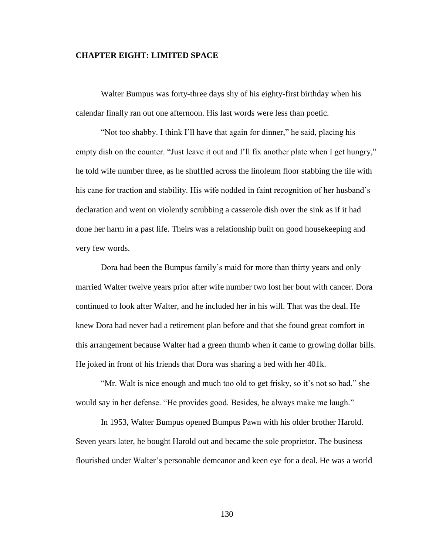## **CHAPTER EIGHT: LIMITED SPACE**

Walter Bumpus was forty-three days shy of his eighty-first birthday when his calendar finally ran out one afternoon. His last words were less than poetic.

"Not too shabby. I think I'll have that again for dinner," he said, placing his empty dish on the counter. "Just leave it out and I'll fix another plate when I get hungry," he told wife number three, as he shuffled across the linoleum floor stabbing the tile with his cane for traction and stability. His wife nodded in faint recognition of her husband's declaration and went on violently scrubbing a casserole dish over the sink as if it had done her harm in a past life. Theirs was a relationship built on good housekeeping and very few words.

Dora had been the Bumpus family's maid for more than thirty years and only married Walter twelve years prior after wife number two lost her bout with cancer. Dora continued to look after Walter, and he included her in his will. That was the deal. He knew Dora had never had a retirement plan before and that she found great comfort in this arrangement because Walter had a green thumb when it came to growing dollar bills. He joked in front of his friends that Dora was sharing a bed with her 401k.

"Mr. Walt is nice enough and much too old to get frisky, so it's not so bad," she would say in her defense. "He provides good. Besides, he always make me laugh."

In 1953, Walter Bumpus opened Bumpus Pawn with his older brother Harold. Seven years later, he bought Harold out and became the sole proprietor. The business flourished under Walter's personable demeanor and keen eye for a deal. He was a world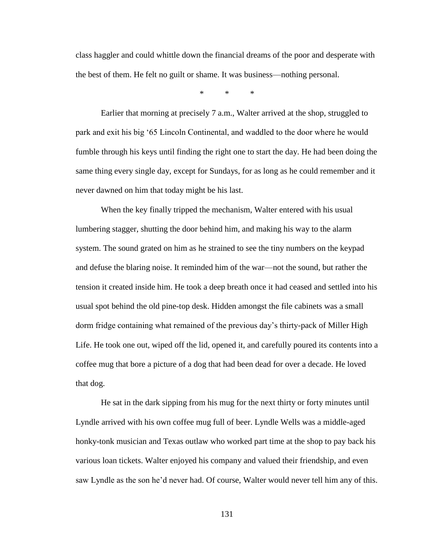class haggler and could whittle down the financial dreams of the poor and desperate with the best of them. He felt no guilt or shame. It was business—nothing personal.

\* \* \*

Earlier that morning at precisely 7 a.m., Walter arrived at the shop, struggled to park and exit his big '65 Lincoln Continental, and waddled to the door where he would fumble through his keys until finding the right one to start the day. He had been doing the same thing every single day, except for Sundays, for as long as he could remember and it never dawned on him that today might be his last.

When the key finally tripped the mechanism, Walter entered with his usual lumbering stagger, shutting the door behind him, and making his way to the alarm system. The sound grated on him as he strained to see the tiny numbers on the keypad and defuse the blaring noise. It reminded him of the war—not the sound, but rather the tension it created inside him. He took a deep breath once it had ceased and settled into his usual spot behind the old pine-top desk. Hidden amongst the file cabinets was a small dorm fridge containing what remained of the previous day's thirty-pack of Miller High Life. He took one out, wiped off the lid, opened it, and carefully poured its contents into a coffee mug that bore a picture of a dog that had been dead for over a decade. He loved that dog.

He sat in the dark sipping from his mug for the next thirty or forty minutes until Lyndle arrived with his own coffee mug full of beer. Lyndle Wells was a middle-aged honky-tonk musician and Texas outlaw who worked part time at the shop to pay back his various loan tickets. Walter enjoyed his company and valued their friendship, and even saw Lyndle as the son he'd never had. Of course, Walter would never tell him any of this.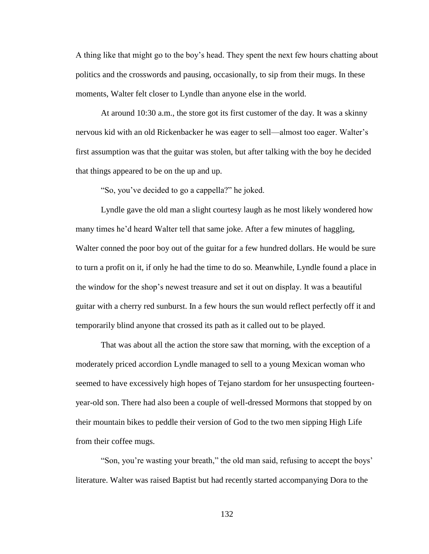A thing like that might go to the boy's head. They spent the next few hours chatting about politics and the crosswords and pausing, occasionally, to sip from their mugs. In these moments, Walter felt closer to Lyndle than anyone else in the world.

At around 10:30 a.m., the store got its first customer of the day. It was a skinny nervous kid with an old Rickenbacker he was eager to sell—almost too eager. Walter's first assumption was that the guitar was stolen, but after talking with the boy he decided that things appeared to be on the up and up.

"So, you've decided to go a cappella?" he joked.

Lyndle gave the old man a slight courtesy laugh as he most likely wondered how many times he'd heard Walter tell that same joke. After a few minutes of haggling, Walter conned the poor boy out of the guitar for a few hundred dollars. He would be sure to turn a profit on it, if only he had the time to do so. Meanwhile, Lyndle found a place in the window for the shop's newest treasure and set it out on display. It was a beautiful guitar with a cherry red sunburst. In a few hours the sun would reflect perfectly off it and temporarily blind anyone that crossed its path as it called out to be played.

That was about all the action the store saw that morning, with the exception of a moderately priced accordion Lyndle managed to sell to a young Mexican woman who seemed to have excessively high hopes of Tejano stardom for her unsuspecting fourteenyear-old son. There had also been a couple of well-dressed Mormons that stopped by on their mountain bikes to peddle their version of God to the two men sipping High Life from their coffee mugs.

"Son, you're wasting your breath," the old man said, refusing to accept the boys' literature. Walter was raised Baptist but had recently started accompanying Dora to the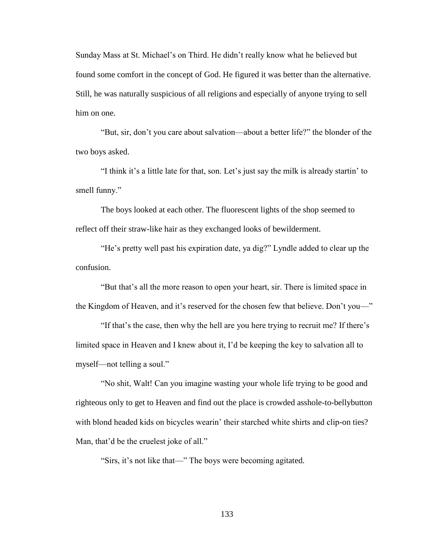Sunday Mass at St. Michael's on Third. He didn't really know what he believed but found some comfort in the concept of God. He figured it was better than the alternative. Still, he was naturally suspicious of all religions and especially of anyone trying to sell him on one.

"But, sir, don't you care about salvation—about a better life?" the blonder of the two boys asked.

"I think it's a little late for that, son. Let's just say the milk is already startin' to smell funny."

The boys looked at each other. The fluorescent lights of the shop seemed to reflect off their straw-like hair as they exchanged looks of bewilderment.

"He's pretty well past his expiration date, ya dig?" Lyndle added to clear up the confusion.

"But that's all the more reason to open your heart, sir. There is limited space in the Kingdom of Heaven, and it's reserved for the chosen few that believe. Don't you—"

"If that's the case, then why the hell are you here trying to recruit me? If there's limited space in Heaven and I knew about it, I'd be keeping the key to salvation all to myself—not telling a soul."

"No shit, Walt! Can you imagine wasting your whole life trying to be good and righteous only to get to Heaven and find out the place is crowded asshole-to-bellybutton with blond headed kids on bicycles wearin' their starched white shirts and clip-on ties? Man, that'd be the cruelest joke of all."

"Sirs, it's not like that—" The boys were becoming agitated.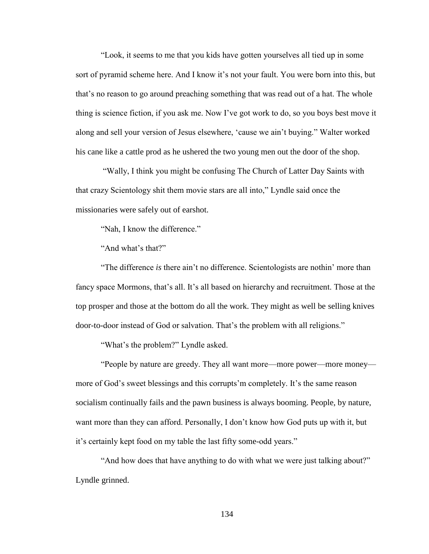"Look, it seems to me that you kids have gotten yourselves all tied up in some sort of pyramid scheme here. And I know it's not your fault. You were born into this, but that's no reason to go around preaching something that was read out of a hat. The whole thing is science fiction, if you ask me. Now I've got work to do, so you boys best move it along and sell your version of Jesus elsewhere, 'cause we ain't buying." Walter worked his cane like a cattle prod as he ushered the two young men out the door of the shop.

"Wally, I think you might be confusing The Church of Latter Day Saints with that crazy Scientology shit them movie stars are all into," Lyndle said once the missionaries were safely out of earshot.

"Nah, I know the difference."

"And what's that?"

"The difference *is* there ain't no difference. Scientologists are nothin' more than fancy space Mormons, that's all. It's all based on hierarchy and recruitment. Those at the top prosper and those at the bottom do all the work. They might as well be selling knives door-to-door instead of God or salvation. That's the problem with all religions."

"What's the problem?" Lyndle asked.

"People by nature are greedy. They all want more—more power—more money more of God's sweet blessings and this corrupts'm completely. It's the same reason socialism continually fails and the pawn business is always booming. People, by nature, want more than they can afford. Personally, I don't know how God puts up with it, but it's certainly kept food on my table the last fifty some-odd years."

"And how does that have anything to do with what we were just talking about?" Lyndle grinned.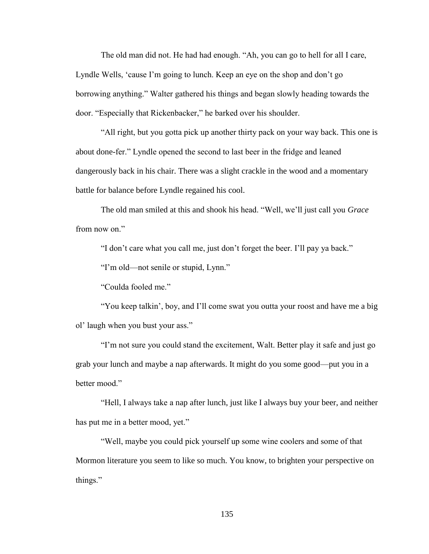The old man did not. He had had enough. "Ah, you can go to hell for all I care, Lyndle Wells, 'cause I'm going to lunch. Keep an eye on the shop and don't go borrowing anything." Walter gathered his things and began slowly heading towards the door. "Especially that Rickenbacker," he barked over his shoulder.

"All right, but you gotta pick up another thirty pack on your way back. This one is about done-fer." Lyndle opened the second to last beer in the fridge and leaned dangerously back in his chair. There was a slight crackle in the wood and a momentary battle for balance before Lyndle regained his cool.

The old man smiled at this and shook his head. "Well, we'll just call you *Grace* from now on."

"I don't care what you call me, just don't forget the beer. I'll pay ya back."

"I'm old—not senile or stupid, Lynn."

"Coulda fooled me."

"You keep talkin', boy, and I'll come swat you outta your roost and have me a big ol' laugh when you bust your ass."

"I'm not sure you could stand the excitement, Walt. Better play it safe and just go grab your lunch and maybe a nap afterwards. It might do you some good—put you in a better mood."

"Hell, I always take a nap after lunch, just like I always buy your beer, and neither has put me in a better mood, yet."

"Well, maybe you could pick yourself up some wine coolers and some of that Mormon literature you seem to like so much. You know, to brighten your perspective on things."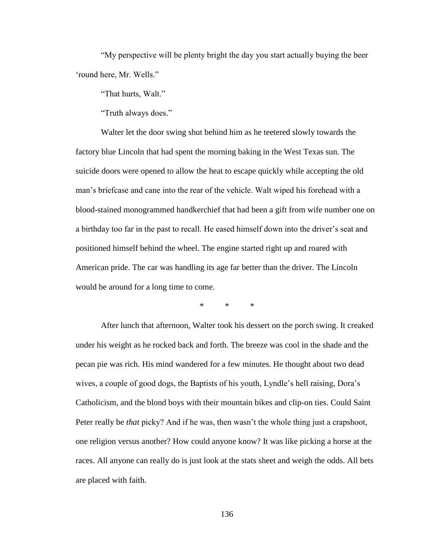"My perspective will be plenty bright the day you start actually buying the beer 'round here, Mr. Wells."

"That hurts, Walt."

"Truth always does."

Walter let the door swing shut behind him as he teetered slowly towards the factory blue Lincoln that had spent the morning baking in the West Texas sun. The suicide doors were opened to allow the heat to escape quickly while accepting the old man's briefcase and cane into the rear of the vehicle. Walt wiped his forehead with a blood-stained monogrammed handkerchief that had been a gift from wife number one on a birthday too far in the past to recall. He eased himself down into the driver's seat and positioned himself behind the wheel. The engine started right up and roared with American pride. The car was handling its age far better than the driver. The Lincoln would be around for a long time to come.

\* \* \*

After lunch that afternoon, Walter took his dessert on the porch swing. It creaked under his weight as he rocked back and forth. The breeze was cool in the shade and the pecan pie was rich. His mind wandered for a few minutes. He thought about two dead wives, a couple of good dogs, the Baptists of his youth, Lyndle's hell raising, Dora's Catholicism, and the blond boys with their mountain bikes and clip-on ties. Could Saint Peter really be *that* picky? And if he was, then wasn't the whole thing just a crapshoot, one religion versus another? How could anyone know? It was like picking a horse at the races. All anyone can really do is just look at the stats sheet and weigh the odds. All bets are placed with faith.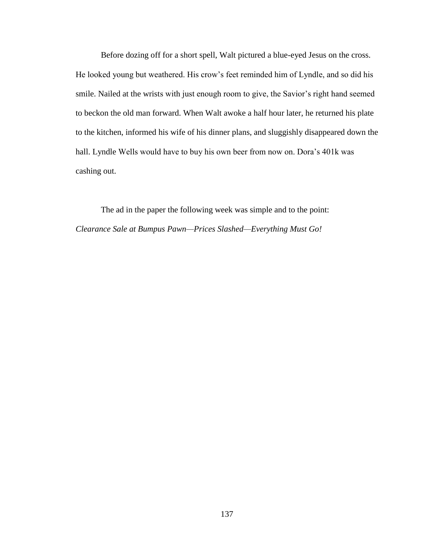Before dozing off for a short spell, Walt pictured a blue-eyed Jesus on the cross. He looked young but weathered. His crow's feet reminded him of Lyndle, and so did his smile. Nailed at the wrists with just enough room to give, the Savior's right hand seemed to beckon the old man forward. When Walt awoke a half hour later, he returned his plate to the kitchen, informed his wife of his dinner plans, and sluggishly disappeared down the hall. Lyndle Wells would have to buy his own beer from now on. Dora's 401k was cashing out.

The ad in the paper the following week was simple and to the point: *Clearance Sale at Bumpus Pawn—Prices Slashed—Everything Must Go!*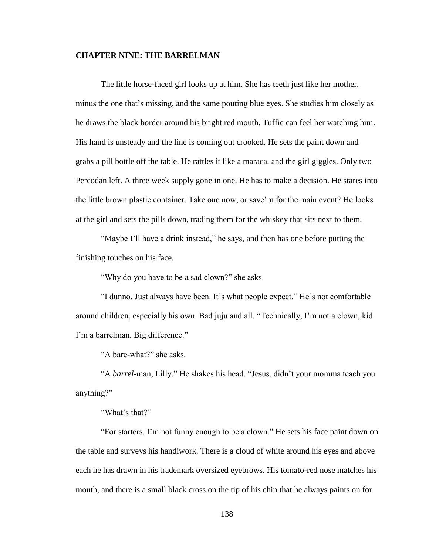## **CHAPTER NINE: THE BARRELMAN**

The little horse-faced girl looks up at him. She has teeth just like her mother, minus the one that's missing, and the same pouting blue eyes. She studies him closely as he draws the black border around his bright red mouth. Tuffie can feel her watching him. His hand is unsteady and the line is coming out crooked. He sets the paint down and grabs a pill bottle off the table. He rattles it like a maraca, and the girl giggles. Only two Percodan left. A three week supply gone in one. He has to make a decision. He stares into the little brown plastic container. Take one now, or save'm for the main event? He looks at the girl and sets the pills down, trading them for the whiskey that sits next to them.

"Maybe I'll have a drink instead," he says, and then has one before putting the finishing touches on his face.

"Why do you have to be a sad clown?" she asks.

"I dunno. Just always have been. It's what people expect." He's not comfortable around children, especially his own. Bad juju and all. "Technically, I'm not a clown, kid. I'm a barrelman. Big difference."

"A bare-what?" she asks.

"A *barrel-*man, Lilly." He shakes his head. "Jesus, didn't your momma teach you anything?"

"What's that?"

"For starters, I'm not funny enough to be a clown." He sets his face paint down on the table and surveys his handiwork. There is a cloud of white around his eyes and above each he has drawn in his trademark oversized eyebrows. His tomato-red nose matches his mouth, and there is a small black cross on the tip of his chin that he always paints on for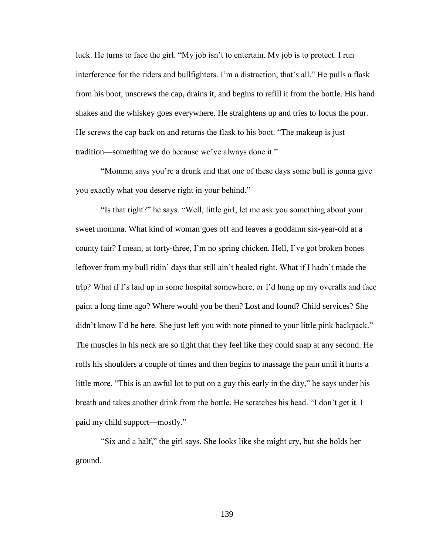luck. He turns to face the girl. "My job isn't to entertain. My job is to protect. I run interference for the riders and bullfighters. I'm a distraction, that's all." He pulls a flask from his boot, unscrews the cap, drains it, and begins to refill it from the bottle. His hand shakes and the whiskey goes everywhere. He straightens up and tries to focus the pour. He screws the cap back on and returns the flask to his boot. "The makeup is just tradition—something we do because we've always done it."

"Momma says you're a drunk and that one of these days some bull is gonna give you exactly what you deserve right in your behind."

"Is that right?" he says. "Well, little girl, let me ask you something about your sweet momma. What kind of woman goes off and leaves a goddamn six-year-old at a county fair? I mean, at forty-three, I'm no spring chicken. Hell, I've got broken bones leftover from my bull ridin' days that still ain't healed right. What if I hadn't made the trip? What if I's laid up in some hospital somewhere, or I'd hung up my overalls and face paint a long time ago? Where would you be then? Lost and found? Child services? She didn't know I'd be here. She just left you with note pinned to your little pink backpack." The muscles in his neck are so tight that they feel like they could snap at any second. He rolls his shoulders a couple of times and then begins to massage the pain until it hurts a little more. "This is an awful lot to put on a guy this early in the day," he says under his breath and takes another drink from the bottle. He scratches his head. "I don't get it. I paid my child support—mostly."

"Six and a half," the girl says. She looks like she might cry, but she holds her ground.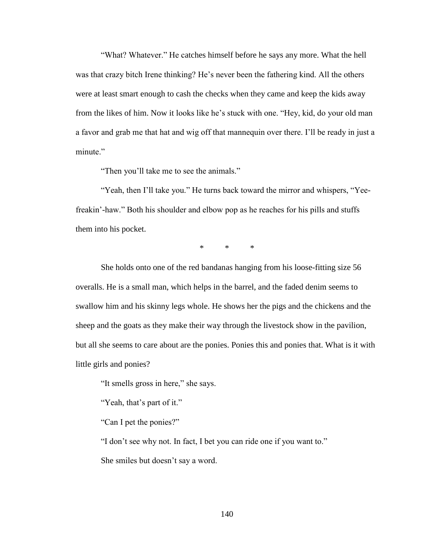"What? Whatever." He catches himself before he says any more. What the hell was that crazy bitch Irene thinking? He's never been the fathering kind. All the others were at least smart enough to cash the checks when they came and keep the kids away from the likes of him. Now it looks like he's stuck with one. "Hey, kid, do your old man a favor and grab me that hat and wig off that mannequin over there. I'll be ready in just a minute."

"Then you'll take me to see the animals."

"Yeah, then I'll take you." He turns back toward the mirror and whispers, "Yeefreakin'-haw." Both his shoulder and elbow pop as he reaches for his pills and stuffs them into his pocket.

 $*$  \* \*

She holds onto one of the red bandanas hanging from his loose-fitting size 56 overalls. He is a small man, which helps in the barrel, and the faded denim seems to swallow him and his skinny legs whole. He shows her the pigs and the chickens and the sheep and the goats as they make their way through the livestock show in the pavilion, but all she seems to care about are the ponies. Ponies this and ponies that. What is it with little girls and ponies?

"It smells gross in here," she says.

"Yeah, that's part of it."

"Can I pet the ponies?"

"I don't see why not. In fact, I bet you can ride one if you want to."

She smiles but doesn't say a word.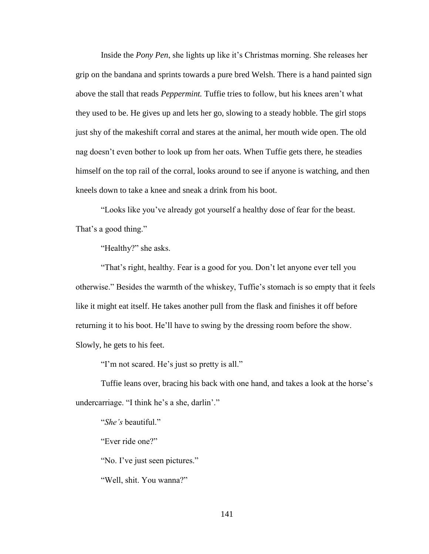Inside the *Pony Pen*, she lights up like it's Christmas morning. She releases her grip on the bandana and sprints towards a pure bred Welsh. There is a hand painted sign above the stall that reads *Peppermint.* Tuffie tries to follow, but his knees aren't what they used to be. He gives up and lets her go, slowing to a steady hobble. The girl stops just shy of the makeshift corral and stares at the animal, her mouth wide open. The old nag doesn't even bother to look up from her oats. When Tuffie gets there, he steadies himself on the top rail of the corral, looks around to see if anyone is watching, and then kneels down to take a knee and sneak a drink from his boot.

"Looks like you've already got yourself a healthy dose of fear for the beast. That's a good thing."

"Healthy?" she asks.

"That's right, healthy. Fear is a good for you. Don't let anyone ever tell you otherwise." Besides the warmth of the whiskey, Tuffie's stomach is so empty that it feels like it might eat itself. He takes another pull from the flask and finishes it off before returning it to his boot. He'll have to swing by the dressing room before the show. Slowly, he gets to his feet.

"I'm not scared. He's just so pretty is all."

Tuffie leans over, bracing his back with one hand, and takes a look at the horse's undercarriage. "I think he's a she, darlin'."

"*She's* beautiful."

"Ever ride one?"

"No. I've just seen pictures."

"Well, shit. You wanna?"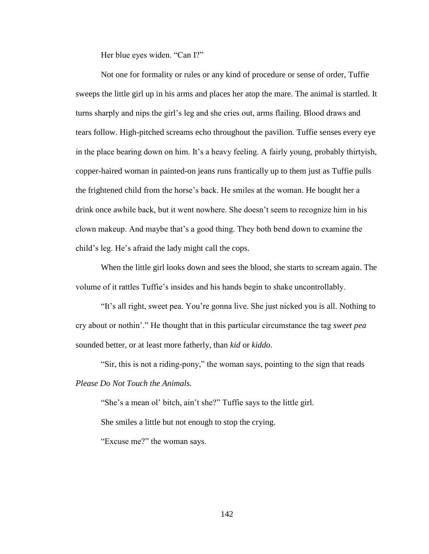Her blue eyes widen. "Can I?"

Not one for formality or rules or any kind of procedure or sense of order, Tuffie sweeps the little girl up in his arms and places her atop the mare. The animal is startled. It turns sharply and nips the girl's leg and she cries out, arms flailing. Blood draws and tears follow. High-pitched screams echo throughout the pavilion. Tuffie senses every eye in the place bearing down on him. It's a heavy feeling. A fairly young, probably thirtyish, copper-haired woman in painted-on jeans runs frantically up to them just as Tuffie pulls the frightened child from the horse's back. He smiles at the woman. He bought her a drink once awhile back, but it went nowhere. She doesn't seem to recognize him in his clown makeup. And maybe that's a good thing. They both bend down to examine the child's leg. He's afraid the lady might call the cops.

When the little girl looks down and sees the blood, she starts to scream again. The volume of it rattles Tuffie's insides and his hands begin to shake uncontrollably.

"It's all right, sweet pea. You're gonna live. She just nicked you is all. Nothing to cry about or nothin'." He thought that in this particular circumstance the tag *sweet pea* sounded better, or at least more fatherly, than *kid* or *kiddo*.

"Sir, this is not a riding-pony," the woman says, pointing to the sign that reads *Please Do Not Touch the Animals.*

"She's a mean ol' bitch, ain't she?" Tuffie says to the little girl. She smiles a little but not enough to stop the crying. "Excuse me?" the woman says.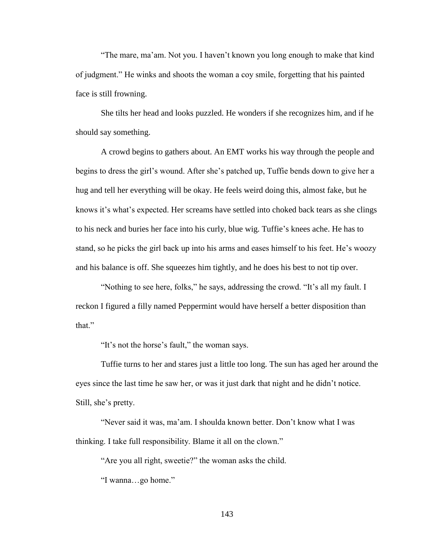"The mare, ma'am. Not you. I haven't known you long enough to make that kind of judgment." He winks and shoots the woman a coy smile, forgetting that his painted face is still frowning.

She tilts her head and looks puzzled. He wonders if she recognizes him, and if he should say something.

A crowd begins to gathers about. An EMT works his way through the people and begins to dress the girl's wound. After she's patched up, Tuffie bends down to give her a hug and tell her everything will be okay. He feels weird doing this, almost fake, but he knows it's what's expected. Her screams have settled into choked back tears as she clings to his neck and buries her face into his curly, blue wig. Tuffie's knees ache. He has to stand, so he picks the girl back up into his arms and eases himself to his feet. He's woozy and his balance is off. She squeezes him tightly, and he does his best to not tip over.

"Nothing to see here, folks," he says, addressing the crowd. "It's all my fault. I reckon I figured a filly named Peppermint would have herself a better disposition than that."

"It's not the horse's fault," the woman says.

Tuffie turns to her and stares just a little too long. The sun has aged her around the eyes since the last time he saw her, or was it just dark that night and he didn't notice. Still, she's pretty.

"Never said it was, ma'am. I shoulda known better. Don't know what I was thinking. I take full responsibility. Blame it all on the clown."

"Are you all right, sweetie?" the woman asks the child.

"I wanna…go home."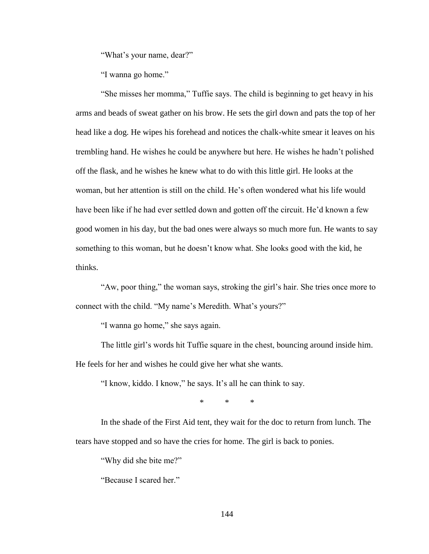"What's your name, dear?"

"I wanna go home."

"She misses her momma," Tuffie says. The child is beginning to get heavy in his arms and beads of sweat gather on his brow. He sets the girl down and pats the top of her head like a dog. He wipes his forehead and notices the chalk-white smear it leaves on his trembling hand. He wishes he could be anywhere but here. He wishes he hadn't polished off the flask, and he wishes he knew what to do with this little girl. He looks at the woman, but her attention is still on the child. He's often wondered what his life would have been like if he had ever settled down and gotten off the circuit. He'd known a few good women in his day, but the bad ones were always so much more fun. He wants to say something to this woman, but he doesn't know what. She looks good with the kid, he thinks.

"Aw, poor thing," the woman says, stroking the girl's hair. She tries once more to connect with the child. "My name's Meredith. What's yours?"

"I wanna go home," she says again.

The little girl's words hit Tuffie square in the chest, bouncing around inside him. He feels for her and wishes he could give her what she wants.

"I know, kiddo. I know," he says. It's all he can think to say.

\* \* \*

In the shade of the First Aid tent, they wait for the doc to return from lunch. The tears have stopped and so have the cries for home. The girl is back to ponies.

"Why did she bite me?"

"Because I scared her."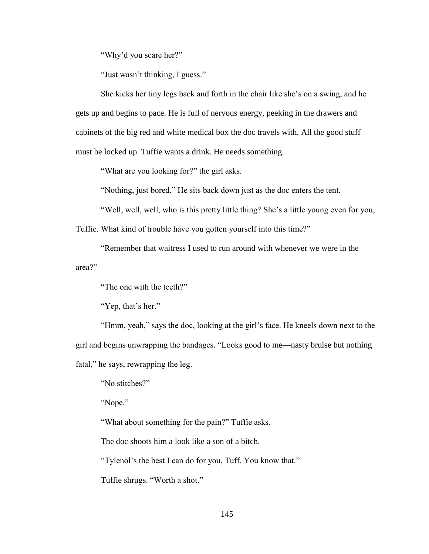"Why'd you scare her?"

"Just wasn't thinking, I guess."

She kicks her tiny legs back and forth in the chair like she's on a swing, and he gets up and begins to pace. He is full of nervous energy, peeking in the drawers and cabinets of the big red and white medical box the doc travels with. All the good stuff must be locked up. Tuffie wants a drink. He needs something.

"What are you looking for?" the girl asks.

"Nothing, just bored." He sits back down just as the doc enters the tent.

"Well, well, well, who is this pretty little thing? She's a little young even for you,

Tuffie. What kind of trouble have you gotten yourself into this time?"

"Remember that waitress I used to run around with whenever we were in the area?"

"The one with the teeth?"

"Yep, that's her."

"Hmm, yeah," says the doc, looking at the girl's face. He kneels down next to the girl and begins unwrapping the bandages. "Looks good to me—nasty bruise but nothing fatal," he says, rewrapping the leg.

"No stitches?"

"Nope."

"What about something for the pain?" Tuffie asks.

The doc shoots him a look like a son of a bitch.

"Tylenol's the best I can do for you, Tuff. You know that."

Tuffie shrugs. "Worth a shot."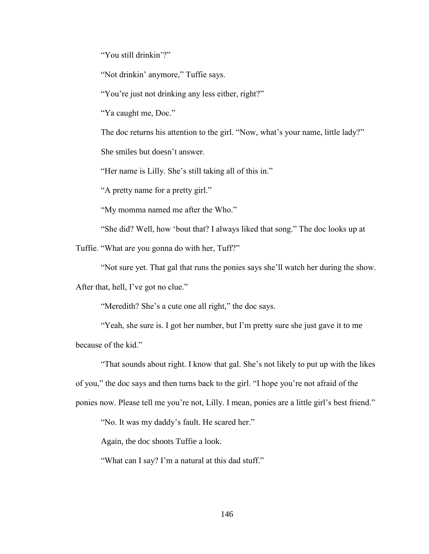"You still drinkin'?"

"Not drinkin' anymore," Tuffie says.

"You're just not drinking any less either, right?"

"Ya caught me, Doc."

The doc returns his attention to the girl. "Now, what's your name, little lady?"

She smiles but doesn't answer.

"Her name is Lilly. She's still taking all of this in."

"A pretty name for a pretty girl."

"My momma named me after the Who."

"She did? Well, how 'bout that? I always liked that song." The doc looks up at

Tuffie. "What are you gonna do with her, Tuff?"

"Not sure yet. That gal that runs the ponies says she'll watch her during the show.

After that, hell, I've got no clue."

"Meredith? She's a cute one all right," the doc says.

"Yeah, she sure is. I got her number, but I'm pretty sure she just gave it to me because of the kid."

"That sounds about right. I know that gal. She's not likely to put up with the likes of you," the doc says and then turns back to the girl. "I hope you're not afraid of the ponies now. Please tell me you're not, Lilly. I mean, ponies are a little girl's best friend."

"No. It was my daddy's fault. He scared her."

Again, the doc shoots Tuffie a look.

"What can I say? I'm a natural at this dad stuff."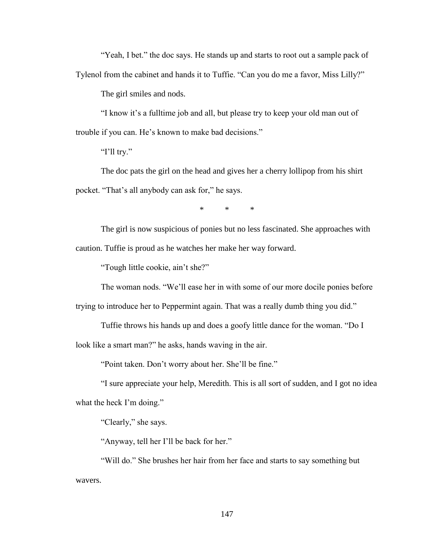"Yeah, I bet." the doc says. He stands up and starts to root out a sample pack of Tylenol from the cabinet and hands it to Tuffie. "Can you do me a favor, Miss Lilly?"

The girl smiles and nods.

"I know it's a fulltime job and all, but please try to keep your old man out of trouble if you can. He's known to make bad decisions."

"I'll try."

The doc pats the girl on the head and gives her a cherry lollipop from his shirt pocket. "That's all anybody can ask for," he says.

\* \* \*

The girl is now suspicious of ponies but no less fascinated. She approaches with caution. Tuffie is proud as he watches her make her way forward.

"Tough little cookie, ain't she?"

The woman nods. "We'll ease her in with some of our more docile ponies before

trying to introduce her to Peppermint again. That was a really dumb thing you did."

Tuffie throws his hands up and does a goofy little dance for the woman. "Do I

look like a smart man?" he asks, hands waving in the air.

"Point taken. Don't worry about her. She'll be fine."

"I sure appreciate your help, Meredith. This is all sort of sudden, and I got no idea what the heck I'm doing."

"Clearly," she says.

"Anyway, tell her I'll be back for her."

"Will do." She brushes her hair from her face and starts to say something but wavers.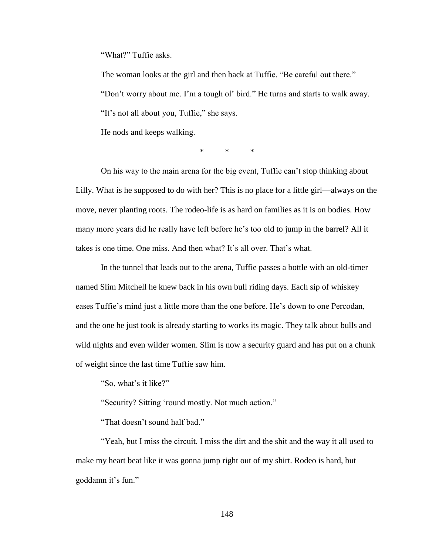"What?" Tuffie asks.

The woman looks at the girl and then back at Tuffie. "Be careful out there." "Don't worry about me. I'm a tough ol' bird." He turns and starts to walk away. "It's not all about you, Tuffie," she says.

He nods and keeps walking.

\* \* \*

On his way to the main arena for the big event, Tuffie can't stop thinking about Lilly. What is he supposed to do with her? This is no place for a little girl—always on the move, never planting roots. The rodeo-life is as hard on families as it is on bodies. How many more years did he really have left before he's too old to jump in the barrel? All it takes is one time. One miss. And then what? It's all over. That's what.

In the tunnel that leads out to the arena, Tuffie passes a bottle with an old-timer named Slim Mitchell he knew back in his own bull riding days. Each sip of whiskey eases Tuffie's mind just a little more than the one before. He's down to one Percodan, and the one he just took is already starting to works its magic. They talk about bulls and wild nights and even wilder women. Slim is now a security guard and has put on a chunk of weight since the last time Tuffie saw him.

"So, what's it like?"

"Security? Sitting 'round mostly. Not much action."

"That doesn't sound half bad."

"Yeah, but I miss the circuit. I miss the dirt and the shit and the way it all used to make my heart beat like it was gonna jump right out of my shirt. Rodeo is hard, but goddamn it's fun."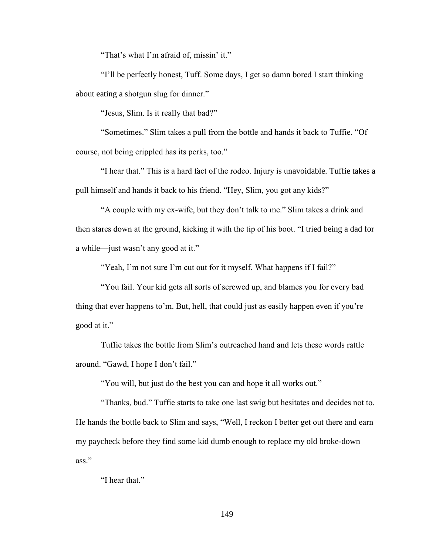"That's what I'm afraid of, missin' it."

"I'll be perfectly honest, Tuff. Some days, I get so damn bored I start thinking about eating a shotgun slug for dinner."

"Jesus, Slim. Is it really that bad?"

"Sometimes." Slim takes a pull from the bottle and hands it back to Tuffie. "Of course, not being crippled has its perks, too."

"I hear that." This is a hard fact of the rodeo. Injury is unavoidable. Tuffie takes a pull himself and hands it back to his friend. "Hey, Slim, you got any kids?"

"A couple with my ex-wife, but they don't talk to me." Slim takes a drink and then stares down at the ground, kicking it with the tip of his boot. "I tried being a dad for a while—just wasn't any good at it."

"Yeah, I'm not sure I'm cut out for it myself. What happens if I fail?"

"You fail. Your kid gets all sorts of screwed up, and blames you for every bad thing that ever happens to'm. But, hell, that could just as easily happen even if you're good at it."

Tuffie takes the bottle from Slim's outreached hand and lets these words rattle around. "Gawd, I hope I don't fail."

"You will, but just do the best you can and hope it all works out."

"Thanks, bud." Tuffie starts to take one last swig but hesitates and decides not to. He hands the bottle back to Slim and says, "Well, I reckon I better get out there and earn my paycheck before they find some kid dumb enough to replace my old broke-down ass."

"I hear that."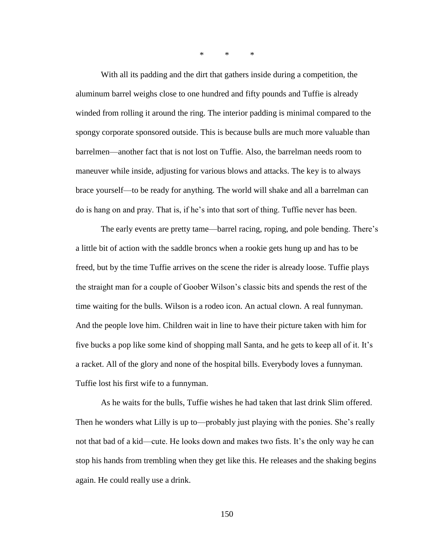\* \* \*

With all its padding and the dirt that gathers inside during a competition, the aluminum barrel weighs close to one hundred and fifty pounds and Tuffie is already winded from rolling it around the ring. The interior padding is minimal compared to the spongy corporate sponsored outside. This is because bulls are much more valuable than barrelmen—another fact that is not lost on Tuffie. Also, the barrelman needs room to maneuver while inside, adjusting for various blows and attacks. The key is to always brace yourself—to be ready for anything. The world will shake and all a barrelman can do is hang on and pray. That is, if he's into that sort of thing. Tuffie never has been.

The early events are pretty tame—barrel racing, roping, and pole bending. There's a little bit of action with the saddle broncs when a rookie gets hung up and has to be freed, but by the time Tuffie arrives on the scene the rider is already loose. Tuffie plays the straight man for a couple of Goober Wilson's classic bits and spends the rest of the time waiting for the bulls. Wilson is a rodeo icon. An actual clown. A real funnyman. And the people love him. Children wait in line to have their picture taken with him for five bucks a pop like some kind of shopping mall Santa, and he gets to keep all of it. It's a racket. All of the glory and none of the hospital bills. Everybody loves a funnyman. Tuffie lost his first wife to a funnyman.

As he waits for the bulls, Tuffie wishes he had taken that last drink Slim offered. Then he wonders what Lilly is up to—probably just playing with the ponies. She's really not that bad of a kid—cute. He looks down and makes two fists. It's the only way he can stop his hands from trembling when they get like this. He releases and the shaking begins again. He could really use a drink.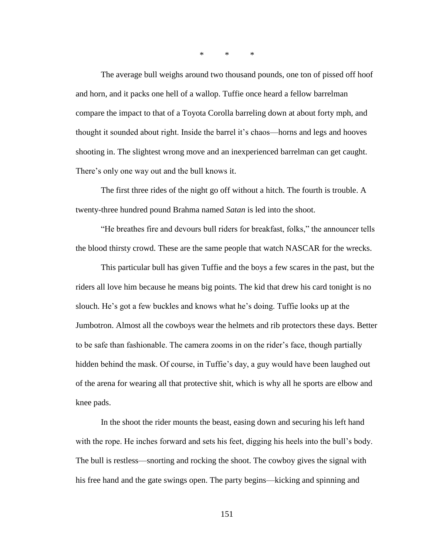\* \* \*

The average bull weighs around two thousand pounds, one ton of pissed off hoof and horn, and it packs one hell of a wallop. Tuffie once heard a fellow barrelman compare the impact to that of a Toyota Corolla barreling down at about forty mph, and thought it sounded about right. Inside the barrel it's chaos—horns and legs and hooves shooting in. The slightest wrong move and an inexperienced barrelman can get caught. There's only one way out and the bull knows it.

The first three rides of the night go off without a hitch. The fourth is trouble. A twenty-three hundred pound Brahma named *Satan* is led into the shoot.

"He breathes fire and devours bull riders for breakfast, folks," the announcer tells the blood thirsty crowd. These are the same people that watch NASCAR for the wrecks.

This particular bull has given Tuffie and the boys a few scares in the past, but the riders all love him because he means big points. The kid that drew his card tonight is no slouch. He's got a few buckles and knows what he's doing. Tuffie looks up at the Jumbotron. Almost all the cowboys wear the helmets and rib protectors these days. Better to be safe than fashionable. The camera zooms in on the rider's face, though partially hidden behind the mask. Of course, in Tuffie's day, a guy would have been laughed out of the arena for wearing all that protective shit, which is why all he sports are elbow and knee pads.

In the shoot the rider mounts the beast, easing down and securing his left hand with the rope. He inches forward and sets his feet, digging his heels into the bull's body. The bull is restless—snorting and rocking the shoot. The cowboy gives the signal with his free hand and the gate swings open. The party begins—kicking and spinning and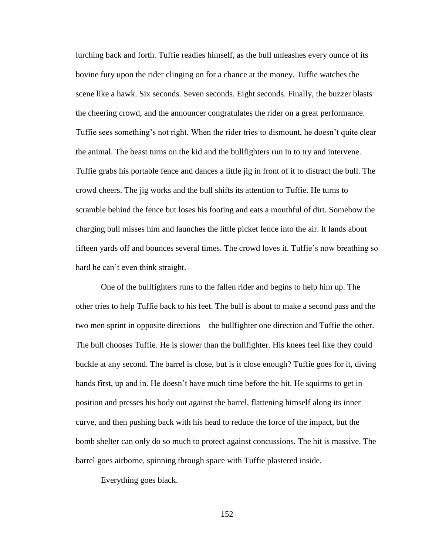lurching back and forth. Tuffie readies himself, as the bull unleashes every ounce of its bovine fury upon the rider clinging on for a chance at the money. Tuffie watches the scene like a hawk. Six seconds. Seven seconds. Eight seconds. Finally, the buzzer blasts the cheering crowd, and the announcer congratulates the rider on a great performance. Tuffie sees something's not right. When the rider tries to dismount, he doesn't quite clear the animal. The beast turns on the kid and the bullfighters run in to try and intervene. Tuffie grabs his portable fence and dances a little jig in front of it to distract the bull. The crowd cheers. The jig works and the bull shifts its attention to Tuffie. He turns to scramble behind the fence but loses his footing and eats a mouthful of dirt. Somehow the charging bull misses him and launches the little picket fence into the air. It lands about fifteen yards off and bounces several times. The crowd loves it. Tuffie's now breathing so hard he can't even think straight.

One of the bullfighters runs to the fallen rider and begins to help him up. The other tries to help Tuffie back to his feet. The bull is about to make a second pass and the two men sprint in opposite directions—the bullfighter one direction and Tuffie the other. The bull chooses Tuffie. He is slower than the bullfighter. His knees feel like they could buckle at any second. The barrel is close, but is it close enough? Tuffie goes for it, diving hands first, up and in. He doesn't have much time before the hit. He squirms to get in position and presses his body out against the barrel, flattening himself along its inner curve, and then pushing back with his head to reduce the force of the impact, but the bomb shelter can only do so much to protect against concussions. The hit is massive. The barrel goes airborne, spinning through space with Tuffie plastered inside.

Everything goes black.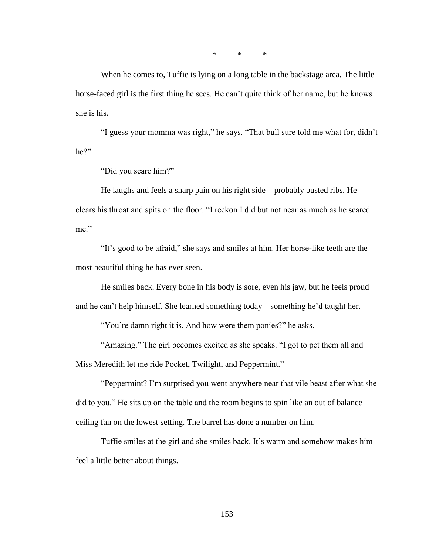\* \* \*

When he comes to, Tuffie is lying on a long table in the backstage area. The little horse-faced girl is the first thing he sees. He can't quite think of her name, but he knows she is his.

"I guess your momma was right," he says. "That bull sure told me what for, didn't he?"

"Did you scare him?"

He laughs and feels a sharp pain on his right side—probably busted ribs. He clears his throat and spits on the floor. "I reckon I did but not near as much as he scared me."

"It's good to be afraid," she says and smiles at him. Her horse-like teeth are the most beautiful thing he has ever seen.

He smiles back. Every bone in his body is sore, even his jaw, but he feels proud and he can't help himself. She learned something today—something he'd taught her.

"You're damn right it is. And how were them ponies?" he asks.

"Amazing." The girl becomes excited as she speaks. "I got to pet them all and Miss Meredith let me ride Pocket, Twilight, and Peppermint."

"Peppermint? I'm surprised you went anywhere near that vile beast after what she did to you." He sits up on the table and the room begins to spin like an out of balance ceiling fan on the lowest setting. The barrel has done a number on him.

Tuffie smiles at the girl and she smiles back. It's warm and somehow makes him feel a little better about things.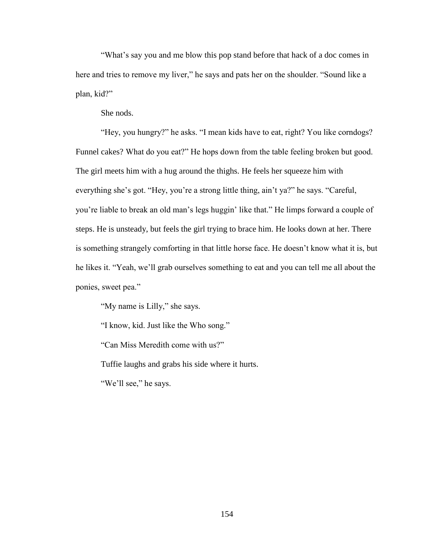"What's say you and me blow this pop stand before that hack of a doc comes in here and tries to remove my liver," he says and pats her on the shoulder. "Sound like a plan, kid?"

She nods.

"Hey, you hungry?" he asks. "I mean kids have to eat, right? You like corndogs? Funnel cakes? What do you eat?" He hops down from the table feeling broken but good. The girl meets him with a hug around the thighs. He feels her squeeze him with everything she's got. "Hey, you're a strong little thing, ain't ya?" he says. "Careful, you're liable to break an old man's legs huggin' like that." He limps forward a couple of steps. He is unsteady, but feels the girl trying to brace him. He looks down at her. There is something strangely comforting in that little horse face. He doesn't know what it is, but he likes it. "Yeah, we'll grab ourselves something to eat and you can tell me all about the ponies, sweet pea."

"My name is Lilly," she says.

"I know, kid. Just like the Who song."

"Can Miss Meredith come with us?"

Tuffie laughs and grabs his side where it hurts.

"We'll see," he says.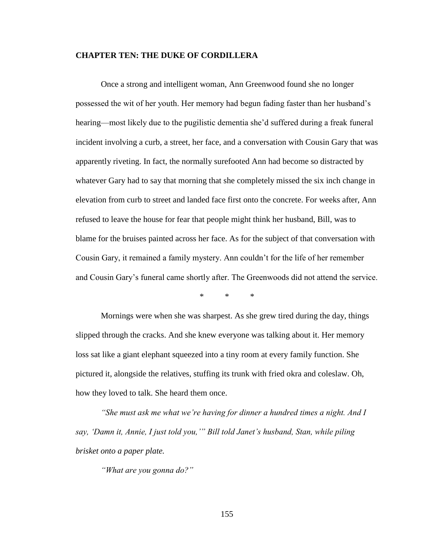## **CHAPTER TEN: THE DUKE OF CORDILLERA**

Once a strong and intelligent woman, Ann Greenwood found she no longer possessed the wit of her youth. Her memory had begun fading faster than her husband's hearing—most likely due to the pugilistic dementia she'd suffered during a freak funeral incident involving a curb, a street, her face, and a conversation with Cousin Gary that was apparently riveting. In fact, the normally surefooted Ann had become so distracted by whatever Gary had to say that morning that she completely missed the six inch change in elevation from curb to street and landed face first onto the concrete. For weeks after, Ann refused to leave the house for fear that people might think her husband, Bill, was to blame for the bruises painted across her face. As for the subject of that conversation with Cousin Gary, it remained a family mystery. Ann couldn't for the life of her remember and Cousin Gary's funeral came shortly after. The Greenwoods did not attend the service.

\* \* \*

Mornings were when she was sharpest. As she grew tired during the day, things slipped through the cracks. And she knew everyone was talking about it. Her memory loss sat like a giant elephant squeezed into a tiny room at every family function. She pictured it, alongside the relatives, stuffing its trunk with fried okra and coleslaw. Oh, how they loved to talk. She heard them once.

*"She must ask me what we're having for dinner a hundred times a night. And I say, 'Damn it, Annie, I just told you,'" Bill told Janet's husband, Stan, while piling brisket onto a paper plate.*

*"What are you gonna do?"*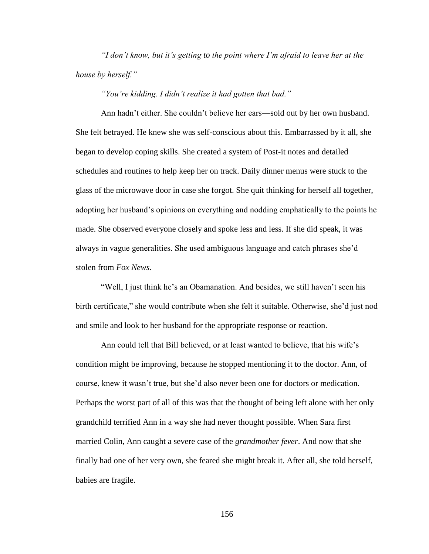*"I don't know, but it's getting to the point where I'm afraid to leave her at the house by herself."*

*"You're kidding. I didn't realize it had gotten that bad."*

Ann hadn't either. She couldn't believe her ears—sold out by her own husband. She felt betrayed. He knew she was self-conscious about this. Embarrassed by it all, she began to develop coping skills. She created a system of Post-it notes and detailed schedules and routines to help keep her on track. Daily dinner menus were stuck to the glass of the microwave door in case she forgot. She quit thinking for herself all together, adopting her husband's opinions on everything and nodding emphatically to the points he made. She observed everyone closely and spoke less and less. If she did speak, it was always in vague generalities. She used ambiguous language and catch phrases she'd stolen from *Fox News*.

"Well, I just think he's an Obamanation. And besides, we still haven't seen his birth certificate," she would contribute when she felt it suitable. Otherwise, she'd just nod and smile and look to her husband for the appropriate response or reaction.

Ann could tell that Bill believed, or at least wanted to believe, that his wife's condition might be improving, because he stopped mentioning it to the doctor. Ann, of course, knew it wasn't true, but she'd also never been one for doctors or medication. Perhaps the worst part of all of this was that the thought of being left alone with her only grandchild terrified Ann in a way she had never thought possible. When Sara first married Colin, Ann caught a severe case of the *grandmother fever*. And now that she finally had one of her very own, she feared she might break it. After all, she told herself, babies are fragile.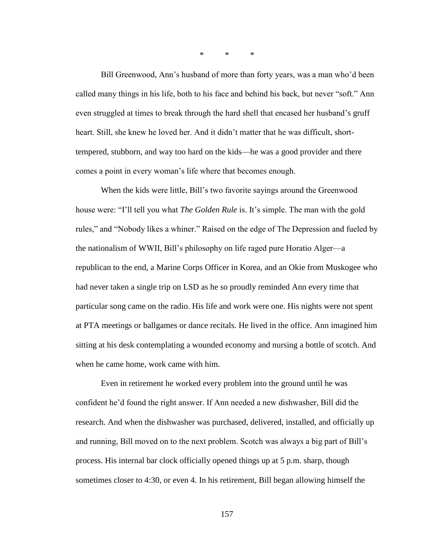\* \* \*

Bill Greenwood, Ann's husband of more than forty years, was a man who'd been called many things in his life, both to his face and behind his back, but never "soft." Ann even struggled at times to break through the hard shell that encased her husband's gruff heart. Still, she knew he loved her. And it didn't matter that he was difficult, shorttempered, stubborn, and way too hard on the kids—he was a good provider and there comes a point in every woman's life where that becomes enough.

When the kids were little, Bill's two favorite sayings around the Greenwood house were: "I'll tell you what *The Golden Rule* is. It's simple. The man with the gold rules," and "Nobody likes a whiner." Raised on the edge of The Depression and fueled by the nationalism of WWII, Bill's philosophy on life raged pure Horatio Alger—a republican to the end, a Marine Corps Officer in Korea, and an Okie from Muskogee who had never taken a single trip on LSD as he so proudly reminded Ann every time that particular song came on the radio. His life and work were one. His nights were not spent at PTA meetings or ballgames or dance recitals. He lived in the office. Ann imagined him sitting at his desk contemplating a wounded economy and nursing a bottle of scotch. And when he came home, work came with him.

Even in retirement he worked every problem into the ground until he was confident he'd found the right answer. If Ann needed a new dishwasher, Bill did the research. And when the dishwasher was purchased, delivered, installed, and officially up and running, Bill moved on to the next problem. Scotch was always a big part of Bill's process. His internal bar clock officially opened things up at 5 p.m. sharp, though sometimes closer to 4:30, or even 4. In his retirement, Bill began allowing himself the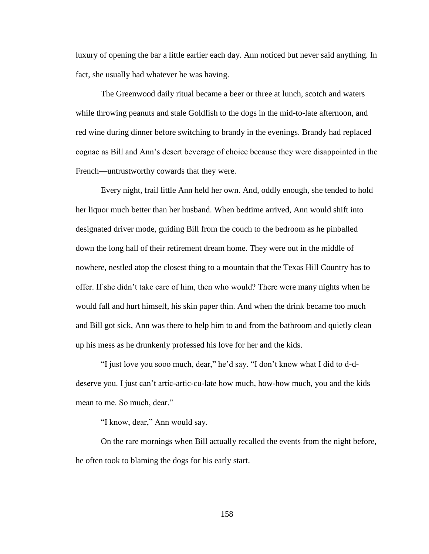luxury of opening the bar a little earlier each day. Ann noticed but never said anything. In fact, she usually had whatever he was having.

The Greenwood daily ritual became a beer or three at lunch, scotch and waters while throwing peanuts and stale Goldfish to the dogs in the mid-to-late afternoon, and red wine during dinner before switching to brandy in the evenings. Brandy had replaced cognac as Bill and Ann's desert beverage of choice because they were disappointed in the French—untrustworthy cowards that they were.

Every night, frail little Ann held her own. And, oddly enough, she tended to hold her liquor much better than her husband. When bedtime arrived, Ann would shift into designated driver mode, guiding Bill from the couch to the bedroom as he pinballed down the long hall of their retirement dream home. They were out in the middle of nowhere, nestled atop the closest thing to a mountain that the Texas Hill Country has to offer. If she didn't take care of him, then who would? There were many nights when he would fall and hurt himself, his skin paper thin. And when the drink became too much and Bill got sick, Ann was there to help him to and from the bathroom and quietly clean up his mess as he drunkenly professed his love for her and the kids.

"I just love you sooo much, dear," he'd say. "I don't know what I did to d-ddeserve you. I just can't artic-artic-cu-late how much, how-how much, you and the kids mean to me. So much, dear."

"I know, dear," Ann would say.

On the rare mornings when Bill actually recalled the events from the night before, he often took to blaming the dogs for his early start.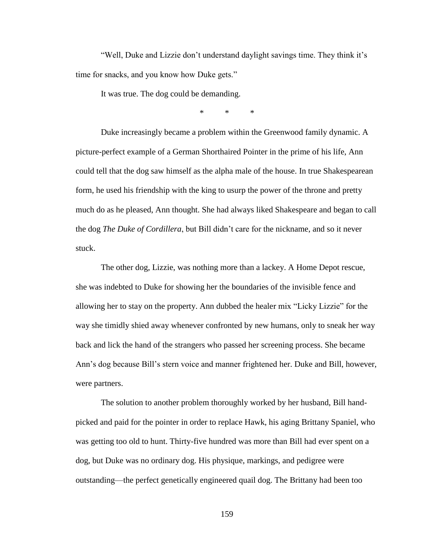"Well, Duke and Lizzie don't understand daylight savings time. They think it's time for snacks, and you know how Duke gets."

It was true. The dog could be demanding.

\* \* \*

Duke increasingly became a problem within the Greenwood family dynamic. A picture-perfect example of a German Shorthaired Pointer in the prime of his life, Ann could tell that the dog saw himself as the alpha male of the house. In true Shakespearean form, he used his friendship with the king to usurp the power of the throne and pretty much do as he pleased, Ann thought. She had always liked Shakespeare and began to call the dog *The Duke of Cordillera*, but Bill didn't care for the nickname, and so it never stuck.

The other dog, Lizzie, was nothing more than a lackey. A Home Depot rescue, she was indebted to Duke for showing her the boundaries of the invisible fence and allowing her to stay on the property. Ann dubbed the healer mix "Licky Lizzie" for the way she timidly shied away whenever confronted by new humans, only to sneak her way back and lick the hand of the strangers who passed her screening process. She became Ann's dog because Bill's stern voice and manner frightened her. Duke and Bill, however, were partners.

The solution to another problem thoroughly worked by her husband, Bill handpicked and paid for the pointer in order to replace Hawk, his aging Brittany Spaniel, who was getting too old to hunt. Thirty-five hundred was more than Bill had ever spent on a dog, but Duke was no ordinary dog. His physique, markings, and pedigree were outstanding—the perfect genetically engineered quail dog. The Brittany had been too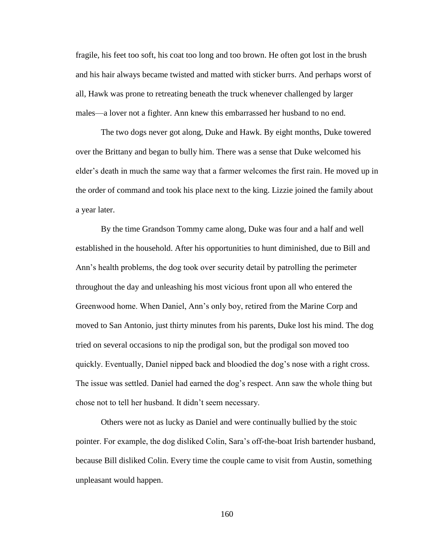fragile, his feet too soft, his coat too long and too brown. He often got lost in the brush and his hair always became twisted and matted with sticker burrs. And perhaps worst of all, Hawk was prone to retreating beneath the truck whenever challenged by larger males—a lover not a fighter. Ann knew this embarrassed her husband to no end.

The two dogs never got along, Duke and Hawk. By eight months, Duke towered over the Brittany and began to bully him. There was a sense that Duke welcomed his elder's death in much the same way that a farmer welcomes the first rain. He moved up in the order of command and took his place next to the king. Lizzie joined the family about a year later.

By the time Grandson Tommy came along, Duke was four and a half and well established in the household. After his opportunities to hunt diminished, due to Bill and Ann's health problems, the dog took over security detail by patrolling the perimeter throughout the day and unleashing his most vicious front upon all who entered the Greenwood home. When Daniel, Ann's only boy, retired from the Marine Corp and moved to San Antonio, just thirty minutes from his parents, Duke lost his mind. The dog tried on several occasions to nip the prodigal son, but the prodigal son moved too quickly. Eventually, Daniel nipped back and bloodied the dog's nose with a right cross. The issue was settled. Daniel had earned the dog's respect. Ann saw the whole thing but chose not to tell her husband. It didn't seem necessary.

Others were not as lucky as Daniel and were continually bullied by the stoic pointer. For example, the dog disliked Colin, Sara's off-the-boat Irish bartender husband, because Bill disliked Colin. Every time the couple came to visit from Austin, something unpleasant would happen.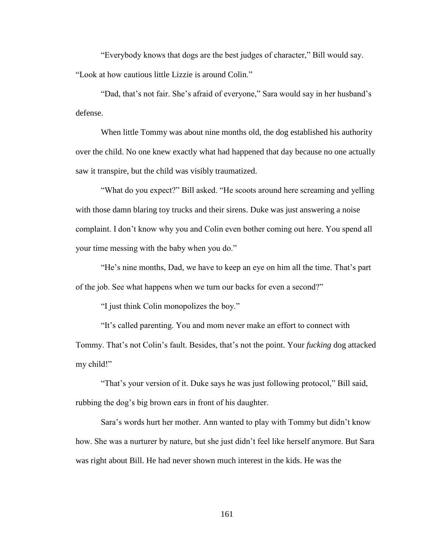"Everybody knows that dogs are the best judges of character," Bill would say. "Look at how cautious little Lizzie is around Colin."

"Dad, that's not fair. She's afraid of everyone," Sara would say in her husband's defense.

When little Tommy was about nine months old, the dog established his authority over the child. No one knew exactly what had happened that day because no one actually saw it transpire, but the child was visibly traumatized.

"What do you expect?" Bill asked. "He scoots around here screaming and yelling with those damn blaring toy trucks and their sirens. Duke was just answering a noise complaint. I don't know why you and Colin even bother coming out here. You spend all your time messing with the baby when you do."

"He's nine months, Dad, we have to keep an eye on him all the time. That's part of the job. See what happens when we turn our backs for even a second?"

"I just think Colin monopolizes the boy."

"It's called parenting. You and mom never make an effort to connect with Tommy. That's not Colin's fault. Besides, that's not the point. Your *fucking* dog attacked my child!"

"That's your version of it. Duke says he was just following protocol," Bill said, rubbing the dog's big brown ears in front of his daughter.

Sara's words hurt her mother. Ann wanted to play with Tommy but didn't know how. She was a nurturer by nature, but she just didn't feel like herself anymore. But Sara was right about Bill. He had never shown much interest in the kids. He was the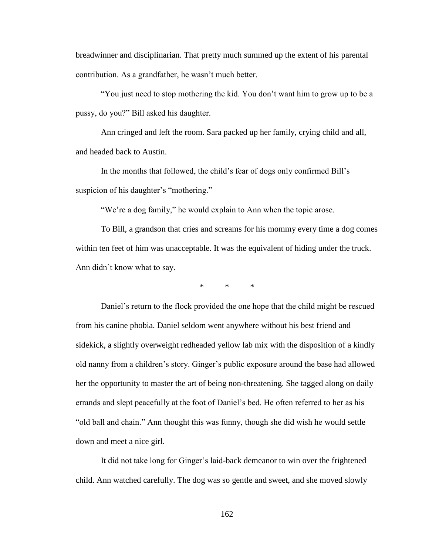breadwinner and disciplinarian. That pretty much summed up the extent of his parental contribution. As a grandfather, he wasn't much better.

"You just need to stop mothering the kid. You don't want him to grow up to be a pussy, do you?" Bill asked his daughter.

Ann cringed and left the room. Sara packed up her family, crying child and all, and headed back to Austin.

In the months that followed, the child's fear of dogs only confirmed Bill's suspicion of his daughter's "mothering."

"We're a dog family," he would explain to Ann when the topic arose.

To Bill, a grandson that cries and screams for his mommy every time a dog comes within ten feet of him was unacceptable. It was the equivalent of hiding under the truck. Ann didn't know what to say.

\* \* \*

Daniel's return to the flock provided the one hope that the child might be rescued from his canine phobia. Daniel seldom went anywhere without his best friend and sidekick, a slightly overweight redheaded yellow lab mix with the disposition of a kindly old nanny from a children's story. Ginger's public exposure around the base had allowed her the opportunity to master the art of being non-threatening. She tagged along on daily errands and slept peacefully at the foot of Daniel's bed. He often referred to her as his "old ball and chain." Ann thought this was funny, though she did wish he would settle down and meet a nice girl.

It did not take long for Ginger's laid-back demeanor to win over the frightened child. Ann watched carefully. The dog was so gentle and sweet, and she moved slowly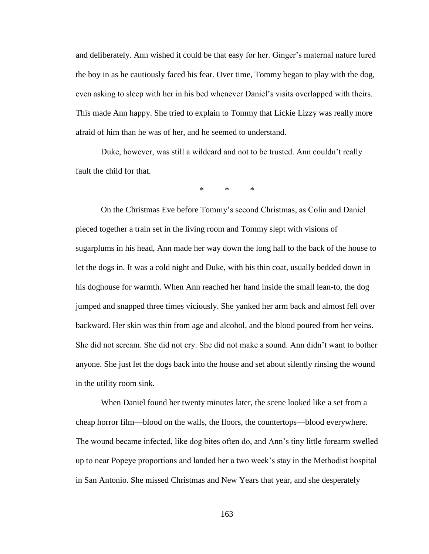and deliberately. Ann wished it could be that easy for her. Ginger's maternal nature lured the boy in as he cautiously faced his fear. Over time, Tommy began to play with the dog, even asking to sleep with her in his bed whenever Daniel's visits overlapped with theirs. This made Ann happy. She tried to explain to Tommy that Lickie Lizzy was really more afraid of him than he was of her, and he seemed to understand.

Duke, however, was still a wildcard and not to be trusted. Ann couldn't really fault the child for that.

\* \* \*

On the Christmas Eve before Tommy's second Christmas, as Colin and Daniel pieced together a train set in the living room and Tommy slept with visions of sugarplums in his head, Ann made her way down the long hall to the back of the house to let the dogs in. It was a cold night and Duke, with his thin coat, usually bedded down in his doghouse for warmth. When Ann reached her hand inside the small lean-to, the dog jumped and snapped three times viciously. She yanked her arm back and almost fell over backward. Her skin was thin from age and alcohol, and the blood poured from her veins. She did not scream. She did not cry. She did not make a sound. Ann didn't want to bother anyone. She just let the dogs back into the house and set about silently rinsing the wound in the utility room sink.

When Daniel found her twenty minutes later, the scene looked like a set from a cheap horror film—blood on the walls, the floors, the countertops—blood everywhere. The wound became infected, like dog bites often do, and Ann's tiny little forearm swelled up to near Popeye proportions and landed her a two week's stay in the Methodist hospital in San Antonio. She missed Christmas and New Years that year, and she desperately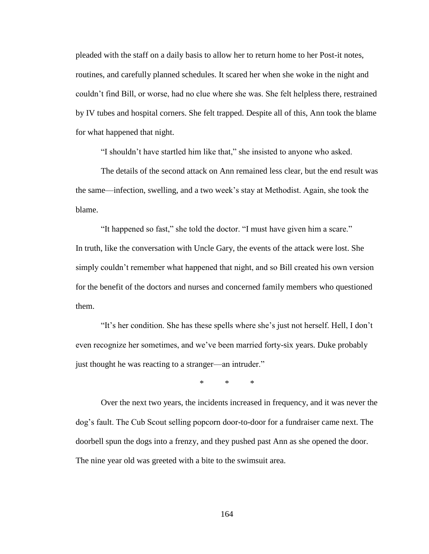pleaded with the staff on a daily basis to allow her to return home to her Post-it notes, routines, and carefully planned schedules. It scared her when she woke in the night and couldn't find Bill, or worse, had no clue where she was. She felt helpless there, restrained by IV tubes and hospital corners. She felt trapped. Despite all of this, Ann took the blame for what happened that night.

"I shouldn't have startled him like that," she insisted to anyone who asked.

The details of the second attack on Ann remained less clear, but the end result was the same—infection, swelling, and a two week's stay at Methodist. Again, she took the blame.

"It happened so fast," she told the doctor. "I must have given him a scare." In truth, like the conversation with Uncle Gary, the events of the attack were lost. She simply couldn't remember what happened that night, and so Bill created his own version for the benefit of the doctors and nurses and concerned family members who questioned them.

"It's her condition. She has these spells where she's just not herself. Hell, I don't even recognize her sometimes, and we've been married forty-six years. Duke probably just thought he was reacting to a stranger—an intruder."

\* \* \*

Over the next two years, the incidents increased in frequency, and it was never the dog's fault. The Cub Scout selling popcorn door-to-door for a fundraiser came next. The doorbell spun the dogs into a frenzy, and they pushed past Ann as she opened the door. The nine year old was greeted with a bite to the swimsuit area.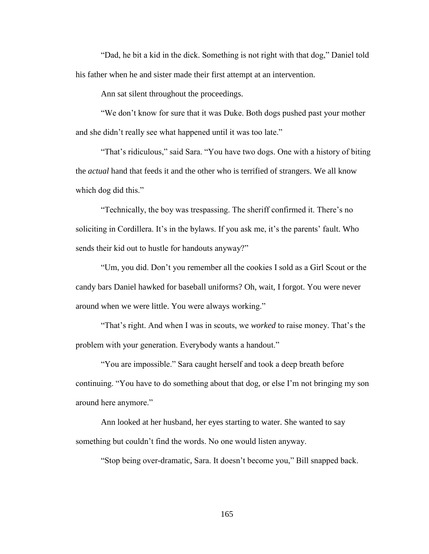"Dad, he bit a kid in the dick. Something is not right with that dog," Daniel told his father when he and sister made their first attempt at an intervention.

Ann sat silent throughout the proceedings.

"We don't know for sure that it was Duke. Both dogs pushed past your mother and she didn't really see what happened until it was too late."

"That's ridiculous," said Sara. "You have two dogs. One with a history of biting the *actual* hand that feeds it and the other who is terrified of strangers. We all know which dog did this."

"Technically, the boy was trespassing. The sheriff confirmed it. There's no soliciting in Cordillera. It's in the bylaws. If you ask me, it's the parents' fault. Who sends their kid out to hustle for handouts anyway?"

"Um, you did. Don't you remember all the cookies I sold as a Girl Scout or the candy bars Daniel hawked for baseball uniforms? Oh, wait, I forgot. You were never around when we were little. You were always working."

"That's right. And when I was in scouts, we *worked* to raise money. That's the problem with your generation. Everybody wants a handout."

"You are impossible." Sara caught herself and took a deep breath before continuing. "You have to do something about that dog, or else I'm not bringing my son around here anymore."

Ann looked at her husband, her eyes starting to water. She wanted to say something but couldn't find the words. No one would listen anyway.

"Stop being over-dramatic, Sara. It doesn't become you," Bill snapped back.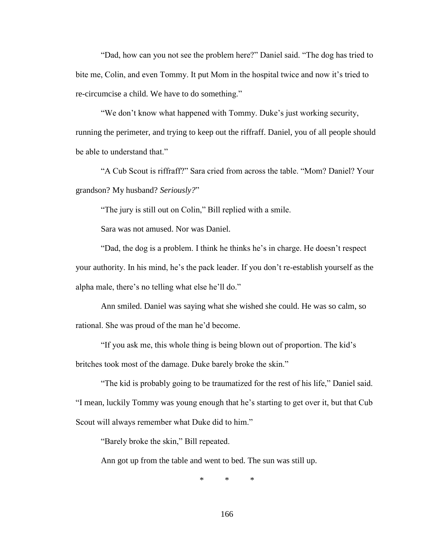"Dad, how can you not see the problem here?" Daniel said. "The dog has tried to bite me, Colin, and even Tommy. It put Mom in the hospital twice and now it's tried to re-circumcise a child. We have to do something."

"We don't know what happened with Tommy. Duke's just working security, running the perimeter, and trying to keep out the riffraff. Daniel, you of all people should be able to understand that."

"A Cub Scout is riffraff?" Sara cried from across the table. "Mom? Daniel? Your grandson? My husband? *Seriously?*"

"The jury is still out on Colin," Bill replied with a smile.

Sara was not amused. Nor was Daniel.

"Dad, the dog is a problem. I think he thinks he's in charge. He doesn't respect your authority. In his mind, he's the pack leader. If you don't re-establish yourself as the alpha male, there's no telling what else he'll do."

Ann smiled. Daniel was saying what she wished she could. He was so calm, so rational. She was proud of the man he'd become.

"If you ask me, this whole thing is being blown out of proportion. The kid's britches took most of the damage. Duke barely broke the skin."

"The kid is probably going to be traumatized for the rest of his life," Daniel said. "I mean, luckily Tommy was young enough that he's starting to get over it, but that Cub Scout will always remember what Duke did to him."

"Barely broke the skin," Bill repeated.

Ann got up from the table and went to bed. The sun was still up.

\* \* \*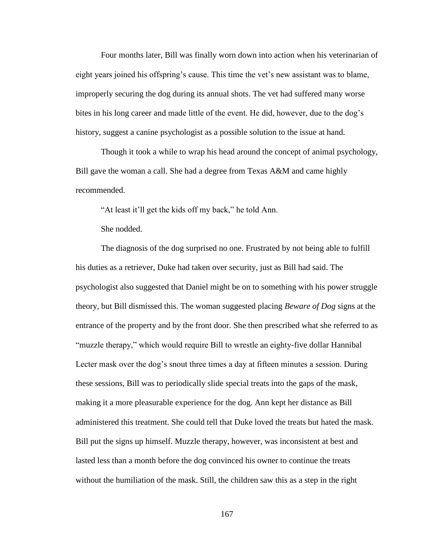Four months later, Bill was finally worn down into action when his veterinarian of eight years joined his offspring's cause. This time the vet's new assistant was to blame, improperly securing the dog during its annual shots. The vet had suffered many worse bites in his long career and made little of the event. He did, however, due to the dog's history, suggest a canine psychologist as a possible solution to the issue at hand.

Though it took a while to wrap his head around the concept of animal psychology, Bill gave the woman a call. She had a degree from Texas A&M and came highly recommended.

"At least it'll get the kids off my back," he told Ann.

She nodded.

The diagnosis of the dog surprised no one. Frustrated by not being able to fulfill his duties as a retriever, Duke had taken over security, just as Bill had said. The psychologist also suggested that Daniel might be on to something with his power struggle theory, but Bill dismissed this. The woman suggested placing *Beware of Dog* signs at the entrance of the property and by the front door. She then prescribed what she referred to as "muzzle therapy," which would require Bill to wrestle an eighty-five dollar Hannibal Lecter mask over the dog's snout three times a day at fifteen minutes a session. During these sessions, Bill was to periodically slide special treats into the gaps of the mask, making it a more pleasurable experience for the dog. Ann kept her distance as Bill administered this treatment. She could tell that Duke loved the treats but hated the mask. Bill put the signs up himself. Muzzle therapy, however, was inconsistent at best and lasted less than a month before the dog convinced his owner to continue the treats without the humiliation of the mask. Still, the children saw this as a step in the right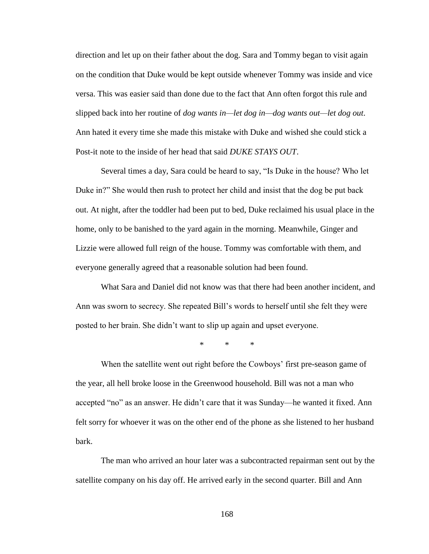direction and let up on their father about the dog. Sara and Tommy began to visit again on the condition that Duke would be kept outside whenever Tommy was inside and vice versa. This was easier said than done due to the fact that Ann often forgot this rule and slipped back into her routine of *dog wants in—let dog in—dog wants out—let dog out*. Ann hated it every time she made this mistake with Duke and wished she could stick a Post-it note to the inside of her head that said *DUKE STAYS OUT*.

Several times a day, Sara could be heard to say, "Is Duke in the house? Who let Duke in?" She would then rush to protect her child and insist that the dog be put back out. At night, after the toddler had been put to bed, Duke reclaimed his usual place in the home, only to be banished to the yard again in the morning. Meanwhile, Ginger and Lizzie were allowed full reign of the house. Tommy was comfortable with them, and everyone generally agreed that a reasonable solution had been found.

What Sara and Daniel did not know was that there had been another incident, and Ann was sworn to secrecy. She repeated Bill's words to herself until she felt they were posted to her brain. She didn't want to slip up again and upset everyone.

\* \* \*

When the satellite went out right before the Cowboys' first pre-season game of the year, all hell broke loose in the Greenwood household. Bill was not a man who accepted "no" as an answer. He didn't care that it was Sunday—he wanted it fixed. Ann felt sorry for whoever it was on the other end of the phone as she listened to her husband bark.

The man who arrived an hour later was a subcontracted repairman sent out by the satellite company on his day off. He arrived early in the second quarter. Bill and Ann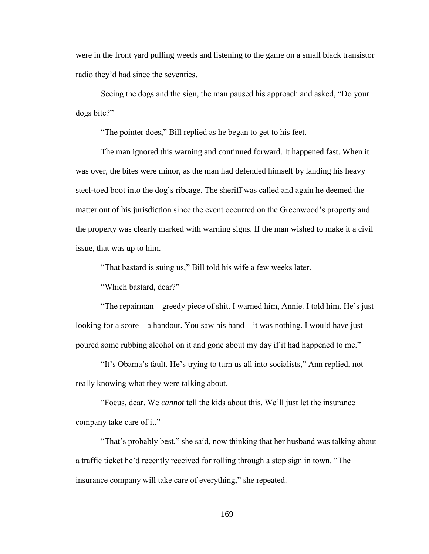were in the front yard pulling weeds and listening to the game on a small black transistor radio they'd had since the seventies.

Seeing the dogs and the sign, the man paused his approach and asked, "Do your dogs bite?"

"The pointer does," Bill replied as he began to get to his feet.

The man ignored this warning and continued forward. It happened fast. When it was over, the bites were minor, as the man had defended himself by landing his heavy steel-toed boot into the dog's ribcage. The sheriff was called and again he deemed the matter out of his jurisdiction since the event occurred on the Greenwood's property and the property was clearly marked with warning signs. If the man wished to make it a civil issue, that was up to him.

"That bastard is suing us," Bill told his wife a few weeks later.

"Which bastard, dear?"

"The repairman—greedy piece of shit. I warned him, Annie. I told him. He's just looking for a score—a handout. You saw his hand—it was nothing. I would have just poured some rubbing alcohol on it and gone about my day if it had happened to me."

"It's Obama's fault. He's trying to turn us all into socialists," Ann replied, not really knowing what they were talking about.

"Focus, dear. We *cannot* tell the kids about this. We'll just let the insurance company take care of it."

"That's probably best," she said, now thinking that her husband was talking about a traffic ticket he'd recently received for rolling through a stop sign in town. "The insurance company will take care of everything," she repeated.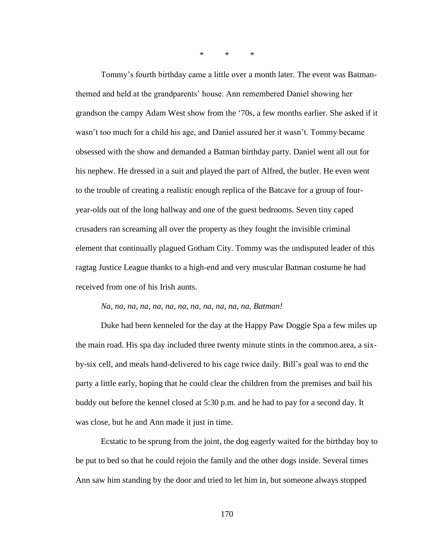\* \* \*

Tommy's fourth birthday came a little over a month later. The event was Batmanthemed and held at the grandparents' house. Ann remembered Daniel showing her grandson the campy Adam West show from the '70s, a few months earlier. She asked if it wasn't too much for a child his age, and Daniel assured her it wasn't. Tommy became obsessed with the show and demanded a Batman birthday party. Daniel went all out for his nephew. He dressed in a suit and played the part of Alfred, the butler. He even went to the trouble of creating a realistic enough replica of the Batcave for a group of fouryear-olds out of the long hallway and one of the guest bedrooms. Seven tiny caped crusaders ran screaming all over the property as they fought the invisible criminal element that continually plagued Gotham City. Tommy was the undisputed leader of this ragtag Justice League thanks to a high-end and very muscular Batman costume he had received from one of his Irish aunts.

## *Na, na, na, na, na, na, na, na, na, na, na, na, Batman!*

Duke had been kenneled for the day at the Happy Paw Doggie Spa a few miles up the main road. His spa day included three twenty minute stints in the common area, a sixby-six cell, and meals hand-delivered to his cage twice daily. Bill's goal was to end the party a little early, hoping that he could clear the children from the premises and bail his buddy out before the kennel closed at 5:30 p.m. and he had to pay for a second day. It was close, but he and Ann made it just in time.

Ecstatic to be sprung from the joint, the dog eagerly waited for the birthday boy to be put to bed so that he could rejoin the family and the other dogs inside. Several times Ann saw him standing by the door and tried to let him in, but someone always stopped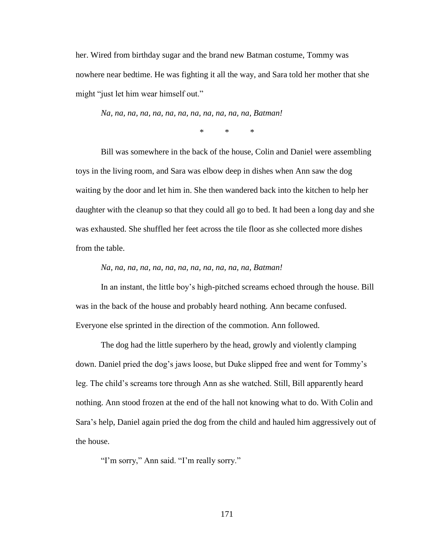her. Wired from birthday sugar and the brand new Batman costume, Tommy was nowhere near bedtime. He was fighting it all the way, and Sara told her mother that she might "just let him wear himself out."

*Na, na, na, na, na, na, na, na, na, na, na, na, Batman!*

\* \* \*

Bill was somewhere in the back of the house, Colin and Daniel were assembling toys in the living room, and Sara was elbow deep in dishes when Ann saw the dog waiting by the door and let him in. She then wandered back into the kitchen to help her daughter with the cleanup so that they could all go to bed. It had been a long day and she was exhausted. She shuffled her feet across the tile floor as she collected more dishes from the table.

*Na, na, na, na, na, na, na, na, na, na, na, na, Batman!*

In an instant, the little boy's high-pitched screams echoed through the house. Bill was in the back of the house and probably heard nothing. Ann became confused. Everyone else sprinted in the direction of the commotion. Ann followed.

The dog had the little superhero by the head, growly and violently clamping down. Daniel pried the dog's jaws loose, but Duke slipped free and went for Tommy's leg. The child's screams tore through Ann as she watched. Still, Bill apparently heard nothing. Ann stood frozen at the end of the hall not knowing what to do. With Colin and Sara's help, Daniel again pried the dog from the child and hauled him aggressively out of the house.

"I'm sorry," Ann said. "I'm really sorry."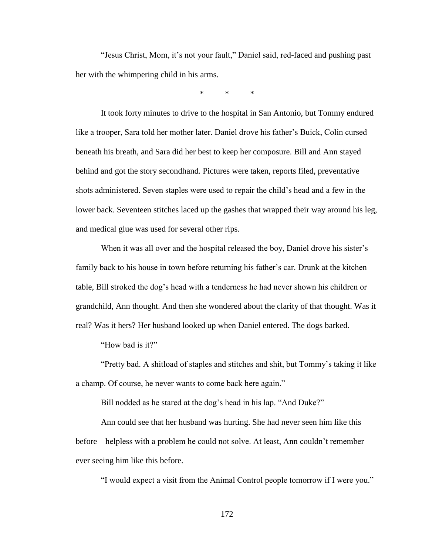"Jesus Christ, Mom, it's not your fault," Daniel said, red-faced and pushing past her with the whimpering child in his arms.

\* \* \*

It took forty minutes to drive to the hospital in San Antonio, but Tommy endured like a trooper, Sara told her mother later. Daniel drove his father's Buick, Colin cursed beneath his breath, and Sara did her best to keep her composure. Bill and Ann stayed behind and got the story secondhand. Pictures were taken, reports filed, preventative shots administered. Seven staples were used to repair the child's head and a few in the lower back. Seventeen stitches laced up the gashes that wrapped their way around his leg, and medical glue was used for several other rips.

When it was all over and the hospital released the boy, Daniel drove his sister's family back to his house in town before returning his father's car. Drunk at the kitchen table, Bill stroked the dog's head with a tenderness he had never shown his children or grandchild, Ann thought. And then she wondered about the clarity of that thought. Was it real? Was it hers? Her husband looked up when Daniel entered. The dogs barked.

"How bad is it?"

"Pretty bad. A shitload of staples and stitches and shit, but Tommy's taking it like a champ. Of course, he never wants to come back here again."

Bill nodded as he stared at the dog's head in his lap. "And Duke?"

Ann could see that her husband was hurting. She had never seen him like this before—helpless with a problem he could not solve. At least, Ann couldn't remember ever seeing him like this before.

"I would expect a visit from the Animal Control people tomorrow if I were you."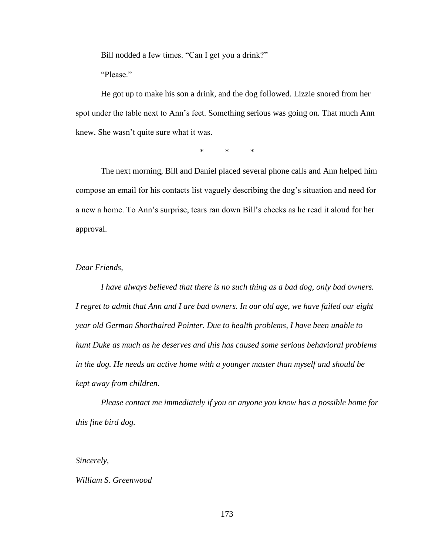Bill nodded a few times. "Can I get you a drink?"

"Please"

He got up to make his son a drink, and the dog followed. Lizzie snored from her spot under the table next to Ann's feet. Something serious was going on. That much Ann knew. She wasn't quite sure what it was.

\* \* \*

The next morning, Bill and Daniel placed several phone calls and Ann helped him compose an email for his contacts list vaguely describing the dog's situation and need for a new a home. To Ann's surprise, tears ran down Bill's cheeks as he read it aloud for her approval.

## *Dear Friends,*

*I have always believed that there is no such thing as a bad dog, only bad owners. I regret to admit that Ann and I are bad owners. In our old age, we have failed our eight year old German Shorthaired Pointer. Due to health problems, I have been unable to hunt Duke as much as he deserves and this has caused some serious behavioral problems in the dog. He needs an active home with a younger master than myself and should be kept away from children.* 

*Please contact me immediately if you or anyone you know has a possible home for this fine bird dog.*

*Sincerely,*

## *William S. Greenwood*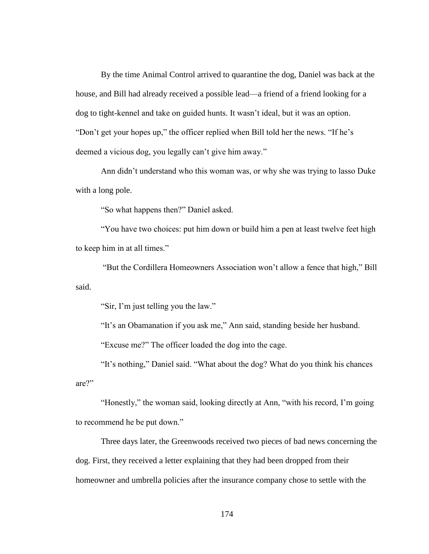By the time Animal Control arrived to quarantine the dog, Daniel was back at the house, and Bill had already received a possible lead—a friend of a friend looking for a dog to tight-kennel and take on guided hunts. It wasn't ideal, but it was an option. "Don't get your hopes up," the officer replied when Bill told her the news. "If he's deemed a vicious dog, you legally can't give him away."

Ann didn't understand who this woman was, or why she was trying to lasso Duke with a long pole.

"So what happens then?" Daniel asked.

"You have two choices: put him down or build him a pen at least twelve feet high to keep him in at all times."

"But the Cordillera Homeowners Association won't allow a fence that high," Bill said.

"Sir, I'm just telling you the law."

"It's an Obamanation if you ask me," Ann said, standing beside her husband.

"Excuse me?" The officer loaded the dog into the cage.

"It's nothing," Daniel said. "What about the dog? What do you think his chances are?"

"Honestly," the woman said, looking directly at Ann, "with his record, I'm going to recommend he be put down."

Three days later, the Greenwoods received two pieces of bad news concerning the dog. First, they received a letter explaining that they had been dropped from their homeowner and umbrella policies after the insurance company chose to settle with the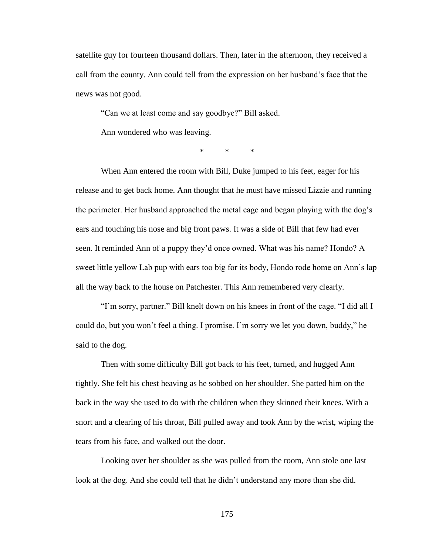satellite guy for fourteen thousand dollars. Then, later in the afternoon, they received a call from the county. Ann could tell from the expression on her husband's face that the news was not good.

"Can we at least come and say goodbye?" Bill asked.

Ann wondered who was leaving.

\* \* \*

When Ann entered the room with Bill, Duke jumped to his feet, eager for his release and to get back home. Ann thought that he must have missed Lizzie and running the perimeter. Her husband approached the metal cage and began playing with the dog's ears and touching his nose and big front paws. It was a side of Bill that few had ever seen. It reminded Ann of a puppy they'd once owned. What was his name? Hondo? A sweet little yellow Lab pup with ears too big for its body, Hondo rode home on Ann's lap all the way back to the house on Patchester. This Ann remembered very clearly.

"I'm sorry, partner." Bill knelt down on his knees in front of the cage. "I did all I could do, but you won't feel a thing. I promise. I'm sorry we let you down, buddy," he said to the dog.

Then with some difficulty Bill got back to his feet, turned, and hugged Ann tightly. She felt his chest heaving as he sobbed on her shoulder. She patted him on the back in the way she used to do with the children when they skinned their knees. With a snort and a clearing of his throat, Bill pulled away and took Ann by the wrist, wiping the tears from his face, and walked out the door.

Looking over her shoulder as she was pulled from the room, Ann stole one last look at the dog. And she could tell that he didn't understand any more than she did.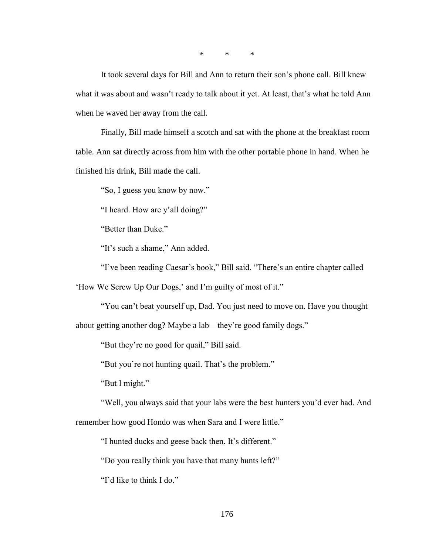\* \* \*

It took several days for Bill and Ann to return their son's phone call. Bill knew what it was about and wasn't ready to talk about it yet. At least, that's what he told Ann when he waved her away from the call.

Finally, Bill made himself a scotch and sat with the phone at the breakfast room table. Ann sat directly across from him with the other portable phone in hand. When he finished his drink, Bill made the call.

"So, I guess you know by now."

"I heard. How are y'all doing?"

"Better than Duke."

"It's such a shame," Ann added.

"I've been reading Caesar's book," Bill said. "There's an entire chapter called

'How We Screw Up Our Dogs,' and I'm guilty of most of it."

"You can't beat yourself up, Dad. You just need to move on. Have you thought about getting another dog? Maybe a lab—they're good family dogs."

"But they're no good for quail," Bill said.

"But you're not hunting quail. That's the problem."

"But I might."

"Well, you always said that your labs were the best hunters you'd ever had. And

remember how good Hondo was when Sara and I were little."

"I hunted ducks and geese back then. It's different."

"Do you really think you have that many hunts left?"

"I'd like to think I do."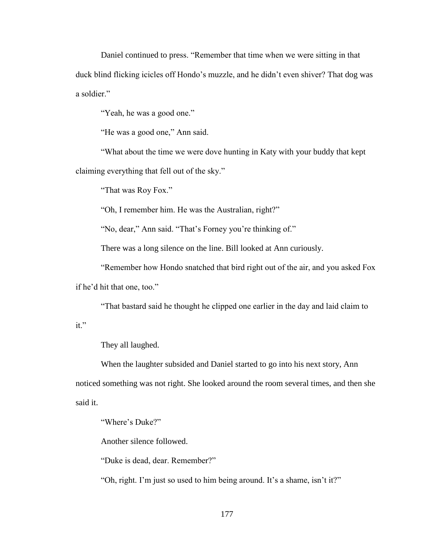Daniel continued to press. "Remember that time when we were sitting in that duck blind flicking icicles off Hondo's muzzle, and he didn't even shiver? That dog was a soldier."

"Yeah, he was a good one."

"He was a good one," Ann said.

"What about the time we were dove hunting in Katy with your buddy that kept claiming everything that fell out of the sky."

"That was Roy Fox."

"Oh, I remember him. He was the Australian, right?"

"No, dear," Ann said. "That's Forney you're thinking of."

There was a long silence on the line. Bill looked at Ann curiously.

"Remember how Hondo snatched that bird right out of the air, and you asked Fox if he'd hit that one, too."

"That bastard said he thought he clipped one earlier in the day and laid claim to

it."

They all laughed.

When the laughter subsided and Daniel started to go into his next story, Ann noticed something was not right. She looked around the room several times, and then she said it.

"Where's Duke?"

Another silence followed.

"Duke is dead, dear. Remember?"

"Oh, right. I'm just so used to him being around. It's a shame, isn't it?"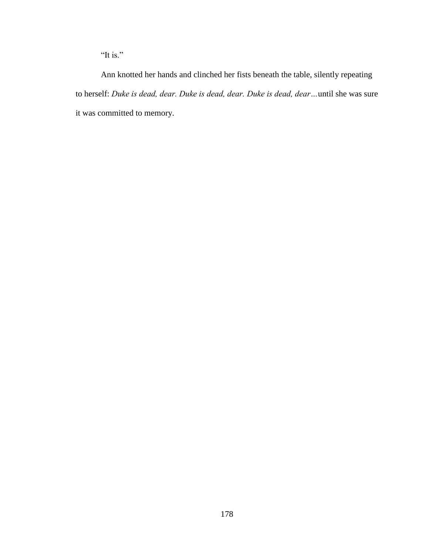"It is."

Ann knotted her hands and clinched her fists beneath the table, silently repeating to herself: *Duke is dead, dear. Duke is dead, dear. Duke is dead, dear…*until she was sure it was committed to memory.